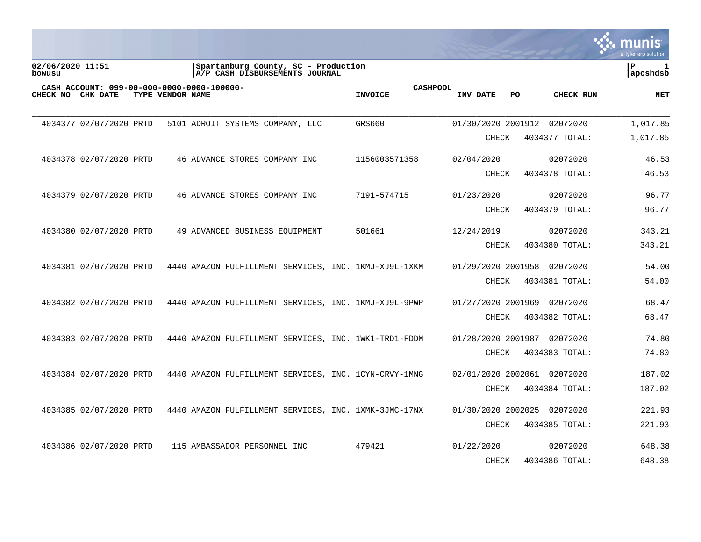|                                                                                     |                                                                       |                                   |                             |                | a tyler erp solution          |
|-------------------------------------------------------------------------------------|-----------------------------------------------------------------------|-----------------------------------|-----------------------------|----------------|-------------------------------|
| 02/06/2020 11:51<br>bowusu                                                          | Spartanburg County, SC - Production<br>A/P CASH DISBURSEMENTS JOURNAL |                                   |                             |                | $\mathbf{P}$<br>1<br>apcshdsb |
| CASH ACCOUNT: 099-00-000-0000-0000-100000-<br>CHECK NO CHK DATE<br>TYPE VENDOR NAME |                                                                       | <b>CASHPOOL</b><br><b>INVOICE</b> | <b>INV DATE</b><br>PO       | CHECK RUN      | <b>NET</b>                    |
| 4034377 02/07/2020 PRTD                                                             | 5101 ADROIT SYSTEMS COMPANY, LLC                                      | GRS660                            | 01/30/2020 2001912          | 02072020       | 1,017.85                      |
|                                                                                     |                                                                       |                                   | CHECK                       | 4034377 TOTAL: | 1,017.85                      |
| 4034378 02/07/2020 PRTD                                                             | 46 ADVANCE STORES COMPANY INC                                         | 1156003571358                     | 02/04/2020                  | 02072020       | 46.53                         |
|                                                                                     |                                                                       |                                   | <b>CHECK</b>                | 4034378 TOTAL: | 46.53                         |
| 4034379 02/07/2020 PRTD                                                             | 46 ADVANCE STORES COMPANY INC                                         | 7191-574715                       | 01/23/2020                  | 02072020       | 96.77                         |
|                                                                                     |                                                                       |                                   | <b>CHECK</b>                | 4034379 TOTAL: | 96.77                         |
| 4034380 02/07/2020 PRTD                                                             | 49 ADVANCED BUSINESS EOUIPMENT                                        | 501661                            | 12/24/2019                  | 02072020       | 343.21                        |
|                                                                                     |                                                                       |                                   | <b>CHECK</b>                | 4034380 TOTAL: | 343.21                        |
| 4034381 02/07/2020 PRTD                                                             | 4440 AMAZON FULFILLMENT SERVICES, INC. 1KMJ-XJ9L-1XKM                 |                                   | 01/29/2020 2001958          | 02072020       | 54.00                         |
|                                                                                     |                                                                       |                                   | CHECK                       | 4034381 TOTAL: | 54.00                         |
| 4034382 02/07/2020 PRTD                                                             | 4440 AMAZON FULFILLMENT SERVICES, INC. 1KMJ-XJ9L-9PWP                 |                                   | 01/27/2020 2001969          | 02072020       | 68.47                         |
|                                                                                     |                                                                       |                                   | CHECK                       | 4034382 TOTAL: | 68.47                         |
| 4034383 02/07/2020 PRTD                                                             | 4440 AMAZON FULFILLMENT SERVICES, INC. 1WK1-TRD1-FDDM                 |                                   | 01/28/2020 2001987 02072020 |                | 74.80                         |
|                                                                                     |                                                                       |                                   | CHECK                       | 4034383 TOTAL: | 74.80                         |
| 4034384 02/07/2020 PRTD                                                             | 4440 AMAZON FULFILLMENT SERVICES, INC. 1CYN-CRVY-1MNG                 |                                   | 02/01/2020 2002061 02072020 |                | 187.02                        |
|                                                                                     |                                                                       |                                   | <b>CHECK</b>                | 4034384 TOTAL: | 187.02                        |
| 4034385 02/07/2020 PRTD                                                             | 4440 AMAZON FULFILLMENT SERVICES, INC. 1XMK-3JMC-17NX                 |                                   | 01/30/2020 2002025          | 02072020       | 221.93                        |
|                                                                                     |                                                                       |                                   | <b>CHECK</b>                | 4034385 TOTAL: | 221.93                        |
| 4034386 02/07/2020 PRTD                                                             | 115 AMBASSADOR PERSONNEL INC                                          | 479421                            | 01/22/2020                  | 02072020       | 648.38                        |
|                                                                                     |                                                                       |                                   | <b>CHECK</b>                | 4034386 TOTAL: | 648.38                        |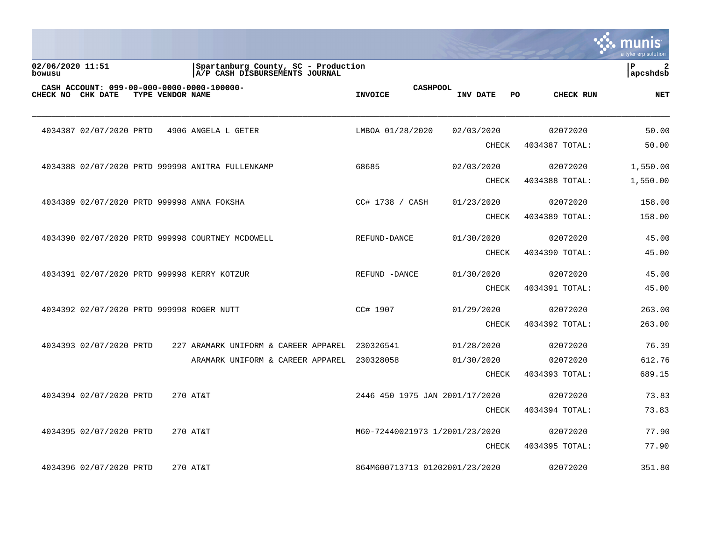|                            |                                           |                  |                                                                       |                                   |              |                  | munis<br>a tyler erp solution  |
|----------------------------|-------------------------------------------|------------------|-----------------------------------------------------------------------|-----------------------------------|--------------|------------------|--------------------------------|
| 02/06/2020 11:51<br>bowusu |                                           |                  | Spartanburg County, SC - Production<br>A/P CASH DISBURSEMENTS JOURNAL |                                   |              |                  | ΙP<br>$\mathbf{2}$<br>apcshdsb |
|                            | CHECK NO CHK DATE                         | TYPE VENDOR NAME | CASH ACCOUNT: 099-00-000-0000-0000-100000-                            | <b>CASHPOOL</b><br><b>INVOICE</b> | INV DATE     | PO.<br>CHECK RUN | <b>NET</b>                     |
|                            | 4034387 02/07/2020 PRTD                   |                  | 4906 ANGELA L GETER                                                   | LMBOA 01/28/2020                  | 02/03/2020   | 02072020         | 50.00                          |
|                            |                                           |                  |                                                                       |                                   | <b>CHECK</b> | 4034387 TOTAL:   | 50.00                          |
|                            |                                           |                  | 4034388 02/07/2020 PRTD 999998 ANITRA FULLENKAMP                      | 68685                             | 02/03/2020   | 02072020         | 1,550.00                       |
|                            |                                           |                  |                                                                       |                                   | CHECK        | 4034388 TOTAL:   | 1,550.00                       |
|                            |                                           |                  | 4034389 02/07/2020 PRTD 999998 ANNA FOKSHA                            | CC# 1738 / CASH                   | 01/23/2020   | 02072020         | 158.00                         |
|                            |                                           |                  |                                                                       |                                   | CHECK        | 4034389 TOTAL:   | 158.00                         |
|                            |                                           |                  | 4034390 02/07/2020 PRTD 999998 COURTNEY MCDOWELL                      | REFUND-DANCE                      | 01/30/2020   | 02072020         | 45.00                          |
|                            |                                           |                  |                                                                       |                                   | <b>CHECK</b> | 4034390 TOTAL:   | 45.00                          |
|                            |                                           |                  | 4034391 02/07/2020 PRTD 999998 KERRY KOTZUR                           | REFUND -DANCE                     | 01/30/2020   | 02072020         | 45.00                          |
|                            |                                           |                  |                                                                       |                                   | <b>CHECK</b> | 4034391 TOTAL:   | 45.00                          |
|                            | 4034392 02/07/2020 PRTD 999998 ROGER NUTT |                  |                                                                       | CC# 1907                          | 01/29/2020   | 02072020         | 263.00                         |
|                            |                                           |                  |                                                                       |                                   | <b>CHECK</b> | 4034392 TOTAL:   | 263.00                         |
|                            | 4034393 02/07/2020 PRTD                   |                  | 227 ARAMARK UNIFORM & CAREER APPAREL                                  | 230326541                         | 01/28/2020   | 02072020         | 76.39                          |
|                            |                                           |                  | ARAMARK UNIFORM & CAREER APPAREL                                      | 230328058                         | 01/30/2020   | 02072020         | 612.76                         |
|                            |                                           |                  |                                                                       |                                   | <b>CHECK</b> | 4034393 TOTAL:   | 689.15                         |
|                            | 4034394 02/07/2020 PRTD                   |                  | 270 AT&T                                                              | 2446 450 1975 JAN 2001/17/2020    |              | 02072020         | 73.83                          |
|                            |                                           |                  |                                                                       |                                   | <b>CHECK</b> | 4034394 TOTAL:   | 73.83                          |
|                            | 4034395 02/07/2020 PRTD                   |                  | 270 AT&T                                                              | M60-72440021973 1/2001/23/2020    |              | 02072020         | 77.90                          |
|                            |                                           |                  |                                                                       |                                   | <b>CHECK</b> | 4034395 TOTAL:   | 77.90                          |
|                            | 4034396 02/07/2020 PRTD                   |                  | 270 AT&T                                                              | 864M600713713 01202001/23/2020    |              | 02072020         | 351.80                         |

**Tara**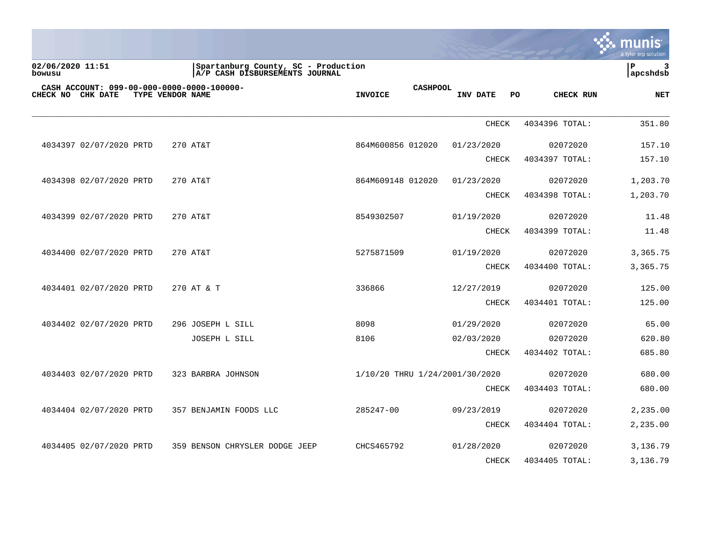|                                                                 |                                                                       |                   |                                |              |                 | a tyler erp solution  |
|-----------------------------------------------------------------|-----------------------------------------------------------------------|-------------------|--------------------------------|--------------|-----------------|-----------------------|
| 02/06/2020 11:51<br>bowusu                                      | Spartanburg County, SC - Production<br>A/P CASH DISBURSEMENTS JOURNAL |                   |                                |              |                 | l P<br>3<br> apcshdsb |
| CASH ACCOUNT: 099-00-000-0000-0000-100000-<br>CHECK NO CHK DATE | TYPE VENDOR NAME                                                      | <b>INVOICE</b>    | <b>CASHPOOL</b>                | INV DATE     | PO<br>CHECK RUN | <b>NET</b>            |
|                                                                 |                                                                       |                   |                                | <b>CHECK</b> | 4034396 TOTAL:  | 351.80                |
| 4034397 02/07/2020 PRTD                                         | 270 AT&T                                                              | 864M600856 012020 |                                | 01/23/2020   | 02072020        | 157.10                |
|                                                                 |                                                                       |                   |                                | <b>CHECK</b> | 4034397 TOTAL:  | 157.10                |
| 4034398 02/07/2020 PRTD                                         | 270 AT&T                                                              | 864M609148 012020 |                                | 01/23/2020   | 02072020        | 1,203.70              |
|                                                                 |                                                                       |                   |                                | <b>CHECK</b> | 4034398 TOTAL:  | 1,203.70              |
| 4034399 02/07/2020 PRTD                                         | 270 AT&T                                                              | 8549302507        |                                | 01/19/2020   | 02072020        | 11.48                 |
|                                                                 |                                                                       |                   |                                | CHECK        | 4034399 TOTAL:  | 11.48                 |
| 4034400 02/07/2020 PRTD                                         | 270 AT&T                                                              | 5275871509        |                                | 01/19/2020   | 02072020        | 3,365.75              |
|                                                                 |                                                                       |                   |                                | CHECK        | 4034400 TOTAL:  | 3,365.75              |
| 4034401 02/07/2020 PRTD                                         | 270 AT & T                                                            | 336866            |                                | 12/27/2019   | 02072020        | 125.00                |
|                                                                 |                                                                       |                   |                                | <b>CHECK</b> | 4034401 TOTAL:  | 125.00                |
| 4034402 02/07/2020 PRTD                                         | 296 JOSEPH L SILL                                                     | 8098              |                                | 01/29/2020   | 02072020        | 65.00                 |
|                                                                 | JOSEPH L SILL                                                         | 8106              |                                | 02/03/2020   | 02072020        | 620.80                |
|                                                                 |                                                                       |                   |                                | CHECK        | 4034402 TOTAL:  | 685.80                |
| 4034403 02/07/2020 PRTD                                         | 323 BARBRA JOHNSON                                                    |                   | 1/10/20 THRU 1/24/2001/30/2020 |              | 02072020        | 680.00                |
|                                                                 |                                                                       |                   |                                | <b>CHECK</b> | 4034403 TOTAL:  | 680.00                |
| 4034404 02/07/2020 PRTD                                         | 357 BENJAMIN FOODS LLC                                                | 285247-00         |                                | 09/23/2019   | 02072020        | 2,235.00              |
|                                                                 |                                                                       |                   |                                | <b>CHECK</b> | 4034404 TOTAL:  | 2,235.00              |
| 4034405 02/07/2020 PRTD                                         | 359 BENSON CHRYSLER DODGE JEEP                                        | CHCS465792        |                                | 01/28/2020   | 02072020        | 3,136.79              |
|                                                                 |                                                                       |                   |                                | <b>CHECK</b> | 4034405 TOTAL:  | 3,136.79              |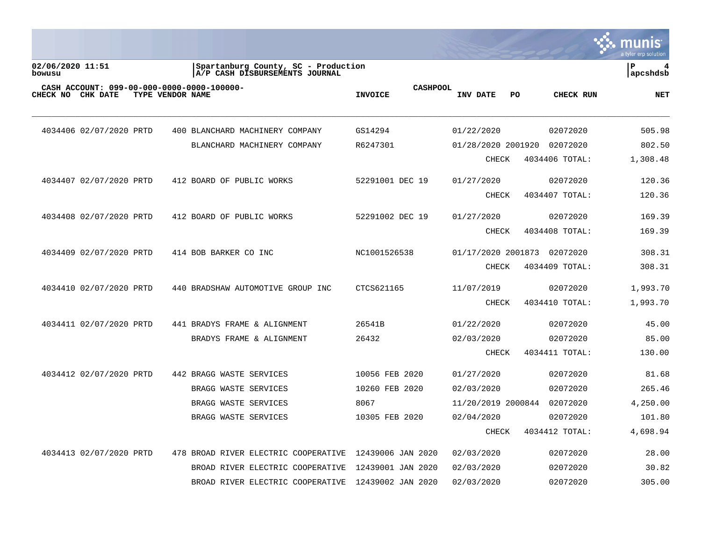|                                                                 |                                                                       |                                   |                                | <u>munis</u><br>a tyler erp solution |
|-----------------------------------------------------------------|-----------------------------------------------------------------------|-----------------------------------|--------------------------------|--------------------------------------|
| 02/06/2020 11:51<br>bowusu                                      | Spartanburg County, SC - Production<br>A/P CASH DISBURSEMENTS JOURNAL |                                   |                                | l P<br>apcshdsb                      |
| CASH ACCOUNT: 099-00-000-0000-0000-100000-<br>CHECK NO CHK DATE | TYPE VENDOR NAME                                                      | <b>CASHPOOL</b><br><b>INVOICE</b> | INV DATE<br>PO.<br>CHECK RUN   | <b>NET</b>                           |
| 4034406 02/07/2020 PRTD                                         | 400 BLANCHARD MACHINERY COMPANY                                       | GS14294                           | 01/22/2020<br>02072020         | 505.98                               |
|                                                                 | BLANCHARD MACHINERY COMPANY                                           | R6247301                          | 01/28/2020 2001920<br>02072020 | 802.50                               |
|                                                                 |                                                                       |                                   | <b>CHECK</b><br>4034406 TOTAL: | 1,308.48                             |
| 4034407 02/07/2020 PRTD                                         | 412 BOARD OF PUBLIC WORKS                                             | 52291001 DEC 19                   | 01/27/2020<br>02072020         | 120.36                               |
|                                                                 |                                                                       |                                   | <b>CHECK</b><br>4034407 TOTAL: | 120.36                               |
| 4034408 02/07/2020 PRTD                                         | 412 BOARD OF PUBLIC WORKS                                             | 52291002 DEC 19                   | 01/27/2020<br>02072020         | 169.39                               |
|                                                                 |                                                                       |                                   | 4034408 TOTAL:<br><b>CHECK</b> | 169.39                               |
| 4034409 02/07/2020 PRTD                                         | 414 BOB BARKER CO INC                                                 | NC1001526538                      | 01/17/2020 2001873 02072020    | 308.31                               |
|                                                                 |                                                                       |                                   | <b>CHECK</b><br>4034409 TOTAL: | 308.31                               |
| 4034410 02/07/2020 PRTD                                         | 440 BRADSHAW AUTOMOTIVE GROUP INC                                     | CTCS621165                        | 11/07/2019<br>02072020         | 1,993.70                             |
|                                                                 |                                                                       |                                   | <b>CHECK</b><br>4034410 TOTAL: | 1,993.70                             |
| 4034411 02/07/2020 PRTD                                         | 441 BRADYS FRAME & ALIGNMENT                                          | 26541B                            | 01/22/2020<br>02072020         | 45.00                                |
|                                                                 | BRADYS FRAME & ALIGNMENT                                              | 26432                             | 02072020<br>02/03/2020         | 85.00                                |
|                                                                 |                                                                       |                                   | 4034411 TOTAL:<br><b>CHECK</b> | 130.00                               |
| 4034412 02/07/2020 PRTD                                         | 442 BRAGG WASTE SERVICES                                              | 10056 FEB 2020                    | 01/27/2020<br>02072020         | 81.68                                |
|                                                                 | BRAGG WASTE SERVICES                                                  | 10260 FEB 2020                    | 02072020<br>02/03/2020         | 265.46                               |
|                                                                 | BRAGG WASTE SERVICES                                                  | 8067                              | 11/20/2019 2000844<br>02072020 | 4,250.00                             |
|                                                                 | BRAGG WASTE SERVICES                                                  | 10305 FEB 2020                    | 02/04/2020<br>02072020         | 101.80                               |
|                                                                 |                                                                       |                                   | <b>CHECK</b><br>4034412 TOTAL: | 4,698.94                             |
| 4034413 02/07/2020 PRTD                                         | 478 BROAD RIVER ELECTRIC COOPERATIVE                                  | 12439006 JAN 2020                 | 02/03/2020<br>02072020         | 28.00                                |
|                                                                 | BROAD RIVER ELECTRIC COOPERATIVE                                      | 12439001 JAN 2020                 | 02/03/2020<br>02072020         | 30.82                                |
|                                                                 | BROAD RIVER ELECTRIC COOPERATIVE                                      | 12439002 JAN 2020                 | 02/03/2020<br>02072020         | 305.00                               |

 $\sim$   $\sim$   $\sim$   $\sim$   $\sim$   $\sim$   $\sim$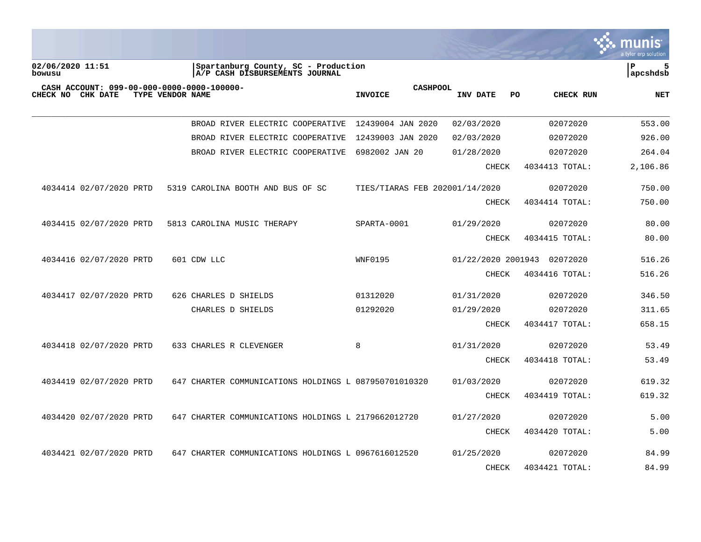|                                                                           |                  |                                                                       |                                   |                    |                | a tyler erp solution |
|---------------------------------------------------------------------------|------------------|-----------------------------------------------------------------------|-----------------------------------|--------------------|----------------|----------------------|
| 02/06/2020 11:51<br>bowusu                                                |                  | Spartanburg County, SC - Production<br>A/P CASH DISBURSEMENTS JOURNAL |                                   |                    |                | P<br>5<br>apcshdsb   |
| CASH ACCOUNT: 099-00-000-0000-0000-100000-<br>CHECK NO<br><b>CHK DATE</b> | TYPE VENDOR NAME |                                                                       | <b>CASHPOOL</b><br><b>INVOICE</b> | INV DATE<br>PO.    | CHECK RUN      | <b>NET</b>           |
|                                                                           |                  | BROAD RIVER ELECTRIC COOPERATIVE                                      | 12439004 JAN 2020                 | 02/03/2020         | 02072020       | 553.00               |
|                                                                           |                  | BROAD RIVER ELECTRIC COOPERATIVE                                      | 12439003 JAN 2020                 | 02/03/2020         | 02072020       | 926.00               |
|                                                                           |                  | BROAD RIVER ELECTRIC COOPERATIVE                                      | 6982002 JAN 20                    | 01/28/2020         | 02072020       | 264.04               |
|                                                                           |                  |                                                                       |                                   | <b>CHECK</b>       | 4034413 TOTAL: | 2,106.86             |
| 4034414 02/07/2020 PRTD                                                   |                  | 5319 CAROLINA BOOTH AND BUS OF SC                                     | TIES/TIARAS FEB 202001/14/2020    |                    | 02072020       | 750.00               |
|                                                                           |                  |                                                                       |                                   | <b>CHECK</b>       | 4034414 TOTAL: | 750.00               |
| 4034415 02/07/2020 PRTD                                                   |                  | 5813 CAROLINA MUSIC THERAPY                                           | SPARTA-0001                       | 01/29/2020         | 02072020       | 80.00                |
|                                                                           |                  |                                                                       |                                   | <b>CHECK</b>       | 4034415 TOTAL: | 80.00                |
| 4034416 02/07/2020 PRTD                                                   |                  | 601 CDW LLC                                                           | <b>WNF0195</b>                    | 01/22/2020 2001943 | 02072020       | 516.26               |
|                                                                           |                  |                                                                       |                                   | CHECK              | 4034416 TOTAL: | 516.26               |
| 4034417 02/07/2020 PRTD                                                   |                  | 626 CHARLES D SHIELDS                                                 | 01312020                          | 01/31/2020         | 02072020       | 346.50               |
|                                                                           |                  | CHARLES D SHIELDS                                                     | 01292020                          | 01/29/2020         | 02072020       | 311.65               |
|                                                                           |                  |                                                                       |                                   | <b>CHECK</b>       | 4034417 TOTAL: | 658.15               |
| 4034418 02/07/2020 PRTD                                                   |                  | 633 CHARLES R CLEVENGER                                               | 8                                 | 01/31/2020         | 02072020       | 53.49                |
|                                                                           |                  |                                                                       |                                   | CHECK              | 4034418 TOTAL: | 53.49                |
| 4034419 02/07/2020 PRTD                                                   |                  | 647 CHARTER COMMUNICATIONS HOLDINGS L 087950701010320                 |                                   | 01/03/2020         | 02072020       | 619.32               |
|                                                                           |                  |                                                                       |                                   | CHECK              | 4034419 TOTAL: | 619.32               |
| 4034420 02/07/2020 PRTD                                                   |                  | 647 CHARTER COMMUNICATIONS HOLDINGS L 2179662012720                   |                                   | 01/27/2020         | 02072020       | 5.00                 |
|                                                                           |                  |                                                                       |                                   | <b>CHECK</b>       | 4034420 TOTAL: | 5.00                 |
| 4034421 02/07/2020 PRTD                                                   |                  | 647 CHARTER COMMUNICATIONS HOLDINGS L 0967616012520                   |                                   | 01/25/2020         | 02072020       | 84.99                |
|                                                                           |                  |                                                                       |                                   | <b>CHECK</b>       | 4034421 TOTAL: | 84.99                |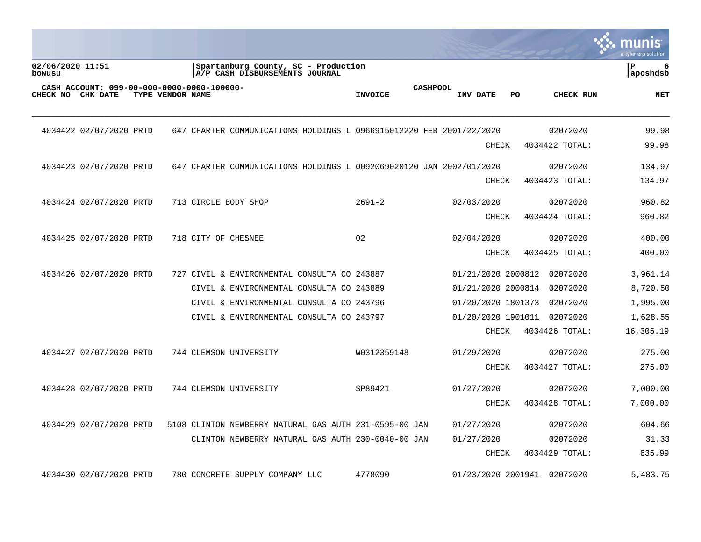|                                                                                     |                                                                       |                                   |                             |                | munis<br>a tyler erp solution |
|-------------------------------------------------------------------------------------|-----------------------------------------------------------------------|-----------------------------------|-----------------------------|----------------|-------------------------------|
| 02/06/2020 11:51<br>bowusu                                                          | Spartanburg County, SC - Production<br>A/P CASH DISBURSEMENTS JOURNAL |                                   |                             |                | ΙP<br>6<br>  apcshdsb         |
| CASH ACCOUNT: 099-00-000-0000-0000-100000-<br>CHECK NO CHK DATE<br>TYPE VENDOR NAME |                                                                       | <b>CASHPOOL</b><br><b>INVOICE</b> | INV DATE<br>PO.             | CHECK RUN      | <b>NET</b>                    |
| 4034422 02/07/2020 PRTD                                                             | 647 CHARTER COMMUNICATIONS HOLDINGS L 0966915012220 FEB 2001/22/2020  |                                   |                             | 02072020       | 99.98                         |
|                                                                                     |                                                                       |                                   | CHECK                       | 4034422 TOTAL: | 99.98                         |
| 4034423 02/07/2020 PRTD                                                             | 647 CHARTER COMMUNICATIONS HOLDINGS L 0092069020120 JAN 2002/01/2020  |                                   |                             | 02072020       | 134.97                        |
|                                                                                     |                                                                       |                                   | <b>CHECK</b>                | 4034423 TOTAL: | 134.97                        |
| 4034424 02/07/2020 PRTD                                                             | 713 CIRCLE BODY SHOP                                                  | $2691 - 2$                        | 02/03/2020                  | 02072020       | 960.82                        |
|                                                                                     |                                                                       |                                   | <b>CHECK</b>                | 4034424 TOTAL: | 960.82                        |
| 4034425 02/07/2020 PRTD                                                             | 718 CITY OF CHESNEE                                                   | 02                                | 02/04/2020                  | 02072020       | 400.00                        |
|                                                                                     |                                                                       |                                   | <b>CHECK</b>                | 4034425 TOTAL: | 400.00                        |
| 4034426 02/07/2020 PRTD                                                             | 727 CIVIL & ENVIRONMENTAL CONSULTA CO 243887                          |                                   | 01/21/2020 2000812          | 02072020       | 3,961.14                      |
|                                                                                     | CIVIL & ENVIRONMENTAL CONSULTA CO 243889                              |                                   | 01/21/2020 2000814          | 02072020       | 8,720.50                      |
|                                                                                     | CIVIL & ENVIRONMENTAL CONSULTA CO 243796                              |                                   | 01/20/2020 1801373          | 02072020       | 1,995.00                      |
|                                                                                     | CIVIL & ENVIRONMENTAL CONSULTA CO 243797                              |                                   | 01/20/2020 1901011          | 02072020       | 1,628.55                      |
|                                                                                     |                                                                       |                                   | CHECK                       | 4034426 TOTAL: | 16,305.19                     |
| 4034427 02/07/2020 PRTD                                                             | 744 CLEMSON UNIVERSITY                                                | W0312359148                       | 01/29/2020                  | 02072020       | 275.00                        |
|                                                                                     |                                                                       |                                   | <b>CHECK</b>                | 4034427 TOTAL: | 275.00                        |
| 4034428 02/07/2020 PRTD                                                             | 744 CLEMSON UNIVERSITY                                                | SP89421                           | 01/27/2020                  | 02072020       | 7,000.00                      |
|                                                                                     |                                                                       |                                   | <b>CHECK</b>                | 4034428 TOTAL: | 7,000.00                      |
| 4034429 02/07/2020 PRTD                                                             | 5108 CLINTON NEWBERRY NATURAL GAS AUTH 231-0595-00 JAN                |                                   | 01/27/2020                  | 02072020       | 604.66                        |
|                                                                                     | CLINTON NEWBERRY NATURAL GAS AUTH 230-0040-00 JAN                     |                                   | 01/27/2020                  | 02072020       | 31.33                         |
|                                                                                     |                                                                       |                                   | <b>CHECK</b>                | 4034429 TOTAL: | 635.99                        |
| 4034430 02/07/2020 PRTD                                                             | 780 CONCRETE SUPPLY COMPANY LLC                                       | 4778090                           | 01/23/2020 2001941 02072020 |                | 5,483.75                      |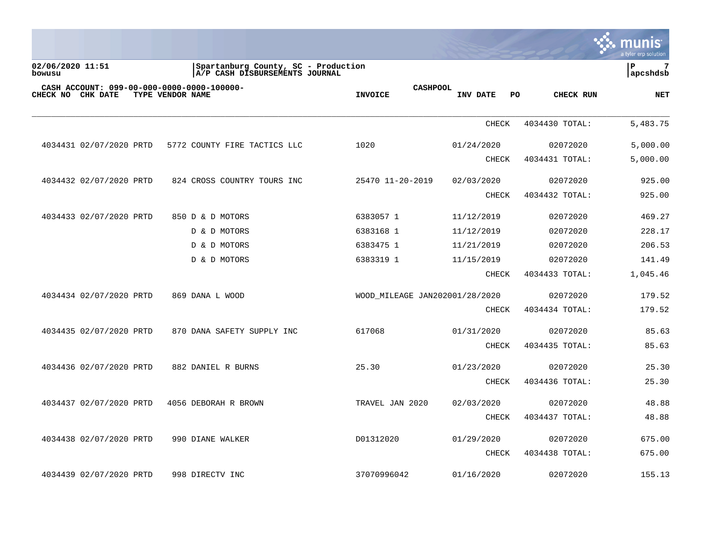|                                                                 |                                                                       |                                   |                |                | munis<br>a tyler erp solution |
|-----------------------------------------------------------------|-----------------------------------------------------------------------|-----------------------------------|----------------|----------------|-------------------------------|
| 02/06/2020 11:51<br>bowusu                                      | Spartanburg County, SC - Production<br>A/P CASH DISBURSEMENTS JOURNAL |                                   |                |                | P<br>7<br>apcshdsb            |
| CASH ACCOUNT: 099-00-000-0000-0000-100000-<br>CHECK NO CHK DATE | TYPE VENDOR NAME                                                      | <b>CASHPOOL</b><br><b>INVOICE</b> | INV DATE<br>PO | CHECK RUN      | NET                           |
|                                                                 |                                                                       |                                   | <b>CHECK</b>   | 4034430 TOTAL: | 5,483.75                      |
| 4034431 02/07/2020 PRTD                                         | 5772 COUNTY FIRE TACTICS LLC                                          | 1020                              | 01/24/2020     | 02072020       | 5,000.00                      |
|                                                                 |                                                                       |                                   | <b>CHECK</b>   | 4034431 TOTAL: | 5,000.00                      |
| 4034432 02/07/2020 PRTD                                         | 824 CROSS COUNTRY TOURS INC                                           | 25470 11-20-2019                  | 02/03/2020     | 02072020       | 925.00                        |
|                                                                 |                                                                       |                                   | <b>CHECK</b>   | 4034432 TOTAL: | 925.00                        |
| 4034433 02/07/2020 PRTD                                         | 850 D & D MOTORS                                                      | 6383057 1                         | 11/12/2019     | 02072020       | 469.27                        |
|                                                                 | D & D MOTORS                                                          | 6383168 1                         | 11/12/2019     | 02072020       | 228.17                        |
|                                                                 | D & D MOTORS                                                          | 6383475 1                         | 11/21/2019     | 02072020       | 206.53                        |
|                                                                 | D & D MOTORS                                                          | 6383319 1                         | 11/15/2019     | 02072020       | 141.49                        |
|                                                                 |                                                                       |                                   | <b>CHECK</b>   | 4034433 TOTAL: | 1,045.46                      |
| 4034434 02/07/2020 PRTD                                         | 869 DANA L WOOD                                                       | WOOD MILEAGE JAN202001/28/2020    |                | 02072020       | 179.52                        |
|                                                                 |                                                                       |                                   | <b>CHECK</b>   | 4034434 TOTAL: | 179.52                        |
| 4034435 02/07/2020 PRTD                                         | 870 DANA SAFETY SUPPLY INC                                            | 617068                            | 01/31/2020     | 02072020       | 85.63                         |
|                                                                 |                                                                       |                                   | <b>CHECK</b>   | 4034435 TOTAL: | 85.63                         |
| 4034436 02/07/2020 PRTD                                         | 882 DANIEL R BURNS                                                    | 25.30                             | 01/23/2020     | 02072020       | 25.30                         |
|                                                                 |                                                                       |                                   | <b>CHECK</b>   | 4034436 TOTAL: | 25.30                         |
| 4034437 02/07/2020 PRTD                                         | 4056 DEBORAH R BROWN                                                  | TRAVEL JAN 2020                   | 02/03/2020     | 02072020       | 48.88                         |
|                                                                 |                                                                       |                                   | <b>CHECK</b>   | 4034437 TOTAL: | 48.88                         |
| 4034438 02/07/2020 PRTD                                         | 990 DIANE WALKER                                                      | D01312020                         | 01/29/2020     | 02072020       | 675.00                        |
|                                                                 |                                                                       |                                   | <b>CHECK</b>   | 4034438 TOTAL: | 675.00                        |
| 4034439 02/07/2020 PRTD                                         | 998 DIRECTV INC                                                       | 37070996042                       | 01/16/2020     | 02072020       | 155.13                        |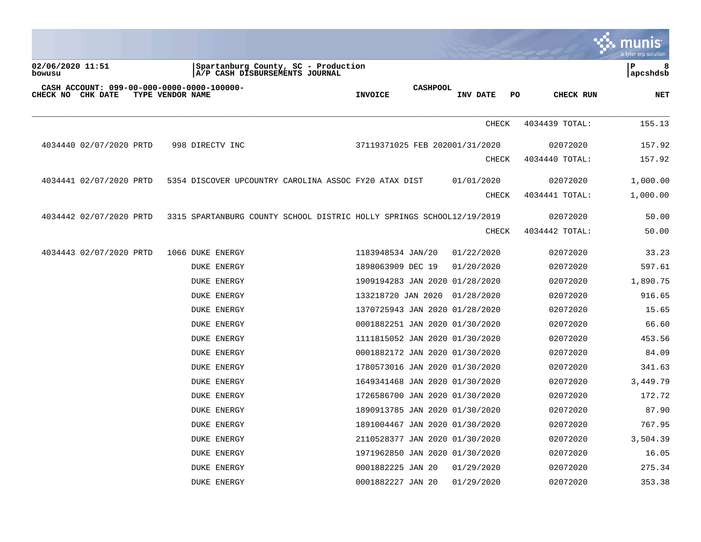|                                                                                     |                                                                       |                                   |              |                 | munis<br>a tyler erp solution |
|-------------------------------------------------------------------------------------|-----------------------------------------------------------------------|-----------------------------------|--------------|-----------------|-------------------------------|
| 02/06/2020 11:51<br>bowusu                                                          | Spartanburg County, SC - Production<br>A/P CASH DISBURSEMENTS JOURNAL |                                   |              |                 | ∣ P<br>8<br> apcshdsb         |
| CASH ACCOUNT: 099-00-000-0000-0000-100000-<br>CHECK NO CHK DATE<br>TYPE VENDOR NAME |                                                                       | <b>CASHPOOL</b><br><b>INVOICE</b> | INV DATE     | PO<br>CHECK RUN | <b>NET</b>                    |
|                                                                                     |                                                                       |                                   | <b>CHECK</b> | 4034439 TOTAL:  | 155.13                        |
| 4034440 02/07/2020 PRTD                                                             | 998 DIRECTV INC                                                       | 37119371025 FEB 202001/31/2020    |              | 02072020        | 157.92                        |
|                                                                                     |                                                                       |                                   | <b>CHECK</b> | 4034440 TOTAL:  | 157.92                        |
| 4034441 02/07/2020 PRTD                                                             | 5354 DISCOVER UPCOUNTRY CAROLINA ASSOC FY20 ATAX DIST                 |                                   | 01/01/2020   | 02072020        | 1,000.00                      |
|                                                                                     |                                                                       |                                   | CHECK        | 4034441 TOTAL:  | 1,000.00                      |
| 4034442 02/07/2020 PRTD                                                             | 3315 SPARTANBURG COUNTY SCHOOL DISTRIC HOLLY SPRINGS SCHOOL12/19/2019 |                                   |              | 02072020        | 50.00                         |
|                                                                                     |                                                                       |                                   | <b>CHECK</b> | 4034442 TOTAL:  | 50.00                         |
| 4034443 02/07/2020 PRTD                                                             | 1066 DUKE ENERGY                                                      | 1183948534 JAN/20                 | 01/22/2020   | 02072020        | 33.23                         |
|                                                                                     | <b>DUKE ENERGY</b>                                                    | 1898063909 DEC 19                 | 01/20/2020   | 02072020        | 597.61                        |
|                                                                                     | <b>DUKE ENERGY</b>                                                    | 1909194283 JAN 2020 01/28/2020    |              | 02072020        | 1,890.75                      |
|                                                                                     | <b>DUKE ENERGY</b>                                                    | 133218720 JAN 2020 01/28/2020     |              | 02072020        | 916.65                        |
|                                                                                     | <b>DUKE ENERGY</b>                                                    | 1370725943 JAN 2020 01/28/2020    |              | 02072020        | 15.65                         |
|                                                                                     | <b>DUKE ENERGY</b>                                                    | 0001882251 JAN 2020 01/30/2020    |              | 02072020        | 66.60                         |
|                                                                                     | <b>DUKE ENERGY</b>                                                    | 1111815052 JAN 2020 01/30/2020    |              | 02072020        | 453.56                        |
|                                                                                     | <b>DUKE ENERGY</b>                                                    | 0001882172 JAN 2020 01/30/2020    |              | 02072020        | 84.09                         |
|                                                                                     | <b>DUKE ENERGY</b>                                                    | 1780573016 JAN 2020 01/30/2020    |              | 02072020        | 341.63                        |
|                                                                                     | <b>DUKE ENERGY</b>                                                    | 1649341468 JAN 2020 01/30/2020    |              | 02072020        | 3,449.79                      |
|                                                                                     | <b>DUKE ENERGY</b>                                                    | 1726586700 JAN 2020 01/30/2020    |              | 02072020        | 172.72                        |
|                                                                                     | <b>DUKE ENERGY</b>                                                    | 1890913785 JAN 2020 01/30/2020    |              | 02072020        | 87.90                         |
|                                                                                     | <b>DUKE ENERGY</b>                                                    | 1891004467 JAN 2020 01/30/2020    |              | 02072020        | 767.95                        |
|                                                                                     | <b>DUKE ENERGY</b>                                                    | 2110528377 JAN 2020 01/30/2020    |              | 02072020        | 3,504.39                      |
|                                                                                     | <b>DUKE ENERGY</b>                                                    | 1971962850 JAN 2020 01/30/2020    |              | 02072020        | 16.05                         |
|                                                                                     | <b>DUKE ENERGY</b>                                                    | 0001882225 JAN 20                 | 01/29/2020   | 02072020        | 275.34                        |
|                                                                                     | <b>DUKE ENERGY</b>                                                    | 0001882227 JAN 20                 | 01/29/2020   | 02072020        | 353.38                        |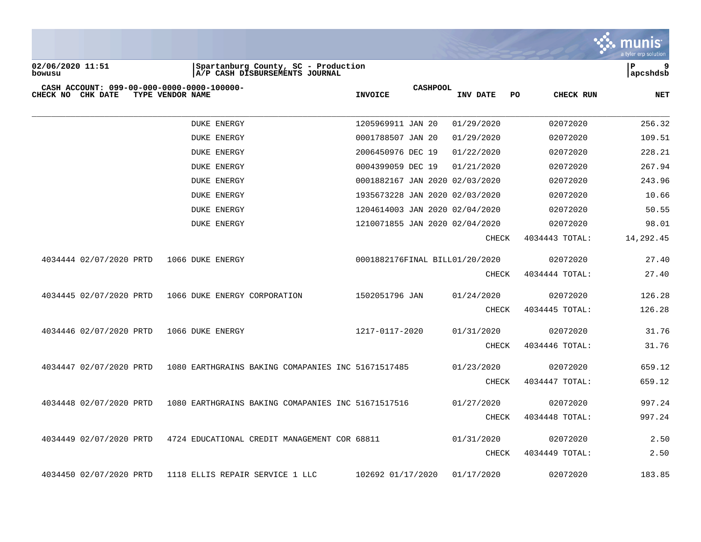

**02/06/2020 11:51 |Spartanburg County, SC - Production |P 9 bowusu |A/P CASH DISBURSEMENTS JOURNAL |apcshdsb**

| CHECK NO | CHK DATE                | TYPE VENDOR NAME | CASH ACCOUNT: 099-00-000-0000-0000-100000- |                                                    | <b>INVOICE</b>    | <b>CASHPOOL</b> | INV DATE                       | PO. | CHECK RUN      | <b>NET</b> |
|----------|-------------------------|------------------|--------------------------------------------|----------------------------------------------------|-------------------|-----------------|--------------------------------|-----|----------------|------------|
|          |                         |                  | <b>DUKE ENERGY</b>                         |                                                    | 1205969911 JAN 20 |                 | 01/29/2020                     |     | 02072020       | 256.32     |
|          |                         |                  | <b>DUKE ENERGY</b>                         |                                                    | 0001788507 JAN 20 |                 | 01/29/2020                     |     | 02072020       | 109.51     |
|          |                         |                  | <b>DUKE ENERGY</b>                         |                                                    | 2006450976 DEC 19 |                 | 01/22/2020                     |     | 02072020       | 228.21     |
|          |                         |                  | <b>DUKE ENERGY</b>                         |                                                    | 0004399059 DEC 19 |                 | 01/21/2020                     |     | 02072020       | 267.94     |
|          |                         |                  | <b>DUKE ENERGY</b>                         |                                                    |                   |                 | 0001882167 JAN 2020 02/03/2020 |     | 02072020       | 243.96     |
|          |                         |                  | <b>DUKE ENERGY</b>                         |                                                    |                   |                 | 1935673228 JAN 2020 02/03/2020 |     | 02072020       | 10.66      |
|          |                         |                  | <b>DUKE ENERGY</b>                         |                                                    |                   |                 | 1204614003 JAN 2020 02/04/2020 |     | 02072020       | 50.55      |
|          |                         |                  | <b>DUKE ENERGY</b>                         |                                                    |                   |                 | 1210071855 JAN 2020 02/04/2020 |     | 02072020       | 98.01      |
|          |                         |                  |                                            |                                                    |                   |                 | CHECK                          |     | 4034443 TOTAL: | 14,292.45  |
|          | 4034444 02/07/2020 PRTD |                  | 1066 DUKE ENERGY                           |                                                    |                   |                 | 0001882176FINAL BILL01/20/2020 |     | 02072020       | 27.40      |
|          |                         |                  |                                            |                                                    |                   |                 | CHECK                          |     | 4034444 TOTAL: | 27.40      |
|          | 4034445 02/07/2020 PRTD |                  |                                            | 1066 DUKE ENERGY CORPORATION                       | 1502051796 JAN    |                 | 01/24/2020                     |     | 02072020       | 126.28     |
|          |                         |                  |                                            |                                                    |                   |                 | CHECK                          |     | 4034445 TOTAL: | 126.28     |
|          | 4034446 02/07/2020 PRTD |                  | 1066 DUKE ENERGY                           |                                                    | 1217-0117-2020    |                 | 01/31/2020                     |     | 02072020       | 31.76      |
|          |                         |                  |                                            |                                                    |                   |                 | CHECK                          |     | 4034446 TOTAL: | 31.76      |
|          | 4034447 02/07/2020 PRTD |                  |                                            | 1080 EARTHGRAINS BAKING COMAPANIES INC 51671517485 |                   |                 | 01/23/2020                     |     | 02072020       | 659.12     |
|          |                         |                  |                                            |                                                    |                   |                 | CHECK                          |     | 4034447 TOTAL: | 659.12     |
|          | 4034448 02/07/2020 PRTD |                  |                                            | 1080 EARTHGRAINS BAKING COMAPANIES INC 51671517516 |                   |                 | 01/27/2020                     |     | 02072020       | 997.24     |
|          |                         |                  |                                            |                                                    |                   |                 | CHECK                          |     | 4034448 TOTAL: | 997.24     |
|          | 4034449 02/07/2020 PRTD |                  |                                            | 4724 EDUCATIONAL CREDIT MANAGEMENT COR 68811       |                   |                 | 01/31/2020                     |     | 02072020       | 2.50       |
|          |                         |                  |                                            |                                                    |                   |                 | CHECK                          |     | 4034449 TOTAL: | 2.50       |
|          | 4034450 02/07/2020 PRTD |                  |                                            | 1118 ELLIS REPAIR SERVICE 1 LLC                    | 102692 01/17/2020 |                 | 01/17/2020                     |     | 02072020       | 183.85     |
|          |                         |                  |                                            |                                                    |                   |                 |                                |     |                |            |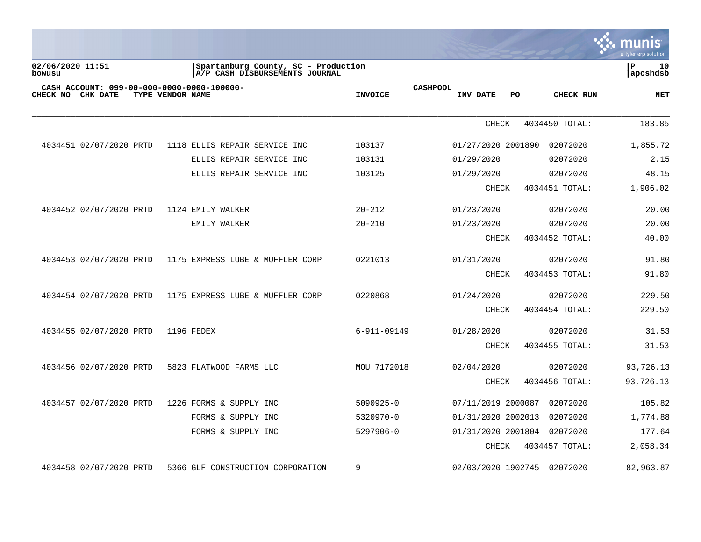

02/06/2020 11:51 **|Spartanburg County, SC - Production |P 10** 10<br> **bowusu** | A/P CASH DISBURSEMENTS JOURNAL  $\overline{A/P}$  CASH DISBURSEMENTS JOURNAL **CASH ACCOUNT: 099-00-000-0000-0000-100000- CASHPOOL CHECK NO CHK DATE TYPE VENDOR NAME INVOICE INV DATE PO CHECK RUN NET** \_\_\_\_\_\_\_\_\_\_\_\_\_\_\_\_\_\_\_\_\_\_\_\_\_\_\_\_\_\_\_\_\_\_\_\_\_\_\_\_\_\_\_\_\_\_\_\_\_\_\_\_\_\_\_\_\_\_\_\_\_\_\_\_\_\_\_\_\_\_\_\_\_\_\_\_\_\_\_\_\_\_\_\_\_\_\_\_\_\_\_\_\_\_\_\_\_\_\_\_\_\_\_\_\_\_\_\_\_\_\_\_\_\_\_\_\_\_\_\_\_\_\_\_\_\_\_\_\_\_\_\_ CHECK 4034450 TOTAL: 183.85 4034451 02/07/2020 PRTD 1118 ELLIS REPAIR SERVICE INC 103137 01/27/2020 2001890 02072020 1,855.72 ELLIS REPAIR SERVICE INC 103131 01/29/2020 02072020 2.15 ELLIS REPAIR SERVICE INC 103125 01/29/2020 02072020 48.15 CHECK 4034451 TOTAL: 1,906.02 4034452 02/07/2020 PRTD 1124 EMILY WALKER 20-212 01/23/2020 02072020 20.00 EMILY WALKER 20-210 01/23/2020 02072020 20.00 CHECK 4034452 TOTAL: 40.00 4034453 02/07/2020 PRTD 1175 EXPRESS LUBE & MUFFLER CORP 0221013 01/31/2020 02072020 91.80 CHECK 4034453 TOTAL: 91.80 4034454 02/07/2020 PRTD 1175 EXPRESS LUBE & MUFFLER CORP 0220868 01/24/2020 02072020 229.50 CHECK 4034454 TOTAL: 229.50 4034455 02/07/2020 PRTD 1196 FEDEX 6-911-09149 01/28/2020 02072020 31.53 CHECK 4034455 TOTAL: 31.53 4034456 02/07/2020 PRTD 5823 FLATWOOD FARMS LLC MOU 7172018 02/04/2020 02072020 93,726.13 CHECK 4034456 TOTAL: 93,726.13 4034457 02/07/2020 PRTD 1226 FORMS & SUPPLY INC 5090925-0 07/11/2019 2000087 02072020 105.82 FORMS & SUPPLY INC 5320970-0 01/31/2020 2002013 02072020 1,774.88 FORMS & SUPPLY INC 5297906-0 01/31/2020 2001804 02072020 177.64 CHECK 4034457 TOTAL: 2,058.34

4034458 02/07/2020 PRTD 5366 GLF CONSTRUCTION CORPORATION 9 02/03/2020 1902745 02072020 82,963.87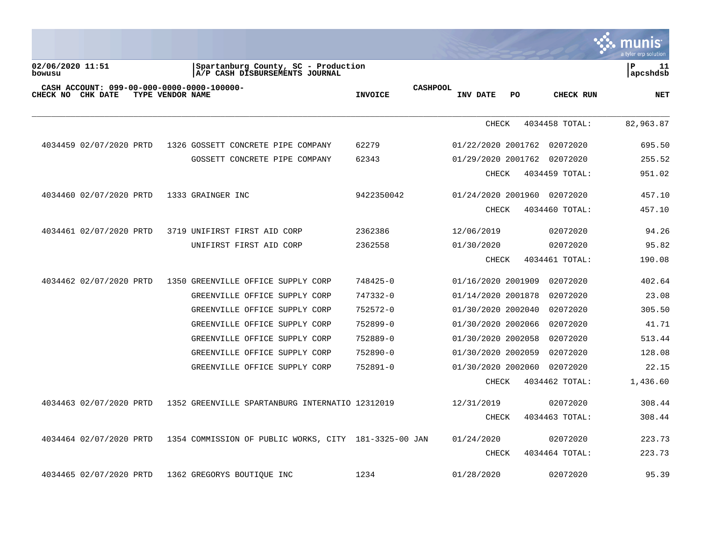| $\cdot$ munis        |
|----------------------|
|                      |
| a tyler erp solution |

02/06/2020 11:51 **|Spartanburg County, SC - Production |P 11** 11<br> **bowusu** | A/P CASH DISBURSEMENTS JOURNAL  $\overline{A/P}$  CASH DISBURSEMENTS JOURNAL **CASH ACCOUNT: 099-00-000-0000-0000-100000- CASHPOOL CHECK NO CHK DATE TYPE VENDOR NAME INVOICE INV DATE PO CHECK RUN NET** \_\_\_\_\_\_\_\_\_\_\_\_\_\_\_\_\_\_\_\_\_\_\_\_\_\_\_\_\_\_\_\_\_\_\_\_\_\_\_\_\_\_\_\_\_\_\_\_\_\_\_\_\_\_\_\_\_\_\_\_\_\_\_\_\_\_\_\_\_\_\_\_\_\_\_\_\_\_\_\_\_\_\_\_\_\_\_\_\_\_\_\_\_\_\_\_\_\_\_\_\_\_\_\_\_\_\_\_\_\_\_\_\_\_\_\_\_\_\_\_\_\_\_\_\_\_\_\_\_\_\_\_ CHECK 4034458 TOTAL: 82,963.87 4034459 02/07/2020 PRTD 1326 GOSSETT CONCRETE PIPE COMPANY 62279 01/22/2020 2001762 02072020 695.50 GOSSETT CONCRETE PIPE COMPANY 62343 01/29/2020 2001762 02072020 255.52 CHECK 4034459 TOTAL: 951.02 4034460 02/07/2020 PRTD 1333 GRAINGER INC 9422350042 01/24/2020 2001960 02072020 457.10 CHECK 4034460 TOTAL: 457.10 4034461 02/07/2020 PRTD 3719 UNIFIRST FIRST AID CORP 2362386 12/06/2019 02072020 94.26 UNIFIRST FIRST AID CORP  $2362558$  01/30/2020 02072020 95.82 CHECK 4034461 TOTAL: 190.08 4034462 02/07/2020 PRTD 1350 GREENVILLE OFFICE SUPPLY CORP 748425-0 01/16/2020 2001909 02072020 402.64 GREENVILLE OFFICE SUPPLY CORP 747332-0 01/14/2020 2001878 02072020 23.08 GREENVILLE OFFICE SUPPLY CORP 752572-0 01/30/2020 2002040 02072020 305.50 GREENVILLE OFFICE SUPPLY CORP 752899-0 01/30/2020 2002066 02072020 41.71 GREENVILLE OFFICE SUPPLY CORP 752889-0 01/30/2020 2002058 02072020 513.44 GREENVILLE OFFICE SUPPLY CORP 752890-0 01/30/2020 2002059 02072020 128.08 GREENVILLE OFFICE SUPPLY CORP 752891-0 01/30/2020 2002060 02072020 22.15 CHECK 4034462 TOTAL: 1,436.60 4034463 02/07/2020 PRTD 1352 GREENVILLE SPARTANBURG INTERNATIO 12312019 12/31/2019 02072020 308.44 CHECK 4034463 TOTAL: 308.44 4034464 02/07/2020 PRTD 1354 COMMISSION OF PUBLIC WORKS, CITY 181-3325-00 JAN 01/24/2020 02072020 223.73 CHECK 4034464 TOTAL: 223.73 4034465 02/07/2020 PRTD 1362 GREGORYS BOUTIQUE INC 1234 01/28/2020 02072020 95.39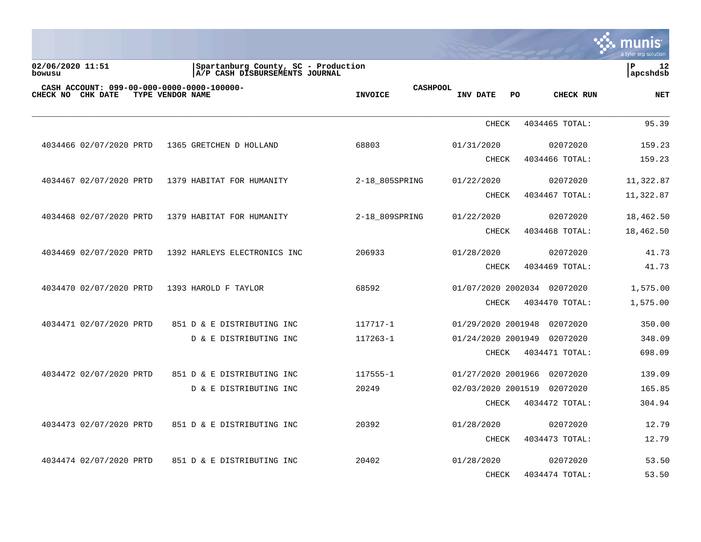|                            |                                                               |                  |                                                                       |                                   |                    |                             | a tyler erp solution |
|----------------------------|---------------------------------------------------------------|------------------|-----------------------------------------------------------------------|-----------------------------------|--------------------|-----------------------------|----------------------|
| 02/06/2020 11:51<br>bowusu |                                                               |                  | Spartanburg County, SC - Production<br>A/P CASH DISBURSEMENTS JOURNAL |                                   |                    |                             | P<br>12<br>apcshdsb  |
| CHECK NO                   | CASH ACCOUNT: 099-00-000-0000-0000-100000-<br><b>CHK DATE</b> | TYPE VENDOR NAME |                                                                       | <b>CASHPOOL</b><br><b>INVOICE</b> | INV DATE           | PO.<br>CHECK RUN            | <b>NET</b>           |
|                            |                                                               |                  |                                                                       |                                   | <b>CHECK</b>       | 4034465 TOTAL:              | 95.39                |
|                            | 4034466 02/07/2020 PRTD                                       |                  | 1365 GRETCHEN D HOLLAND                                               | 68803                             | 01/31/2020         | 02072020                    | 159.23               |
|                            |                                                               |                  |                                                                       |                                   | <b>CHECK</b>       | 4034466 TOTAL:              | 159.23               |
|                            | 4034467 02/07/2020 PRTD                                       |                  | 1379 HABITAT FOR HUMANITY                                             | 2-18_805SPRING                    | 01/22/2020         | 02072020                    | 11,322.87            |
|                            |                                                               |                  |                                                                       |                                   | <b>CHECK</b>       | 4034467 TOTAL:              | 11,322.87            |
|                            | 4034468 02/07/2020 PRTD                                       |                  | 1379 HABITAT FOR HUMANITY                                             | 2-18_809SPRING                    | 01/22/2020         | 02072020                    | 18,462.50            |
|                            |                                                               |                  |                                                                       |                                   | CHECK              | 4034468 TOTAL:              | 18,462.50            |
|                            | 4034469 02/07/2020 PRTD                                       |                  | 1392 HARLEYS ELECTRONICS INC                                          | 206933                            | 01/28/2020         | 02072020                    | 41.73                |
|                            |                                                               |                  |                                                                       |                                   | CHECK              | 4034469 TOTAL:              | 41.73                |
|                            | 4034470 02/07/2020 PRTD                                       |                  | 1393 HAROLD F TAYLOR                                                  | 68592                             |                    | 01/07/2020 2002034 02072020 | 1,575.00             |
|                            |                                                               |                  |                                                                       |                                   | <b>CHECK</b>       | 4034470 TOTAL:              | 1,575.00             |
|                            | 4034471 02/07/2020 PRTD                                       |                  | 851 D & E DISTRIBUTING INC                                            | 117717-1                          | 01/29/2020 2001948 | 02072020                    | 350.00               |
|                            |                                                               |                  | D & E DISTRIBUTING INC                                                | 117263-1                          | 01/24/2020 2001949 | 02072020                    | 348.09               |
|                            |                                                               |                  |                                                                       |                                   | CHECK              | 4034471 TOTAL:              | 698.09               |
|                            | 4034472 02/07/2020 PRTD                                       |                  | 851 D & E DISTRIBUTING INC                                            | 117555-1                          | 01/27/2020 2001966 | 02072020                    | 139.09               |
|                            |                                                               |                  | D & E DISTRIBUTING INC                                                | 20249                             | 02/03/2020 2001519 | 02072020                    | 165.85               |
|                            |                                                               |                  |                                                                       |                                   | <b>CHECK</b>       | 4034472 TOTAL:              | 304.94               |
|                            | 4034473 02/07/2020 PRTD                                       |                  | 851 D & E DISTRIBUTING INC                                            | 20392                             | 01/28/2020         | 02072020                    | 12.79                |
|                            |                                                               |                  |                                                                       |                                   | <b>CHECK</b>       | 4034473 TOTAL:              | 12.79                |
|                            | 4034474 02/07/2020 PRTD                                       |                  | 851 D & E DISTRIBUTING INC                                            | 20402                             | 01/28/2020         | 02072020                    | 53.50                |
|                            |                                                               |                  |                                                                       |                                   | <b>CHECK</b>       | 4034474 TOTAL:              | 53.50                |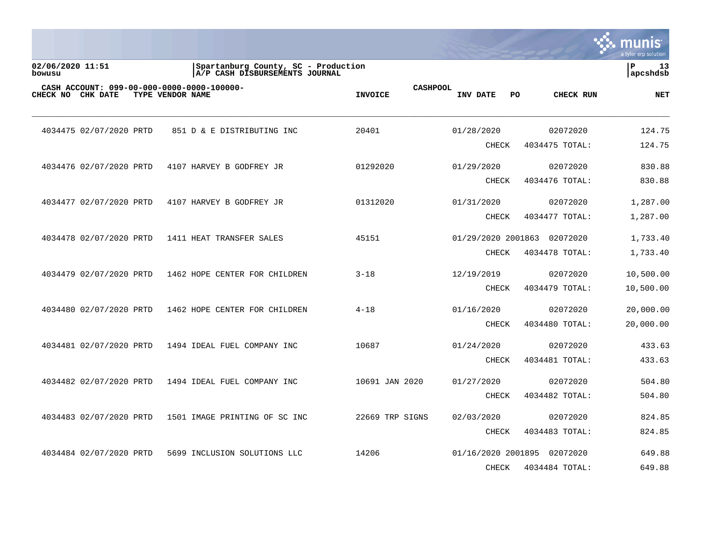|                            |                                                                 |                  |                                                                       |                 |                 |                            |    |                            | a tyler erp solution |
|----------------------------|-----------------------------------------------------------------|------------------|-----------------------------------------------------------------------|-----------------|-----------------|----------------------------|----|----------------------------|----------------------|
| 02/06/2020 11:51<br>bowusu |                                                                 |                  | Spartanburg County, SC - Production<br>A/P CASH DISBURSEMENTS JOURNAL |                 |                 |                            |    |                            | ΙP<br>13<br>apcshdsb |
|                            | CASH ACCOUNT: 099-00-000-0000-0000-100000-<br>CHECK NO CHK DATE | TYPE VENDOR NAME |                                                                       | <b>INVOICE</b>  | <b>CASHPOOL</b> | <b>INV DATE</b>            | PO | CHECK RUN                  | <b>NET</b>           |
|                            | 4034475 02/07/2020 PRTD                                         |                  | 851 D & E DISTRIBUTING INC                                            | 20401           |                 | 01/28/2020                 |    | 02072020                   | 124.75               |
|                            |                                                                 |                  |                                                                       |                 |                 | <b>CHECK</b>               |    | 4034475 TOTAL:             | 124.75               |
|                            | 4034476 02/07/2020 PRTD                                         |                  | 4107 HARVEY B GODFREY JR                                              | 01292020        |                 | 01/29/2020                 |    | 02072020                   | 830.88               |
|                            |                                                                 |                  |                                                                       |                 |                 | <b>CHECK</b>               |    | 4034476 TOTAL:             | 830.88               |
|                            | 4034477 02/07/2020 PRTD                                         |                  | 4107 HARVEY B GODFREY JR                                              | 01312020        |                 | 01/31/2020                 |    | 02072020                   | 1,287.00             |
|                            |                                                                 |                  |                                                                       |                 |                 | <b>CHECK</b>               |    | 4034477 TOTAL:             | 1,287.00             |
|                            | 4034478 02/07/2020 PRTD                                         |                  | 1411 HEAT TRANSFER SALES                                              | 45151           |                 | 01/29/2020 2001863         |    | 02072020                   | 1,733.40             |
|                            |                                                                 |                  |                                                                       |                 |                 | <b>CHECK</b>               |    | 4034478 TOTAL:             | 1,733.40             |
|                            | 4034479 02/07/2020 PRTD                                         |                  | 1462 HOPE CENTER FOR CHILDREN                                         | $3 - 18$        |                 | 12/19/2019                 |    | 02072020                   | 10,500.00            |
|                            |                                                                 |                  |                                                                       |                 |                 | <b>CHECK</b>               |    | 4034479 TOTAL:             | 10,500.00            |
|                            | 4034480 02/07/2020 PRTD                                         |                  | 1462 HOPE CENTER FOR CHILDREN                                         | $4 - 18$        |                 | 01/16/2020                 |    | 02072020                   | 20,000.00            |
|                            |                                                                 |                  |                                                                       |                 |                 | <b>CHECK</b>               |    | 4034480 TOTAL:             | 20,000.00            |
|                            |                                                                 |                  |                                                                       |                 |                 |                            |    |                            |                      |
|                            | 4034481 02/07/2020 PRTD                                         |                  | 1494 IDEAL FUEL COMPANY INC                                           | 10687           |                 | 01/24/2020<br><b>CHECK</b> |    | 02072020<br>4034481 TOTAL: | 433.63<br>433.63     |
|                            |                                                                 |                  |                                                                       |                 |                 |                            |    |                            |                      |
|                            | 4034482 02/07/2020 PRTD                                         |                  | 1494 IDEAL FUEL COMPANY INC                                           | 10691 JAN 2020  |                 | 01/27/2020                 |    | 02072020                   | 504.80               |
|                            |                                                                 |                  |                                                                       |                 |                 | <b>CHECK</b>               |    | 4034482 TOTAL:             | 504.80               |
|                            | 4034483 02/07/2020 PRTD                                         |                  | 1501 IMAGE PRINTING OF SC INC                                         | 22669 TRP SIGNS |                 | 02/03/2020                 |    | 02072020                   | 824.85               |
|                            |                                                                 |                  |                                                                       |                 |                 | <b>CHECK</b>               |    | 4034483 TOTAL:             | 824.85               |
|                            | 4034484 02/07/2020 PRTD                                         |                  | 5699 INCLUSION SOLUTIONS LLC                                          | 14206           |                 | 01/16/2020 2001895         |    | 02072020                   | 649.88               |
|                            |                                                                 |                  |                                                                       |                 |                 | <b>CHECK</b>               |    | 4034484 TOTAL:             | 649.88               |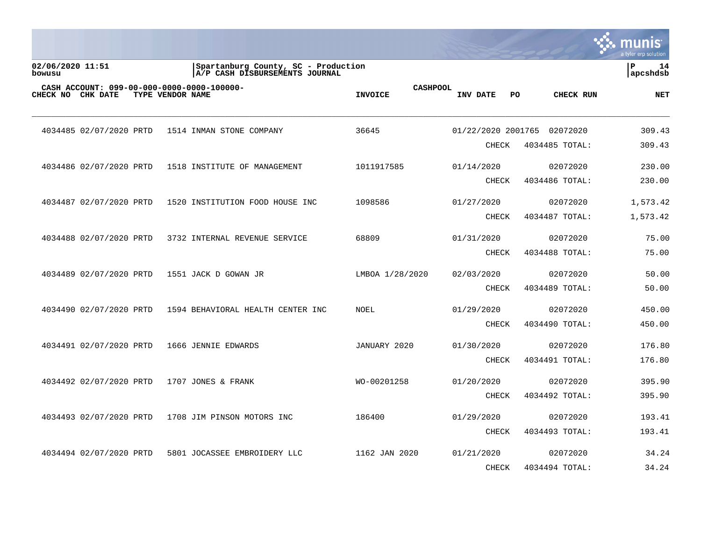|                                                                 |                  |                                                                       |                                   |                            |                         | a tyler erp solution |
|-----------------------------------------------------------------|------------------|-----------------------------------------------------------------------|-----------------------------------|----------------------------|-------------------------|----------------------|
| 02/06/2020 11:51<br>bowusu                                      |                  | Spartanburg County, SC - Production<br>A/P CASH DISBURSEMENTS JOURNAL |                                   |                            |                         | ΙP<br>14<br>apcshdsb |
| CASH ACCOUNT: 099-00-000-0000-0000-100000-<br>CHECK NO CHK DATE | TYPE VENDOR NAME |                                                                       | <b>CASHPOOL</b><br><b>INVOICE</b> | <b>INV DATE</b>            | <b>CHECK RUN</b><br>PO. | <b>NET</b>           |
| 4034485 02/07/2020 PRTD                                         |                  | 1514 INMAN STONE COMPANY                                              | 36645                             | 01/22/2020 2001765         | 02072020                | 309.43               |
|                                                                 |                  |                                                                       |                                   | CHECK                      | 4034485 TOTAL:          | 309.43               |
| 4034486 02/07/2020 PRTD                                         |                  | 1518 INSTITUTE OF MANAGEMENT                                          | 1011917585                        | 01/14/2020                 | 02072020                | 230.00               |
|                                                                 |                  |                                                                       |                                   | <b>CHECK</b>               | 4034486 TOTAL:          | 230.00               |
| 4034487 02/07/2020 PRTD                                         |                  | 1520 INSTITUTION FOOD HOUSE INC                                       | 1098586                           | 01/27/2020                 | 02072020                | 1,573.42             |
|                                                                 |                  |                                                                       |                                   | CHECK                      | 4034487 TOTAL:          | 1,573.42             |
| 4034488 02/07/2020 PRTD                                         |                  | 3732 INTERNAL REVENUE SERVICE                                         | 68809                             | 01/31/2020                 | 02072020                | 75.00                |
|                                                                 |                  |                                                                       |                                   | <b>CHECK</b>               | 4034488 TOTAL:          | 75.00                |
| 4034489 02/07/2020 PRTD                                         |                  | 1551 JACK D GOWAN JR                                                  | LMBOA 1/28/2020                   | 02/03/2020                 | 02072020                | 50.00                |
|                                                                 |                  |                                                                       |                                   | CHECK                      | 4034489 TOTAL:          | 50.00                |
| 4034490 02/07/2020 PRTD                                         |                  | 1594 BEHAVIORAL HEALTH CENTER INC                                     | <b>NOEL</b>                       | 01/29/2020                 | 02072020                | 450.00               |
|                                                                 |                  |                                                                       |                                   | <b>CHECK</b>               | 4034490 TOTAL:          | 450.00               |
|                                                                 |                  | 1666 JENNIE EDWARDS                                                   | JANUARY 2020                      |                            | 02072020                | 176.80               |
| 4034491 02/07/2020 PRTD                                         |                  |                                                                       |                                   | 01/30/2020<br><b>CHECK</b> | 4034491 TOTAL:          | 176.80               |
|                                                                 |                  |                                                                       |                                   |                            |                         |                      |
| 4034492 02/07/2020 PRTD                                         |                  | 1707 JONES & FRANK                                                    | WO-00201258                       | 01/20/2020                 | 02072020                | 395.90               |
|                                                                 |                  |                                                                       |                                   | <b>CHECK</b>               | 4034492 TOTAL:          | 395.90               |
| 4034493 02/07/2020 PRTD                                         |                  | 1708 JIM PINSON MOTORS INC                                            | 186400                            | 01/29/2020                 | 02072020                | 193.41               |
|                                                                 |                  |                                                                       |                                   | CHECK                      | 4034493 TOTAL:          | 193.41               |
| 4034494 02/07/2020 PRTD                                         |                  | 5801 JOCASSEE EMBROIDERY LLC                                          | 1162 JAN 2020                     | 01/21/2020                 | 02072020                | 34.24                |
|                                                                 |                  |                                                                       |                                   | <b>CHECK</b>               | 4034494 TOTAL:          | 34.24                |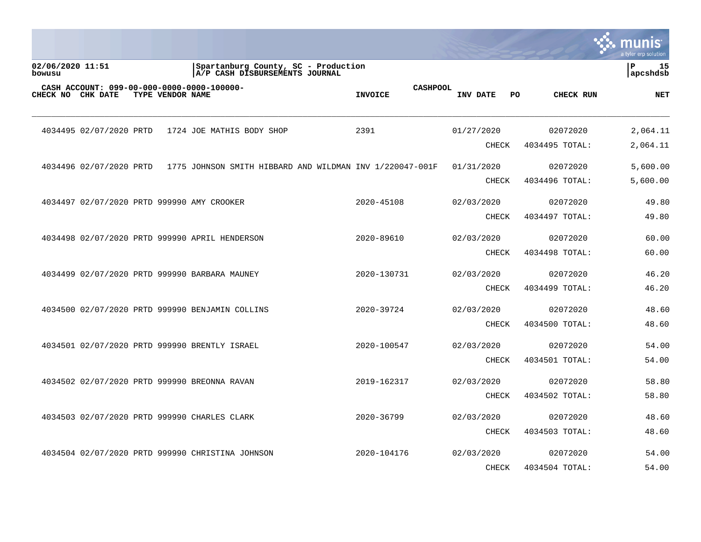|                                                                    |                  |                                                                       |                                   |                     |    |                            | mu<br>a tyler erp solution     |
|--------------------------------------------------------------------|------------------|-----------------------------------------------------------------------|-----------------------------------|---------------------|----|----------------------------|--------------------------------|
| 02/06/2020 11:51<br>bowusu                                         |                  | Spartanburg County, SC - Production<br>A/P CASH DISBURSEMENTS JOURNAL |                                   |                     |    |                            | $\mathbf{P}$<br>15<br>apcshdsb |
| CASH ACCOUNT: 099-00-000-0000-0000-100000-<br>CHECK NO<br>CHK DATE | TYPE VENDOR NAME |                                                                       | <b>CASHPOOL</b><br><b>INVOICE</b> | INV DATE            | PO | CHECK RUN                  | <b>NET</b>                     |
| 4034495 02/07/2020 PRTD                                            |                  | 1724 JOE MATHIS BODY SHOP                                             | 2391                              | 01/27/2020          |    | 02072020                   | 2,064.11                       |
|                                                                    |                  |                                                                       |                                   | CHECK               |    | 4034495 TOTAL:             | 2,064.11                       |
| 4034496 02/07/2020 PRTD                                            |                  | 1775 JOHNSON SMITH HIBBARD AND WILDMAN INV 1/220047-001F              |                                   | 01/31/2020          |    | 02072020                   | 5,600.00                       |
|                                                                    |                  |                                                                       |                                   | <b>CHECK</b>        |    | 4034496 TOTAL:             | 5,600.00                       |
| 4034497 02/07/2020 PRTD 999990 AMY CROOKER                         |                  |                                                                       | 2020-45108                        | 02/03/2020          |    | 02072020                   | 49.80                          |
|                                                                    |                  |                                                                       |                                   | <b>CHECK</b>        |    | 4034497 TOTAL:             | 49.80                          |
|                                                                    |                  | 4034498 02/07/2020 PRTD 999990 APRIL HENDERSON                        | 2020-89610                        | 02/03/2020          |    | 02072020                   | 60.00                          |
|                                                                    |                  |                                                                       |                                   | <b>CHECK</b>        |    | 4034498 TOTAL:             | 60.00                          |
|                                                                    |                  | 4034499 02/07/2020 PRTD 999990 BARBARA MAUNEY                         | 2020-130731                       | 02/03/2020          |    | 02072020                   | 46.20                          |
|                                                                    |                  |                                                                       |                                   | <b>CHECK</b>        |    | 4034499 TOTAL:             | 46.20                          |
|                                                                    |                  | 4034500 02/07/2020 PRTD 999990 BENJAMIN COLLINS                       | 2020-39724                        | 02/03/2020          |    | 02072020                   | 48.60                          |
|                                                                    |                  |                                                                       |                                   | <b>CHECK</b>        |    | 4034500 TOTAL:             | 48.60                          |
|                                                                    |                  | 4034501 02/07/2020 PRTD 999990 BRENTLY ISRAEL                         | 2020-100547                       | 02/03/2020          |    | 02072020                   | 54.00                          |
|                                                                    |                  |                                                                       |                                   | <b>CHECK</b>        |    | 4034501 TOTAL:             | 54.00                          |
|                                                                    |                  | 4034502 02/07/2020 PRTD 999990 BREONNA RAVAN                          | 2019-162317                       | 02/03/2020          |    | 02072020                   | 58.80                          |
|                                                                    |                  |                                                                       |                                   | CHECK               |    | 4034502 TOTAL:             | 58.80                          |
|                                                                    |                  |                                                                       |                                   |                     |    |                            |                                |
|                                                                    |                  | 4034503 02/07/2020 PRTD 999990 CHARLES CLARK                          | 2020-36799                        | 02/03/2020<br>CHECK |    | 02072020<br>4034503 TOTAL: | 48.60<br>48.60                 |
|                                                                    |                  |                                                                       |                                   |                     |    |                            |                                |
|                                                                    |                  | 4034504 02/07/2020 PRTD 999990 CHRISTINA JOHNSON                      | 2020-104176                       | 02/03/2020          |    | 02072020                   | 54.00                          |
|                                                                    |                  |                                                                       |                                   | <b>CHECK</b>        |    | 4034504 TOTAL:             | 54.00                          |

**Contract**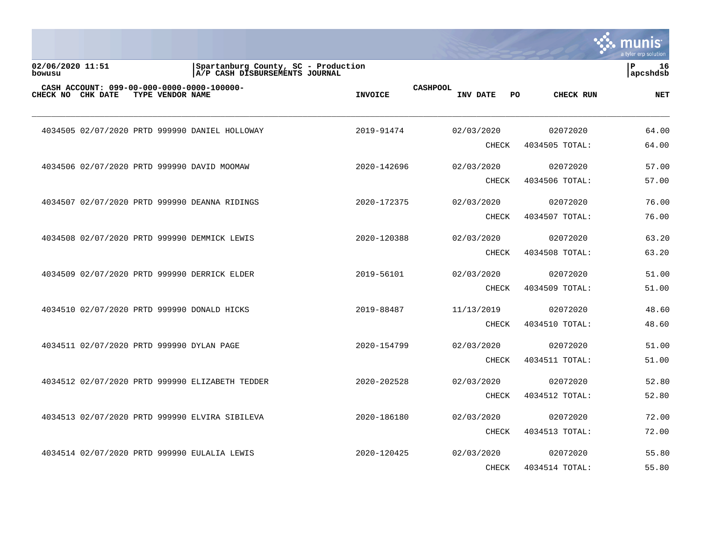|                            |                                           |                  |                                                                       |                |                 |              |     |                | INIS<br>a tyler erp solution |
|----------------------------|-------------------------------------------|------------------|-----------------------------------------------------------------------|----------------|-----------------|--------------|-----|----------------|------------------------------|
| 02/06/2020 11:51<br>bowusu |                                           |                  | Spartanburg County, SC - Production<br>A/P CASH DISBURSEMENTS JOURNAL |                |                 |              |     |                | l P<br>16<br> apcshdsb       |
| CHECK NO CHK DATE          |                                           | TYPE VENDOR NAME | CASH ACCOUNT: 099-00-000-0000-0000-100000-                            | <b>INVOICE</b> | <b>CASHPOOL</b> | INV DATE     | PO. | CHECK RUN      | <b>NET</b>                   |
|                            |                                           |                  | 4034505 02/07/2020 PRTD 999990 DANIEL HOLLOWAY                        | 2019-91474     |                 | 02/03/2020   |     | 02072020       | 64.00                        |
|                            |                                           |                  |                                                                       |                |                 | <b>CHECK</b> |     | 4034505 TOTAL: | 64.00                        |
|                            |                                           |                  | 4034506 02/07/2020 PRTD 999990 DAVID MOOMAW                           | 2020-142696    |                 | 02/03/2020   |     | 02072020       | 57.00                        |
|                            |                                           |                  |                                                                       |                |                 | CHECK        |     | 4034506 TOTAL: | 57.00                        |
|                            |                                           |                  | 4034507 02/07/2020 PRTD 999990 DEANNA RIDINGS                         | 2020-172375    |                 | 02/03/2020   |     | 02072020       | 76.00                        |
|                            |                                           |                  |                                                                       |                |                 | CHECK        |     | 4034507 TOTAL: | 76.00                        |
|                            |                                           |                  | 4034508 02/07/2020 PRTD 999990 DEMMICK LEWIS                          | 2020-120388    |                 | 02/03/2020   |     | 02072020       | 63.20                        |
|                            |                                           |                  |                                                                       |                |                 | CHECK        |     | 4034508 TOTAL: | 63.20                        |
|                            |                                           |                  | 4034509 02/07/2020 PRTD 999990 DERRICK ELDER                          | 2019-56101     |                 | 02/03/2020   |     | 02072020       | 51.00                        |
|                            |                                           |                  |                                                                       |                |                 | <b>CHECK</b> |     | 4034509 TOTAL: | 51.00                        |
|                            |                                           |                  | 4034510 02/07/2020 PRTD 999990 DONALD HICKS                           | 2019-88487     |                 | 11/13/2019   |     | 02072020       | 48.60                        |
|                            |                                           |                  |                                                                       |                |                 | <b>CHECK</b> |     | 4034510 TOTAL: | 48.60                        |
|                            | 4034511 02/07/2020 PRTD 999990 DYLAN PAGE |                  |                                                                       | 2020-154799    |                 | 02/03/2020   |     | 02072020       | 51.00                        |
|                            |                                           |                  |                                                                       |                |                 | <b>CHECK</b> |     | 4034511 TOTAL: | 51.00                        |
|                            |                                           |                  | 4034512 02/07/2020 PRTD 999990 ELIZABETH TEDDER                       | 2020-202528    |                 | 02/03/2020   |     | 02072020       | 52.80                        |
|                            |                                           |                  |                                                                       |                |                 | <b>CHECK</b> |     | 4034512 TOTAL: | 52.80                        |
|                            |                                           |                  | 4034513 02/07/2020 PRTD 999990 ELVIRA SIBILEVA                        | 2020-186180    |                 | 02/03/2020   |     | 02072020       | 72.00                        |
|                            |                                           |                  |                                                                       |                |                 | CHECK        |     | 4034513 TOTAL: | 72.00                        |
|                            |                                           |                  | 4034514 02/07/2020 PRTD 999990 EULALIA LEWIS                          | 2020-120425    |                 | 02/03/2020   |     | 02072020       | 55.80                        |
|                            |                                           |                  |                                                                       |                |                 | <b>CHECK</b> |     | 4034514 TOTAL: | 55.80                        |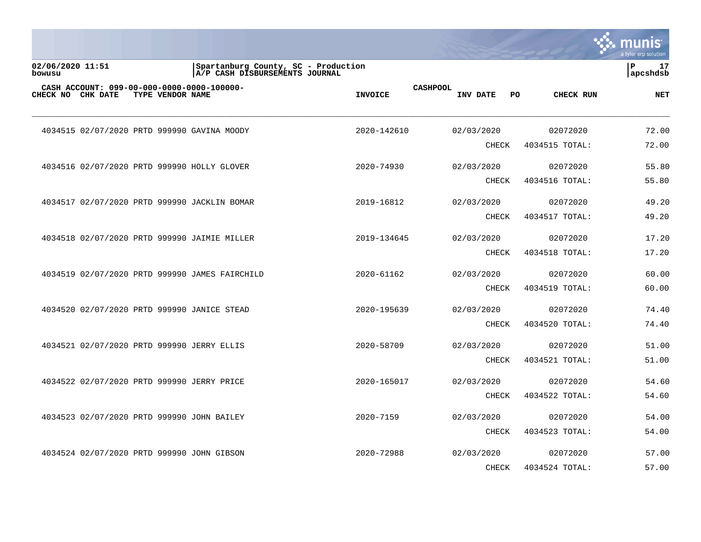|                            |  |                  |                                                                       |                |                 |              |    |                | munis<br>a tyler erp solution   |
|----------------------------|--|------------------|-----------------------------------------------------------------------|----------------|-----------------|--------------|----|----------------|---------------------------------|
| 02/06/2020 11:51<br>bowusu |  |                  | Spartanburg County, SC - Production<br>A/P CASH DISBURSEMENTS JOURNAL |                |                 |              |    |                | $\mathbf{P}$<br>17<br> apcshdsb |
| CHECK NO CHK DATE          |  | TYPE VENDOR NAME | CASH ACCOUNT: 099-00-000-0000-0000-100000-                            | <b>INVOICE</b> | <b>CASHPOOL</b> | INV DATE     | PO | CHECK RUN      | <b>NET</b>                      |
|                            |  |                  | 4034515 02/07/2020 PRTD 999990 GAVINA MOODY                           | 2020-142610    |                 | 02/03/2020   |    | 02072020       | 72.00                           |
|                            |  |                  |                                                                       |                |                 | <b>CHECK</b> |    | 4034515 TOTAL: | 72.00                           |
|                            |  |                  | 4034516 02/07/2020 PRTD 999990 HOLLY GLOVER                           | 2020-74930     |                 | 02/03/2020   |    | 02072020       | 55.80                           |
|                            |  |                  |                                                                       |                |                 | <b>CHECK</b> |    | 4034516 TOTAL: | 55.80                           |
|                            |  |                  | 4034517 02/07/2020 PRTD 999990 JACKLIN BOMAR                          | 2019-16812     |                 | 02/03/2020   |    | 02072020       | 49.20                           |
|                            |  |                  |                                                                       |                |                 | CHECK        |    | 4034517 TOTAL: | 49.20                           |
|                            |  |                  | 4034518 02/07/2020 PRTD 999990 JAIMIE MILLER                          | 2019-134645    |                 | 02/03/2020   |    | 02072020       | 17.20                           |
|                            |  |                  |                                                                       |                |                 | <b>CHECK</b> |    | 4034518 TOTAL: | 17.20                           |
|                            |  |                  | 4034519 02/07/2020 PRTD 999990 JAMES FAIRCHILD                        | 2020-61162     |                 | 02/03/2020   |    | 02072020       | 60.00                           |
|                            |  |                  |                                                                       |                |                 | <b>CHECK</b> |    | 4034519 TOTAL: | 60.00                           |
|                            |  |                  | 4034520 02/07/2020 PRTD 999990 JANICE STEAD                           | 2020-195639    |                 | 02/03/2020   |    | 02072020       | 74.40                           |
|                            |  |                  |                                                                       |                |                 | <b>CHECK</b> |    | 4034520 TOTAL: | 74.40                           |
|                            |  |                  | 4034521 02/07/2020 PRTD 999990 JERRY ELLIS                            | 2020-58709     |                 | 02/03/2020   |    | 02072020       | 51.00                           |
|                            |  |                  |                                                                       |                |                 | <b>CHECK</b> |    | 4034521 TOTAL: | 51.00                           |
|                            |  |                  | 4034522 02/07/2020 PRTD 999990 JERRY PRICE                            | 2020-165017    |                 | 02/03/2020   |    | 02072020       | 54.60                           |
|                            |  |                  |                                                                       |                |                 | <b>CHECK</b> |    | 4034522 TOTAL: | 54.60                           |
|                            |  |                  | 4034523 02/07/2020 PRTD 999990 JOHN BAILEY                            | 2020-7159      |                 | 02/03/2020   |    | 02072020       | 54.00                           |
|                            |  |                  |                                                                       |                |                 | <b>CHECK</b> |    | 4034523 TOTAL: | 54.00                           |
|                            |  |                  | 4034524 02/07/2020 PRTD 999990 JOHN GIBSON                            | 2020-72988     |                 | 02/03/2020   |    | 02072020       | 57.00                           |
|                            |  |                  |                                                                       |                |                 | <b>CHECK</b> |    | 4034524 TOTAL: | 57.00                           |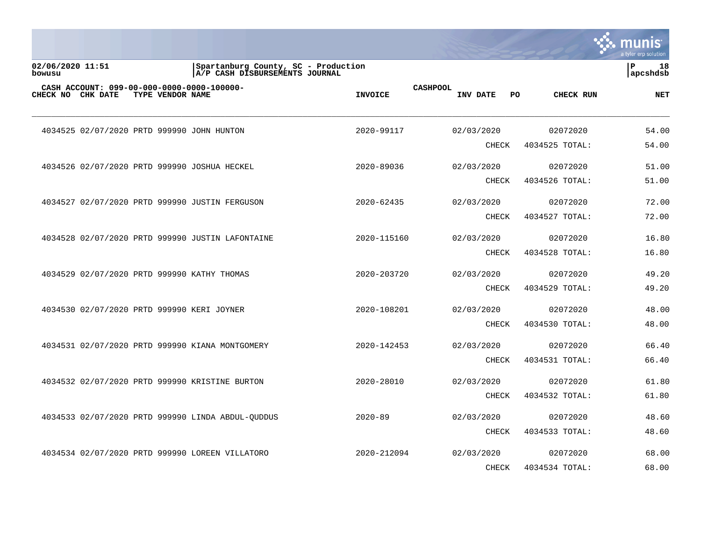|                            |                  |                                                                       |                |                 |              |    |                | munis<br>a tyler erp solution  |
|----------------------------|------------------|-----------------------------------------------------------------------|----------------|-----------------|--------------|----|----------------|--------------------------------|
| 02/06/2020 11:51<br>bowusu |                  | Spartanburg County, SC - Production<br>A/P CASH DISBURSEMENTS JOURNAL |                |                 |              |    |                | $\mathbf{P}$<br>18<br>apcshdsb |
| CHECK NO CHK DATE          | TYPE VENDOR NAME | CASH ACCOUNT: 099-00-000-0000-0000-100000-                            | <b>INVOICE</b> | <b>CASHPOOL</b> | INV DATE     | PO | CHECK RUN      | <b>NET</b>                     |
|                            |                  | 4034525 02/07/2020 PRTD 999990 JOHN HUNTON                            | 2020-99117     |                 | 02/03/2020   |    | 02072020       | 54.00                          |
|                            |                  |                                                                       |                |                 | <b>CHECK</b> |    | 4034525 TOTAL: | 54.00                          |
|                            |                  | 4034526 02/07/2020 PRTD 999990 JOSHUA HECKEL                          | 2020-89036     |                 | 02/03/2020   |    | 02072020       | 51.00                          |
|                            |                  |                                                                       |                |                 | <b>CHECK</b> |    | 4034526 TOTAL: | 51.00                          |
|                            |                  | 4034527 02/07/2020 PRTD 999990 JUSTIN FERGUSON                        | 2020-62435     |                 | 02/03/2020   |    | 02072020       | 72.00                          |
|                            |                  |                                                                       |                |                 | CHECK        |    | 4034527 TOTAL: | 72.00                          |
|                            |                  | 4034528 02/07/2020 PRTD 999990 JUSTIN LAFONTAINE                      | 2020-115160    |                 | 02/03/2020   |    | 02072020       | 16.80                          |
|                            |                  |                                                                       |                |                 | CHECK        |    | 4034528 TOTAL: | 16.80                          |
|                            |                  | 4034529 02/07/2020 PRTD 999990 KATHY THOMAS                           | 2020-203720    |                 | 02/03/2020   |    | 02072020       | 49.20                          |
|                            |                  |                                                                       |                |                 | <b>CHECK</b> |    | 4034529 TOTAL: | 49.20                          |
|                            |                  | 4034530 02/07/2020 PRTD 999990 KERI JOYNER                            | 2020-108201    |                 | 02/03/2020   |    | 02072020       | 48.00                          |
|                            |                  |                                                                       |                |                 | <b>CHECK</b> |    | 4034530 TOTAL: | 48.00                          |
|                            |                  | 4034531 02/07/2020 PRTD 999990 KIANA MONTGOMERY                       | 2020-142453    |                 | 02/03/2020   |    | 02072020       | 66.40                          |
|                            |                  |                                                                       |                |                 | <b>CHECK</b> |    | 4034531 TOTAL: | 66.40                          |
|                            |                  | 4034532 02/07/2020 PRTD 999990 KRISTINE BURTON                        | 2020-28010     |                 | 02/03/2020   |    | 02072020       | 61.80                          |
|                            |                  |                                                                       |                |                 | CHECK        |    | 4034532 TOTAL: | 61.80                          |
|                            |                  | 4034533 02/07/2020 PRTD 999990 LINDA ABDUL-OUDDUS                     | $2020 - 89$    |                 | 02/03/2020   |    | 02072020       | 48.60                          |
|                            |                  |                                                                       |                |                 | <b>CHECK</b> |    | 4034533 TOTAL: | 48.60                          |
|                            |                  | 4034534 02/07/2020 PRTD 999990 LOREEN VILLATORO                       | 2020-212094    |                 | 02/03/2020   |    | 02072020       | 68.00                          |
|                            |                  |                                                                       |                |                 | <b>CHECK</b> |    | 4034534 TOTAL: | 68.00                          |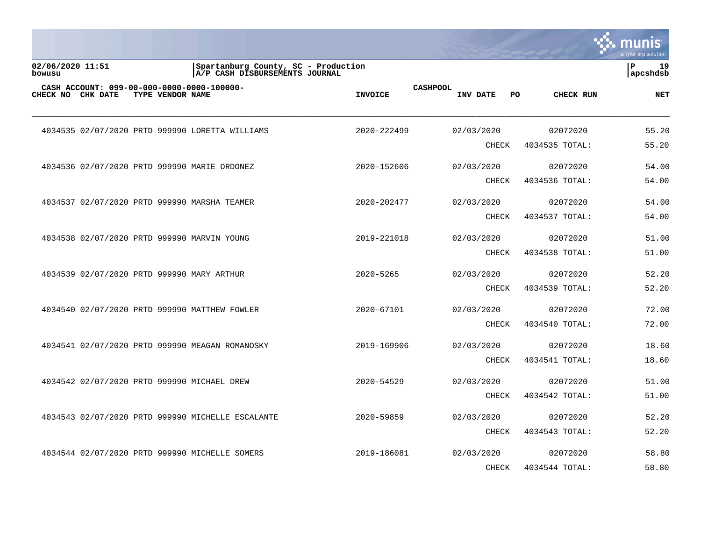|                            |                   |                  |                                                                       |                |                 |            |              |     |                | munis<br>a tyler erp solution  |
|----------------------------|-------------------|------------------|-----------------------------------------------------------------------|----------------|-----------------|------------|--------------|-----|----------------|--------------------------------|
| 02/06/2020 11:51<br>bowusu |                   |                  | Spartanburg County, SC - Production<br>A/P CASH DISBURSEMENTS JOURNAL |                |                 |            |              |     |                | $\mathbf{P}$<br>19<br>apcshdsb |
|                            | CHECK NO CHK DATE | TYPE VENDOR NAME | CASH ACCOUNT: 099-00-000-0000-0000-100000-                            | <b>INVOICE</b> | <b>CASHPOOL</b> | INV DATE   |              | PO. | CHECK RUN      | <b>NET</b>                     |
|                            |                   |                  | 4034535 02/07/2020 PRTD 999990 LORETTA WILLIAMS                       | 2020-222499    |                 | 02/03/2020 |              |     | 02072020       | 55.20                          |
|                            |                   |                  |                                                                       |                |                 |            | <b>CHECK</b> |     | 4034535 TOTAL: | 55.20                          |
|                            |                   |                  | 4034536 02/07/2020 PRTD 999990 MARIE ORDONEZ                          | 2020-152606    |                 | 02/03/2020 |              |     | 02072020       | 54.00                          |
|                            |                   |                  |                                                                       |                |                 |            | <b>CHECK</b> |     | 4034536 TOTAL: | 54.00                          |
|                            |                   |                  | 4034537 02/07/2020 PRTD 999990 MARSHA TEAMER                          | 2020-202477    |                 | 02/03/2020 |              |     | 02072020       | 54.00                          |
|                            |                   |                  |                                                                       |                |                 |            | <b>CHECK</b> |     | 4034537 TOTAL: | 54.00                          |
|                            |                   |                  | 4034538 02/07/2020 PRTD 999990 MARVIN YOUNG                           | 2019-221018    |                 | 02/03/2020 |              |     | 02072020       | 51.00                          |
|                            |                   |                  |                                                                       |                |                 |            | CHECK        |     | 4034538 TOTAL: | 51.00                          |
|                            |                   |                  | 4034539 02/07/2020 PRTD 999990 MARY ARTHUR                            | $2020 - 5265$  |                 | 02/03/2020 |              |     | 02072020       | 52.20                          |
|                            |                   |                  |                                                                       |                |                 |            | <b>CHECK</b> |     | 4034539 TOTAL: | 52.20                          |
|                            |                   |                  | 4034540 02/07/2020 PRTD 999990 MATTHEW FOWLER                         | 2020-67101     |                 | 02/03/2020 |              |     | 02072020       | 72.00                          |
|                            |                   |                  |                                                                       |                |                 |            | <b>CHECK</b> |     | 4034540 TOTAL: | 72.00                          |
|                            |                   |                  | 4034541 02/07/2020 PRTD 999990 MEAGAN ROMANOSKY                       | 2019-169906    |                 | 02/03/2020 |              |     | 02072020       | 18.60                          |
|                            |                   |                  |                                                                       |                |                 |            | <b>CHECK</b> |     | 4034541 TOTAL: | 18.60                          |
|                            |                   |                  | 4034542 02/07/2020 PRTD 999990 MICHAEL DREW                           | 2020-54529     |                 | 02/03/2020 |              |     | 02072020       | 51.00                          |
|                            |                   |                  |                                                                       |                |                 |            | <b>CHECK</b> |     | 4034542 TOTAL: | 51.00                          |
|                            |                   |                  | 4034543 02/07/2020 PRTD 999990 MICHELLE ESCALANTE                     | 2020-59859     |                 | 02/03/2020 |              |     | 02072020       | 52.20                          |
|                            |                   |                  |                                                                       |                |                 |            | <b>CHECK</b> |     | 4034543 TOTAL: | 52.20                          |
|                            |                   |                  | 4034544 02/07/2020 PRTD 999990 MICHELLE SOMERS                        | 2019-186081    |                 | 02/03/2020 |              |     | 02072020       | 58.80                          |
|                            |                   |                  |                                                                       |                |                 |            | <b>CHECK</b> |     | 4034544 TOTAL: | 58.80                          |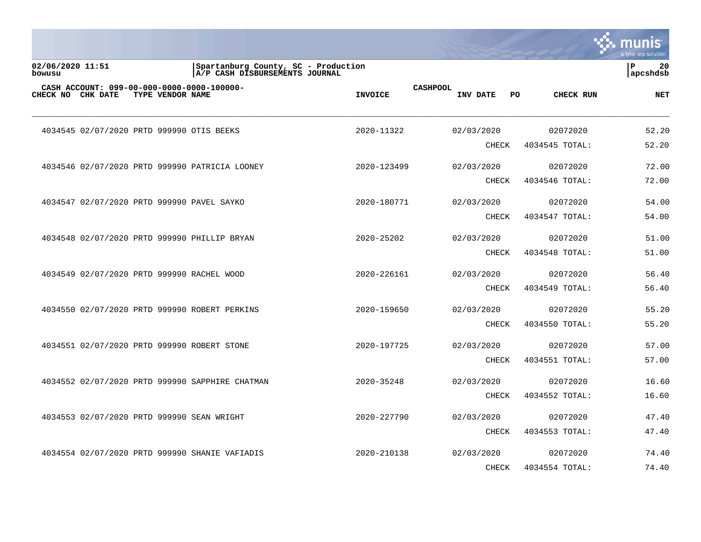|                            |                                           |                  |                                                                       |                |                 |              |    |                | munis<br>a tyler erp solution |
|----------------------------|-------------------------------------------|------------------|-----------------------------------------------------------------------|----------------|-----------------|--------------|----|----------------|-------------------------------|
| 02/06/2020 11:51<br>bowusu |                                           |                  | Spartanburg County, SC - Production<br>A/P CASH DISBURSEMENTS JOURNAL |                |                 |              |    |                | l P<br>20<br> apcshdsb        |
| CHECK NO CHK DATE          |                                           | TYPE VENDOR NAME | CASH ACCOUNT: 099-00-000-0000-0000-100000-                            | <b>INVOICE</b> | <b>CASHPOOL</b> | INV DATE     | PO | CHECK RUN      | <b>NET</b>                    |
|                            | 4034545 02/07/2020 PRTD 999990 OTIS BEEKS |                  |                                                                       | 2020-11322     |                 | 02/03/2020   |    | 02072020       | 52.20                         |
|                            |                                           |                  |                                                                       |                |                 | <b>CHECK</b> |    | 4034545 TOTAL: | 52.20                         |
|                            |                                           |                  | 4034546 02/07/2020 PRTD 999990 PATRICIA LOONEY                        | 2020-123499    |                 | 02/03/2020   |    | 02072020       | 72.00                         |
|                            |                                           |                  |                                                                       |                |                 | <b>CHECK</b> |    | 4034546 TOTAL: | 72.00                         |
|                            |                                           |                  | 4034547 02/07/2020 PRTD 999990 PAVEL SAYKO                            | 2020-180771    |                 | 02/03/2020   |    | 02072020       | 54.00                         |
|                            |                                           |                  |                                                                       |                |                 | <b>CHECK</b> |    | 4034547 TOTAL: | 54.00                         |
|                            |                                           |                  | 4034548 02/07/2020 PRTD 999990 PHILLIP BRYAN                          | 2020-25202     |                 | 02/03/2020   |    | 02072020       | 51.00                         |
|                            |                                           |                  |                                                                       |                |                 | CHECK        |    | 4034548 TOTAL: | 51.00                         |
|                            |                                           |                  | 4034549 02/07/2020 PRTD 999990 RACHEL WOOD                            | 2020-226161    |                 | 02/03/2020   |    | 02072020       | 56.40                         |
|                            |                                           |                  |                                                                       |                |                 | CHECK        |    | 4034549 TOTAL: | 56.40                         |
|                            |                                           |                  | 4034550 02/07/2020 PRTD 999990 ROBERT PERKINS                         | 2020-159650    |                 | 02/03/2020   |    | 02072020       | 55.20                         |
|                            |                                           |                  |                                                                       |                |                 | <b>CHECK</b> |    | 4034550 TOTAL: | 55.20                         |
|                            |                                           |                  | 4034551 02/07/2020 PRTD 999990 ROBERT STONE                           | 2020-197725    |                 | 02/03/2020   |    | 02072020       | 57.00                         |
|                            |                                           |                  |                                                                       |                |                 | <b>CHECK</b> |    | 4034551 TOTAL: | 57.00                         |
|                            |                                           |                  | 4034552 02/07/2020 PRTD 999990 SAPPHIRE CHATMAN                       | 2020-35248     |                 | 02/03/2020   |    | 02072020       | 16.60                         |
|                            |                                           |                  |                                                                       |                |                 | CHECK        |    | 4034552 TOTAL: | 16.60                         |
|                            |                                           |                  | 4034553 02/07/2020 PRTD 999990 SEAN WRIGHT                            | 2020-227790    |                 | 02/03/2020   |    | 02072020       | 47.40                         |
|                            |                                           |                  |                                                                       |                |                 | <b>CHECK</b> |    | 4034553 TOTAL: | 47.40                         |
|                            |                                           |                  | 4034554 02/07/2020 PRTD 999990 SHANIE VAFIADIS                        | 2020-210138    |                 | 02/03/2020   |    | 02072020       | 74.40                         |
|                            |                                           |                  |                                                                       |                |                 | <b>CHECK</b> |    | 4034554 TOTAL: | 74.40                         |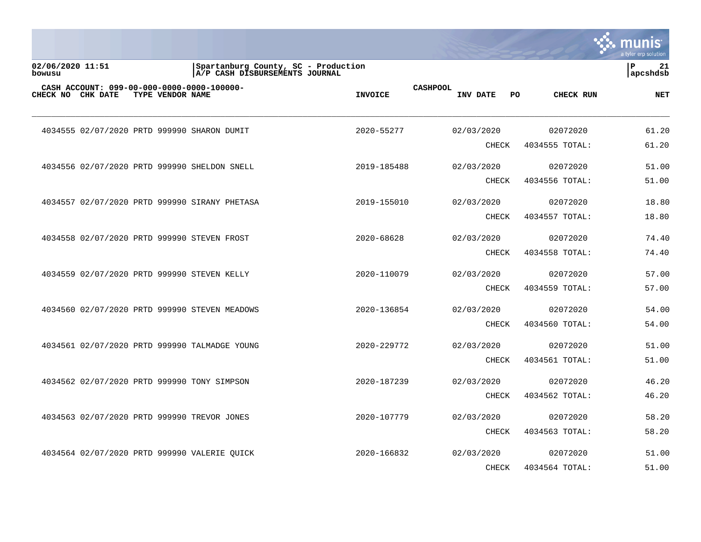|                            |                   |                  |                                                                       |                                   |              |                  | nıs<br>a tyler erp solution    |
|----------------------------|-------------------|------------------|-----------------------------------------------------------------------|-----------------------------------|--------------|------------------|--------------------------------|
| 02/06/2020 11:51<br>bowusu |                   |                  | Spartanburg County, SC - Production<br>A/P CASH DISBURSEMENTS JOURNAL |                                   |              |                  | $\mathbf{P}$<br>21<br>apcshdsb |
|                            | CHECK NO CHK DATE | TYPE VENDOR NAME | CASH ACCOUNT: 099-00-000-0000-0000-100000-                            | <b>CASHPOOL</b><br><b>INVOICE</b> | INV DATE     | PO.<br>CHECK RUN | <b>NET</b>                     |
|                            |                   |                  | 4034555 02/07/2020 PRTD 999990 SHARON DUMIT                           | 2020-55277                        | 02/03/2020   | 02072020         | 61.20                          |
|                            |                   |                  |                                                                       |                                   | <b>CHECK</b> | 4034555 TOTAL:   | 61.20                          |
|                            |                   |                  | 4034556 02/07/2020 PRTD 999990 SHELDON SNELL                          | 2019-185488                       | 02/03/2020   | 02072020         | 51.00                          |
|                            |                   |                  |                                                                       |                                   | <b>CHECK</b> | 4034556 TOTAL:   | 51.00                          |
|                            |                   |                  | 4034557 02/07/2020 PRTD 999990 SIRANY PHETASA                         | 2019-155010                       | 02/03/2020   | 02072020         | 18.80                          |
|                            |                   |                  |                                                                       |                                   | CHECK        | 4034557 TOTAL:   | 18.80                          |
|                            |                   |                  | 4034558 02/07/2020 PRTD 999990 STEVEN FROST                           | 2020-68628                        | 02/03/2020   | 02072020         | 74.40                          |
|                            |                   |                  |                                                                       |                                   | <b>CHECK</b> | 4034558 TOTAL:   | 74.40                          |
|                            |                   |                  | 4034559 02/07/2020 PRTD 999990 STEVEN KELLY                           | 2020-110079                       | 02/03/2020   | 02072020         | 57.00                          |
|                            |                   |                  |                                                                       |                                   | <b>CHECK</b> | 4034559 TOTAL:   | 57.00                          |
|                            |                   |                  | 4034560 02/07/2020 PRTD 999990 STEVEN MEADOWS                         | 2020-136854                       | 02/03/2020   | 02072020         | 54.00                          |
|                            |                   |                  |                                                                       |                                   | <b>CHECK</b> | 4034560 TOTAL:   | 54.00                          |
|                            |                   |                  | 4034561 02/07/2020 PRTD 999990 TALMADGE YOUNG                         | 2020-229772                       | 02/03/2020   | 02072020         | 51.00                          |
|                            |                   |                  |                                                                       |                                   | <b>CHECK</b> | 4034561 TOTAL:   | 51.00                          |
|                            |                   |                  | 4034562 02/07/2020 PRTD 999990 TONY SIMPSON                           | 2020-187239                       | 02/03/2020   | 02072020         | 46.20                          |
|                            |                   |                  |                                                                       |                                   | <b>CHECK</b> | 4034562 TOTAL:   | 46.20                          |
|                            |                   |                  | 4034563 02/07/2020 PRTD 999990 TREVOR JONES                           | 2020-107779                       | 02/03/2020   | 02072020         | 58.20                          |
|                            |                   |                  |                                                                       |                                   | CHECK        | 4034563 TOTAL:   | 58.20                          |
|                            |                   |                  | 4034564 02/07/2020 PRTD 999990 VALERIE QUICK                          | 2020-166832                       | 02/03/2020   | 02072020         | 51.00                          |
|                            |                   |                  |                                                                       |                                   | <b>CHECK</b> | 4034564 TOTAL:   | 51.00                          |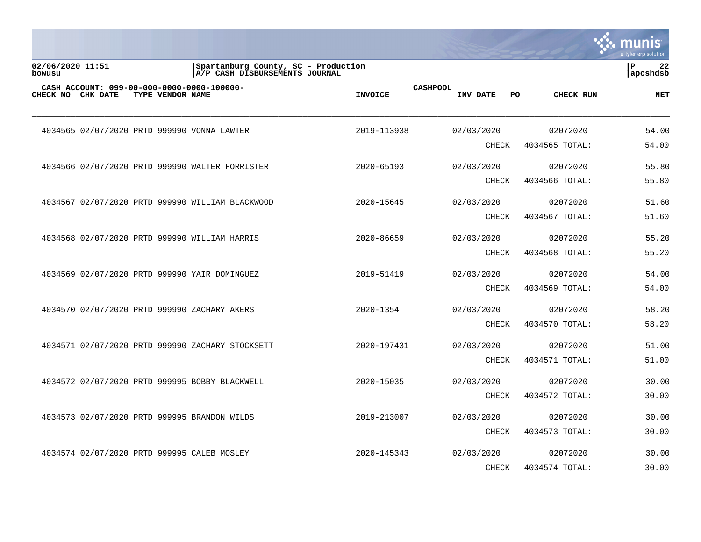|                            |  |                  |                                                                       |                 |                 |              |     |                  | unıs<br>a tyler erp solution   |
|----------------------------|--|------------------|-----------------------------------------------------------------------|-----------------|-----------------|--------------|-----|------------------|--------------------------------|
| 02/06/2020 11:51<br>bowusu |  |                  | Spartanburg County, SC - Production<br>A/P CASH DISBURSEMENTS JOURNAL |                 |                 |              |     |                  | $\mathbf{P}$<br>22<br>apcshdsb |
| CHECK NO CHK DATE          |  | TYPE VENDOR NAME | CASH ACCOUNT: 099-00-000-0000-0000-100000-                            | <b>INVOICE</b>  | <b>CASHPOOL</b> | INV DATE     | PO. | <b>CHECK RUN</b> | <b>NET</b>                     |
|                            |  |                  | 4034565 02/07/2020 PRTD 999990 VONNA LAWTER                           | 2019-113938     |                 | 02/03/2020   |     | 02072020         | 54.00                          |
|                            |  |                  |                                                                       |                 |                 | <b>CHECK</b> |     | 4034565 TOTAL:   | 54.00                          |
|                            |  |                  | 4034566 02/07/2020 PRTD 999990 WALTER FORRISTER                       | 2020-65193      |                 | 02/03/2020   |     | 02072020         | 55.80                          |
|                            |  |                  |                                                                       |                 |                 | <b>CHECK</b> |     | 4034566 TOTAL:   | 55.80                          |
|                            |  |                  | 4034567 02/07/2020 PRTD 999990 WILLIAM BLACKWOOD                      | 2020-15645      |                 | 02/03/2020   |     | 02072020         | 51.60                          |
|                            |  |                  |                                                                       |                 |                 | CHECK        |     | 4034567 TOTAL:   | 51.60                          |
|                            |  |                  | 4034568 02/07/2020 PRTD 999990 WILLIAM HARRIS                         | 2020-86659      |                 | 02/03/2020   |     | 02072020         | 55.20                          |
|                            |  |                  |                                                                       |                 |                 | CHECK        |     | 4034568 TOTAL:   | 55.20                          |
|                            |  |                  | 4034569 02/07/2020 PRTD 999990 YAIR DOMINGUEZ                         | 2019-51419      |                 | 02/03/2020   |     | 02072020         | 54.00                          |
|                            |  |                  |                                                                       |                 |                 | CHECK        |     | 4034569 TOTAL:   | 54.00                          |
|                            |  |                  | 4034570 02/07/2020 PRTD 999990 ZACHARY AKERS                          | 2020-1354       |                 | 02/03/2020   |     | 02072020         | 58.20                          |
|                            |  |                  |                                                                       |                 |                 | <b>CHECK</b> |     | 4034570 TOTAL:   | 58.20                          |
|                            |  |                  | 4034571 02/07/2020 PRTD 999990 ZACHARY STOCKSETT                      | 2020-197431     |                 | 02/03/2020   |     | 02072020         | 51.00                          |
|                            |  |                  |                                                                       |                 |                 | <b>CHECK</b> |     | 4034571 TOTAL:   | 51.00                          |
|                            |  |                  | 4034572 02/07/2020 PRTD 999995 BOBBY BLACKWELL                        | 2020-15035      |                 | 02/03/2020   |     | 02072020         | 30.00                          |
|                            |  |                  |                                                                       |                 |                 | <b>CHECK</b> |     | 4034572 TOTAL:   | 30.00                          |
|                            |  |                  | 4034573 02/07/2020 PRTD 999995 BRANDON WILDS                          | 2019-213007     |                 | 02/03/2020   |     | 02072020         | 30.00                          |
|                            |  |                  |                                                                       |                 |                 | <b>CHECK</b> |     | 4034573 TOTAL:   | 30.00                          |
|                            |  |                  | 4034574 02/07/2020 PRTD 999995 CALEB MOSLEY                           | $2020 - 145343$ |                 | 02/03/2020   |     | 02072020         | 30.00                          |
|                            |  |                  |                                                                       |                 |                 | <b>CHECK</b> |     | 4034574 TOTAL:   | 30.00                          |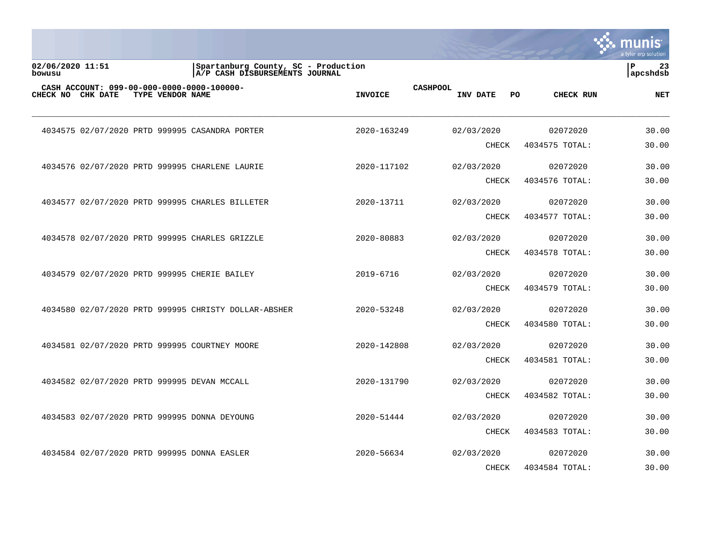|                            |  |                  |                                                                       |                |                 |                            |     |                            | a tyler erp solution |
|----------------------------|--|------------------|-----------------------------------------------------------------------|----------------|-----------------|----------------------------|-----|----------------------------|----------------------|
| 02/06/2020 11:51<br>bowusu |  |                  | Spartanburg County, SC - Production<br>A/P CASH DISBURSEMENTS JOURNAL |                |                 |                            |     |                            | 23<br>P<br>apcshdsb  |
| CHECK NO CHK DATE          |  | TYPE VENDOR NAME | CASH ACCOUNT: 099-00-000-0000-0000-100000-                            | <b>INVOICE</b> | <b>CASHPOOL</b> | INV DATE                   | PO. | CHECK RUN                  | <b>NET</b>           |
|                            |  |                  | 4034575 02/07/2020 PRTD 999995 CASANDRA PORTER                        | 2020-163249    |                 | 02/03/2020                 |     | 02072020                   | 30.00                |
|                            |  |                  |                                                                       |                |                 | <b>CHECK</b>               |     | 4034575 TOTAL:             | 30.00                |
|                            |  |                  | 4034576 02/07/2020 PRTD 999995 CHARLENE LAURIE                        | 2020-117102    |                 | 02/03/2020                 |     | 02072020                   | 30.00                |
|                            |  |                  |                                                                       |                |                 | CHECK                      |     | 4034576 TOTAL:             | 30.00                |
|                            |  |                  | 4034577 02/07/2020 PRTD 999995 CHARLES BILLETER                       | 2020-13711     |                 | 02/03/2020                 |     | 02072020                   | 30.00                |
|                            |  |                  |                                                                       |                |                 | <b>CHECK</b>               |     | 4034577 TOTAL:             | 30.00                |
|                            |  |                  | 4034578 02/07/2020 PRTD 999995 CHARLES GRIZZLE                        | 2020-80883     |                 | 02/03/2020                 |     | 02072020                   | 30.00                |
|                            |  |                  |                                                                       |                |                 | <b>CHECK</b>               |     | 4034578 TOTAL:             | 30.00                |
|                            |  |                  | 4034579 02/07/2020 PRTD 999995 CHERIE BAILEY                          | 2019-6716      |                 | 02/03/2020                 |     | 02072020                   | 30.00                |
|                            |  |                  |                                                                       |                |                 | <b>CHECK</b>               |     | 4034579 TOTAL:             | 30.00                |
|                            |  |                  |                                                                       |                |                 |                            |     |                            |                      |
|                            |  |                  | 4034580 02/07/2020 PRTD 999995 CHRISTY DOLLAR-ABSHER                  | 2020-53248     |                 | 02/03/2020<br><b>CHECK</b> |     | 02072020<br>4034580 TOTAL: | 30.00<br>30.00       |
|                            |  |                  |                                                                       |                |                 |                            |     |                            |                      |
|                            |  |                  | 4034581 02/07/2020 PRTD 999995 COURTNEY MOORE                         | 2020-142808    |                 | 02/03/2020                 |     | 02072020                   | 30.00                |
|                            |  |                  |                                                                       |                |                 | CHECK                      |     | 4034581 TOTAL:             | 30.00                |
|                            |  |                  | 4034582 02/07/2020 PRTD 999995 DEVAN MCCALL                           | 2020-131790    |                 | 02/03/2020                 |     | 02072020                   | 30.00                |
|                            |  |                  |                                                                       |                |                 | <b>CHECK</b>               |     | 4034582 TOTAL:             | 30.00                |
|                            |  |                  | 4034583 02/07/2020 PRTD 999995 DONNA DEYOUNG                          | 2020-51444     |                 | 02/03/2020                 |     | 02072020                   | 30.00                |
|                            |  |                  |                                                                       |                |                 | <b>CHECK</b>               |     | 4034583 TOTAL:             | 30.00                |
|                            |  |                  | 4034584 02/07/2020 PRTD 999995 DONNA EASLER                           | 2020-56634     |                 | 02/03/2020                 |     | 02072020                   | 30.00                |
|                            |  |                  |                                                                       |                |                 | <b>CHECK</b>               |     | 4034584 TOTAL:             | 30.00                |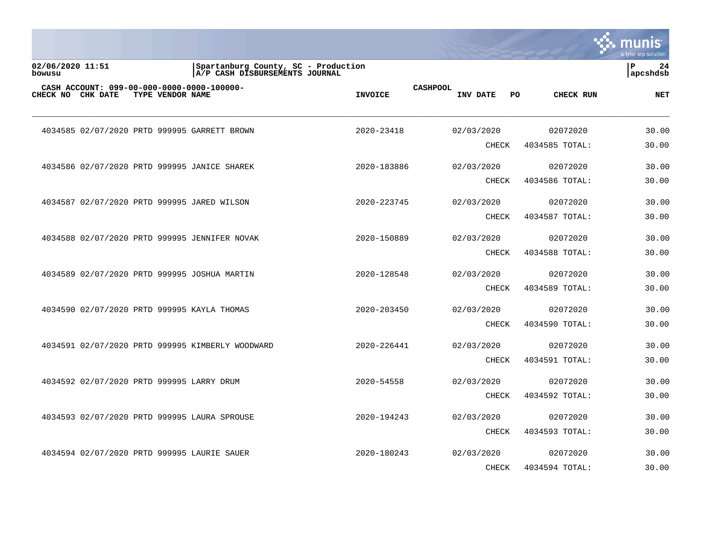|                            |  |                  |                                                                       |                |                 |                     |     |                            | a tyler erp solution |
|----------------------------|--|------------------|-----------------------------------------------------------------------|----------------|-----------------|---------------------|-----|----------------------------|----------------------|
| 02/06/2020 11:51<br>bowusu |  |                  | Spartanburg County, SC - Production<br>A/P CASH DISBURSEMENTS JOURNAL |                |                 |                     |     |                            | 24<br>P<br>apcshdsb  |
| CHECK NO CHK DATE          |  | TYPE VENDOR NAME | CASH ACCOUNT: 099-00-000-0000-0000-100000-                            | <b>INVOICE</b> | <b>CASHPOOL</b> | INV DATE            | PO. | CHECK RUN                  | <b>NET</b>           |
|                            |  |                  | 4034585 02/07/2020 PRTD 999995 GARRETT BROWN                          | 2020-23418     |                 | 02/03/2020          |     | 02072020                   | 30.00                |
|                            |  |                  |                                                                       |                |                 | <b>CHECK</b>        |     | 4034585 TOTAL:             | 30.00                |
|                            |  |                  | 4034586 02/07/2020 PRTD 999995 JANICE SHAREK                          | 2020-183886    |                 | 02/03/2020          |     | 02072020                   | 30.00                |
|                            |  |                  |                                                                       |                |                 | CHECK               |     | 4034586 TOTAL:             | 30.00                |
|                            |  |                  | 4034587 02/07/2020 PRTD 999995 JARED WILSON                           | 2020-223745    |                 | 02/03/2020          |     | 02072020                   | 30.00                |
|                            |  |                  |                                                                       |                |                 | <b>CHECK</b>        |     | 4034587 TOTAL:             | 30.00                |
|                            |  |                  | 4034588 02/07/2020 PRTD 999995 JENNIFER NOVAK                         | 2020-150889    |                 | 02/03/2020          |     | 02072020                   | 30.00                |
|                            |  |                  |                                                                       |                |                 | <b>CHECK</b>        |     | 4034588 TOTAL:             | 30.00                |
|                            |  |                  | 4034589 02/07/2020 PRTD 999995 JOSHUA MARTIN                          | 2020-128548    |                 | 02/03/2020          |     | 02072020                   | 30.00                |
|                            |  |                  |                                                                       |                |                 | <b>CHECK</b>        |     | 4034589 TOTAL:             | 30.00                |
|                            |  |                  | 4034590 02/07/2020 PRTD 999995 KAYLA THOMAS                           | 2020-203450    |                 | 02/03/2020          |     | 02072020                   | 30.00                |
|                            |  |                  |                                                                       |                |                 | <b>CHECK</b>        |     | 4034590 TOTAL:             | 30.00                |
|                            |  |                  |                                                                       |                |                 |                     |     |                            |                      |
|                            |  |                  | 4034591 02/07/2020 PRTD 999995 KIMBERLY WOODWARD                      | 2020-226441    |                 | 02/03/2020<br>CHECK |     | 02072020<br>4034591 TOTAL: | 30.00<br>30.00       |
|                            |  |                  |                                                                       |                |                 |                     |     |                            |                      |
|                            |  |                  | 4034592 02/07/2020 PRTD 999995 LARRY DRUM                             | 2020-54558     |                 | 02/03/2020          |     | 02072020                   | 30.00                |
|                            |  |                  |                                                                       |                |                 | <b>CHECK</b>        |     | 4034592 TOTAL:             | 30.00                |
|                            |  |                  | 4034593 02/07/2020 PRTD 999995 LAURA SPROUSE                          | 2020-194243    |                 | 02/03/2020          |     | 02072020                   | 30.00                |
|                            |  |                  |                                                                       |                |                 | <b>CHECK</b>        |     | 4034593 TOTAL:             | 30.00                |
|                            |  |                  | 4034594 02/07/2020 PRTD 999995 LAURIE SAUER                           | 2020-180243    |                 | 02/03/2020          |     | 02072020                   | 30.00                |
|                            |  |                  |                                                                       |                |                 | <b>CHECK</b>        |     | 4034594 TOTAL:             | 30.00                |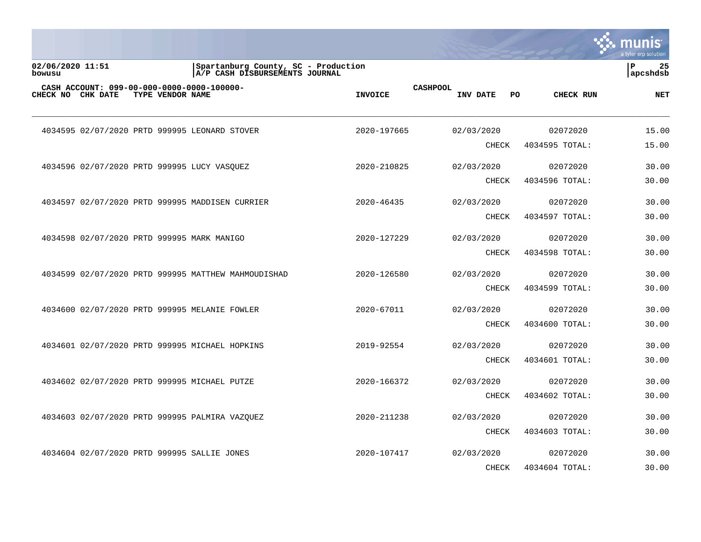|                            |  |                  |                                                                       |                |                 |              |    |                  | munis<br>a tyler erp solution |
|----------------------------|--|------------------|-----------------------------------------------------------------------|----------------|-----------------|--------------|----|------------------|-------------------------------|
| 02/06/2020 11:51<br>bowusu |  |                  | Spartanburg County, SC - Production<br>A/P CASH DISBURSEMENTS JOURNAL |                |                 |              |    |                  | ΙP<br>25<br>apcshdsb          |
| CHECK NO CHK DATE          |  | TYPE VENDOR NAME | CASH ACCOUNT: 099-00-000-0000-0000-100000-                            | <b>INVOICE</b> | <b>CASHPOOL</b> | INV DATE     | PO | <b>CHECK RUN</b> | <b>NET</b>                    |
|                            |  |                  | 4034595 02/07/2020 PRTD 999995 LEONARD STOVER                         | 2020-197665    |                 | 02/03/2020   |    | 02072020         | 15.00                         |
|                            |  |                  |                                                                       |                |                 | CHECK        |    | 4034595 TOTAL:   | 15.00                         |
|                            |  |                  | 4034596 02/07/2020 PRTD 999995 LUCY VASOUEZ                           | 2020-210825    |                 | 02/03/2020   |    | 02072020         | 30.00                         |
|                            |  |                  |                                                                       |                |                 | <b>CHECK</b> |    | 4034596 TOTAL:   | 30.00                         |
|                            |  |                  | 4034597 02/07/2020 PRTD 999995 MADDISEN CURRIER                       | 2020-46435     |                 | 02/03/2020   |    | 02072020         | 30.00                         |
|                            |  |                  |                                                                       |                |                 | CHECK        |    | 4034597 TOTAL:   | 30.00                         |
|                            |  |                  | 4034598 02/07/2020 PRTD 999995 MARK MANIGO                            | 2020-127229    |                 | 02/03/2020   |    | 02072020         | 30.00                         |
|                            |  |                  |                                                                       |                |                 | CHECK        |    | 4034598 TOTAL:   | 30.00                         |
|                            |  |                  | 4034599 02/07/2020 PRTD 999995 MATTHEW MAHMOUDISHAD                   | 2020-126580    |                 | 02/03/2020   |    | 02072020         | 30.00                         |
|                            |  |                  |                                                                       |                |                 | CHECK        |    | 4034599 TOTAL:   | 30.00                         |
|                            |  |                  | 4034600 02/07/2020 PRTD 999995 MELANIE FOWLER                         | 2020-67011     |                 | 02/03/2020   |    | 02072020         | 30.00                         |
|                            |  |                  |                                                                       |                |                 | <b>CHECK</b> |    | 4034600 TOTAL:   | 30.00                         |
|                            |  |                  | 4034601 02/07/2020 PRTD 999995 MICHAEL HOPKINS                        | 2019-92554     |                 | 02/03/2020   |    | 02072020         | 30.00                         |
|                            |  |                  |                                                                       |                |                 | <b>CHECK</b> |    | 4034601 TOTAL:   | 30.00                         |
|                            |  |                  | 4034602 02/07/2020 PRTD 999995 MICHAEL PUTZE                          | 2020-166372    |                 | 02/03/2020   |    | 02072020         | 30.00                         |
|                            |  |                  |                                                                       |                |                 | CHECK        |    | 4034602 TOTAL:   | 30.00                         |
|                            |  |                  | 4034603 02/07/2020 PRTD 999995 PALMIRA VAZQUEZ                        | 2020-211238    |                 | 02/03/2020   |    | 02072020         | 30.00                         |
|                            |  |                  |                                                                       |                |                 | CHECK        |    | 4034603 TOTAL:   | 30.00                         |
|                            |  |                  | 4034604 02/07/2020 PRTD 999995 SALLIE JONES                           | 2020-107417    |                 | 02/03/2020   |    | 02072020         | 30.00                         |
|                            |  |                  |                                                                       |                |                 | <b>CHECK</b> |    | 4034604 TOTAL:   | 30.00                         |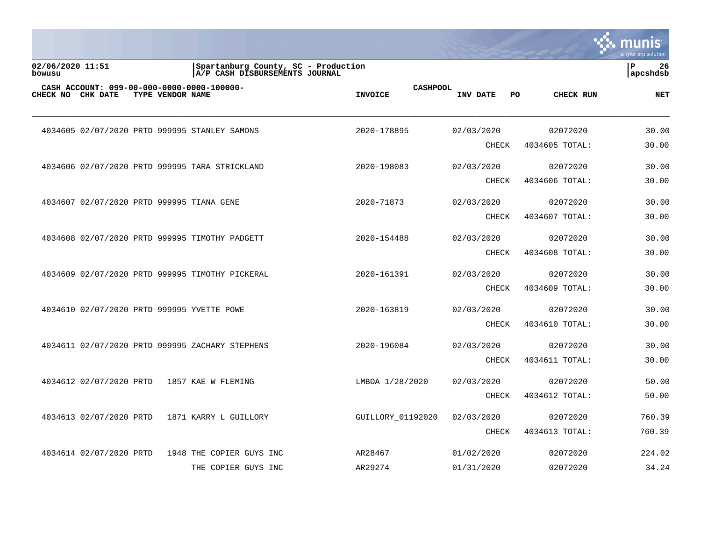|                            |                                           |                  |                                                                       |                   |                 |            |              |     |                  | INIS<br>a tyler erp solution   |
|----------------------------|-------------------------------------------|------------------|-----------------------------------------------------------------------|-------------------|-----------------|------------|--------------|-----|------------------|--------------------------------|
| 02/06/2020 11:51<br>bowusu |                                           |                  | Spartanburg County, SC - Production<br>A/P CASH DISBURSEMENTS JOURNAL |                   |                 |            |              |     |                  | $\mathbf{P}$<br>26<br>apcshdsb |
|                            | CHECK NO CHK DATE                         | TYPE VENDOR NAME | CASH ACCOUNT: 099-00-000-0000-0000-100000-                            | <b>INVOICE</b>    | <b>CASHPOOL</b> | INV DATE   |              | PO. | <b>CHECK RUN</b> | <b>NET</b>                     |
|                            |                                           |                  | 4034605 02/07/2020 PRTD 999995 STANLEY SAMONS                         | 2020-178895       |                 | 02/03/2020 |              |     | 02072020         | 30.00                          |
|                            |                                           |                  |                                                                       |                   |                 |            | CHECK        |     | 4034605 TOTAL:   | 30.00                          |
|                            |                                           |                  | 4034606 02/07/2020 PRTD 999995 TARA STRICKLAND                        | 2020-198083       |                 | 02/03/2020 |              |     | 02072020         | 30.00                          |
|                            |                                           |                  |                                                                       |                   |                 |            | CHECK        |     | 4034606 TOTAL:   | 30.00                          |
|                            | 4034607 02/07/2020 PRTD 999995 TIANA GENE |                  |                                                                       | 2020-71873        |                 | 02/03/2020 |              |     | 02072020         | 30.00                          |
|                            |                                           |                  |                                                                       |                   |                 |            | CHECK        |     | 4034607 TOTAL:   | 30.00                          |
|                            |                                           |                  | 4034608 02/07/2020 PRTD 999995 TIMOTHY PADGETT                        | 2020-154488       |                 | 02/03/2020 |              |     | 02072020         | 30.00                          |
|                            |                                           |                  |                                                                       |                   |                 |            | CHECK        |     | 4034608 TOTAL:   | 30.00                          |
|                            |                                           |                  | 4034609 02/07/2020 PRTD 999995 TIMOTHY PICKERAL                       | 2020-161391       |                 | 02/03/2020 |              |     | 02072020         | 30.00                          |
|                            |                                           |                  |                                                                       |                   |                 |            | <b>CHECK</b> |     | 4034609 TOTAL:   | 30.00                          |
|                            |                                           |                  | 4034610 02/07/2020 PRTD 999995 YVETTE POWE                            | 2020-163819       |                 | 02/03/2020 |              |     | 02072020         | 30.00                          |
|                            |                                           |                  |                                                                       |                   |                 |            | <b>CHECK</b> |     | 4034610 TOTAL:   | 30.00                          |
|                            |                                           |                  | 4034611 02/07/2020 PRTD 999995 ZACHARY STEPHENS                       | 2020-196084       |                 | 02/03/2020 |              |     | 02072020         | 30.00                          |
|                            |                                           |                  |                                                                       |                   |                 |            | <b>CHECK</b> |     | 4034611 TOTAL:   | 30.00                          |
|                            | 4034612 02/07/2020 PRTD                   |                  | 1857 KAE W FLEMING                                                    | LMBOA 1/28/2020   |                 | 02/03/2020 |              |     | 02072020         | 50.00                          |
|                            |                                           |                  |                                                                       |                   |                 |            | <b>CHECK</b> |     | 4034612 TOTAL:   | 50.00                          |
|                            | 4034613 02/07/2020 PRTD                   |                  | 1871 KARRY L GUILLORY                                                 | GUILLORY 01192020 |                 | 02/03/2020 |              |     | 02072020         | 760.39                         |
|                            |                                           |                  |                                                                       |                   |                 |            | CHECK        |     | 4034613 TOTAL:   | 760.39                         |
|                            | 4034614 02/07/2020 PRTD                   |                  | 1948 THE COPIER GUYS INC                                              | AR28467           |                 | 01/02/2020 |              |     | 02072020         | 224.02                         |
|                            |                                           |                  | THE COPIER GUYS INC                                                   | AR29274           |                 | 01/31/2020 |              |     | 02072020         | 34.24                          |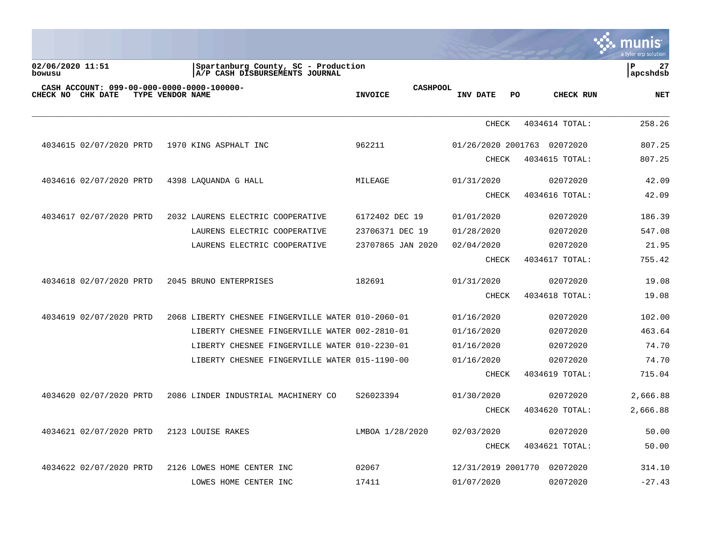| $\boldsymbol{\dot{\textbf{s}}}$ . munis |
|-----------------------------------------|
| a tyler erp solution                    |
|                                         |

| 02/06/2020 11:51<br>bowusu |                         |                  | Spartanburg County, SC - Production<br>A/P CASH DISBURSEMENTS JOURNAL |                                   |                             |     |                | 27<br>ΙP<br>apcshdsb |
|----------------------------|-------------------------|------------------|-----------------------------------------------------------------------|-----------------------------------|-----------------------------|-----|----------------|----------------------|
|                            | CHECK NO CHK DATE       | TYPE VENDOR NAME | CASH ACCOUNT: 099-00-000-0000-0000-100000-                            | <b>CASHPOOL</b><br><b>INVOICE</b> | INV DATE                    | PO. | CHECK RUN      | <b>NET</b>           |
|                            |                         |                  |                                                                       |                                   | <b>CHECK</b>                |     | 4034614 TOTAL: | 258.26               |
|                            | 4034615 02/07/2020 PRTD |                  | 1970 KING ASPHALT INC                                                 | 962211                            | 01/26/2020 2001763 02072020 |     |                | 807.25               |
|                            |                         |                  |                                                                       |                                   | <b>CHECK</b>                |     | 4034615 TOTAL: | 807.25               |
|                            | 4034616 02/07/2020 PRTD |                  | 4398 LAQUANDA G HALL                                                  | MILEAGE                           | 01/31/2020                  |     | 02072020       | 42.09                |
|                            |                         |                  |                                                                       |                                   | <b>CHECK</b>                |     | 4034616 TOTAL: | 42.09                |
|                            | 4034617 02/07/2020 PRTD |                  | 2032 LAURENS ELECTRIC COOPERATIVE                                     | 6172402 DEC 19                    | 01/01/2020                  |     | 02072020       | 186.39               |
|                            |                         |                  | LAURENS ELECTRIC COOPERATIVE                                          | 23706371 DEC 19                   | 01/28/2020                  |     | 02072020       | 547.08               |
|                            |                         |                  | LAURENS ELECTRIC COOPERATIVE                                          | 23707865 JAN 2020                 | 02/04/2020                  |     | 02072020       | 21.95                |
|                            |                         |                  |                                                                       |                                   | <b>CHECK</b>                |     | 4034617 TOTAL: | 755.42               |
|                            | 4034618 02/07/2020 PRTD |                  | 2045 BRUNO ENTERPRISES                                                | 182691                            | 01/31/2020                  |     | 02072020       | 19.08                |
|                            |                         |                  |                                                                       |                                   | <b>CHECK</b>                |     | 4034618 TOTAL: | 19.08                |
|                            | 4034619 02/07/2020 PRTD |                  | 2068 LIBERTY CHESNEE FINGERVILLE WATER 010-2060-01                    |                                   | 01/16/2020                  |     | 02072020       | 102.00               |
|                            |                         |                  | LIBERTY CHESNEE FINGERVILLE WATER 002-2810-01                         |                                   | 01/16/2020                  |     | 02072020       | 463.64               |
|                            |                         |                  | LIBERTY CHESNEE FINGERVILLE WATER 010-2230-01                         |                                   | 01/16/2020                  |     | 02072020       | 74.70                |
|                            |                         |                  | LIBERTY CHESNEE FINGERVILLE WATER 015-1190-00                         |                                   | 01/16/2020                  |     | 02072020       | 74.70                |
|                            |                         |                  |                                                                       |                                   | <b>CHECK</b>                |     | 4034619 TOTAL: | 715.04               |
|                            | 4034620 02/07/2020 PRTD |                  | 2086 LINDER INDUSTRIAL MACHINERY CO                                   | S26023394                         | 01/30/2020                  |     | 02072020       | 2,666.88             |
|                            |                         |                  |                                                                       |                                   | <b>CHECK</b>                |     | 4034620 TOTAL: | 2,666.88             |
|                            | 4034621 02/07/2020 PRTD |                  | 2123 LOUISE RAKES                                                     | LMBOA 1/28/2020                   | 02/03/2020                  |     | 02072020       | 50.00                |
|                            |                         |                  |                                                                       |                                   | <b>CHECK</b>                |     | 4034621 TOTAL: | 50.00                |
|                            | 4034622 02/07/2020 PRTD |                  | 2126 LOWES HOME CENTER INC                                            | 02067                             | 12/31/2019 2001770          |     | 02072020       | 314.10               |
|                            |                         |                  | LOWES HOME CENTER INC                                                 | 17411                             | 01/07/2020                  |     | 02072020       | $-27.43$             |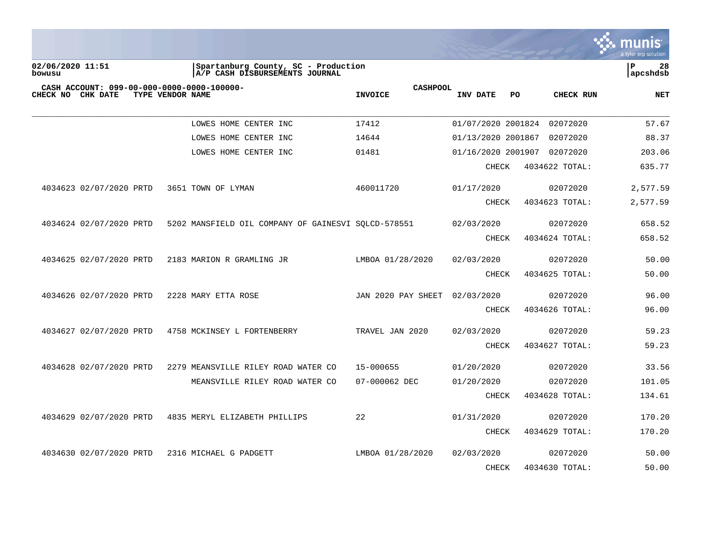

| 02/06/2020 11:51<br>bowusu                                      | Spartanburg County, SC - Production<br>A/P CASH DISBURSEMENTS JOURNAL |                                   |                    |                | ΙP<br>28<br>apcshdsb |
|-----------------------------------------------------------------|-----------------------------------------------------------------------|-----------------------------------|--------------------|----------------|----------------------|
| CASH ACCOUNT: 099-00-000-0000-0000-100000-<br>CHECK NO CHK DATE | TYPE VENDOR NAME                                                      | <b>CASHPOOL</b><br><b>INVOICE</b> | INV DATE<br>PO.    | CHECK RUN      | <b>NET</b>           |
|                                                                 | LOWES HOME CENTER INC                                                 | 17412                             | 01/07/2020 2001824 | 02072020       | 57.67                |
|                                                                 | LOWES HOME CENTER INC                                                 | 14644                             | 01/13/2020 2001867 | 02072020       | 88.37                |
|                                                                 | LOWES HOME CENTER INC                                                 | 01481                             | 01/16/2020 2001907 | 02072020       | 203.06               |
|                                                                 |                                                                       |                                   | CHECK              | 4034622 TOTAL: | 635.77               |
| 4034623 02/07/2020 PRTD                                         | 3651 TOWN OF LYMAN                                                    | 460011720                         | 01/17/2020         | 02072020       | 2,577.59             |
|                                                                 |                                                                       |                                   | <b>CHECK</b>       | 4034623 TOTAL: | 2,577.59             |
| 4034624 02/07/2020 PRTD                                         | 5202 MANSFIELD OIL COMPANY OF GAINESVI SOLCD-578551                   |                                   | 02/03/2020         | 02072020       | 658.52               |
|                                                                 |                                                                       |                                   | <b>CHECK</b>       | 4034624 TOTAL: | 658.52               |
| 4034625 02/07/2020 PRTD                                         | 2183 MARION R GRAMLING JR                                             | LMBOA 01/28/2020                  | 02/03/2020         | 02072020       | 50.00                |
|                                                                 |                                                                       |                                   | <b>CHECK</b>       | 4034625 TOTAL: | 50.00                |
| 4034626 02/07/2020 PRTD                                         | 2228 MARY ETTA ROSE                                                   | JAN 2020 PAY SHEET                | 02/03/2020         | 02072020       | 96.00                |
|                                                                 |                                                                       |                                   | <b>CHECK</b>       | 4034626 TOTAL: | 96.00                |
| 4034627 02/07/2020 PRTD                                         | 4758 MCKINSEY L FORTENBERRY                                           | TRAVEL JAN 2020                   | 02/03/2020         | 02072020       | 59.23                |
|                                                                 |                                                                       |                                   | <b>CHECK</b>       | 4034627 TOTAL: | 59.23                |
| 4034628 02/07/2020 PRTD                                         | 2279 MEANSVILLE RILEY ROAD WATER CO                                   | 15-000655                         | 01/20/2020         | 02072020       | 33.56                |
|                                                                 | MEANSVILLE RILEY ROAD WATER CO                                        | 07-000062 DEC                     | 01/20/2020         | 02072020       | 101.05               |
|                                                                 |                                                                       |                                   | <b>CHECK</b>       | 4034628 TOTAL: | 134.61               |
| 4034629 02/07/2020 PRTD                                         | 4835 MERYL ELIZABETH PHILLIPS                                         | 22                                | 01/31/2020         | 02072020       | 170.20               |
|                                                                 |                                                                       |                                   | <b>CHECK</b>       | 4034629 TOTAL: | 170.20               |
| 4034630 02/07/2020 PRTD                                         | 2316 MICHAEL G PADGETT                                                | LMBOA 01/28/2020                  | 02/03/2020         | 02072020       | 50.00                |
|                                                                 |                                                                       |                                   | <b>CHECK</b>       | 4034630 TOTAL: | 50.00                |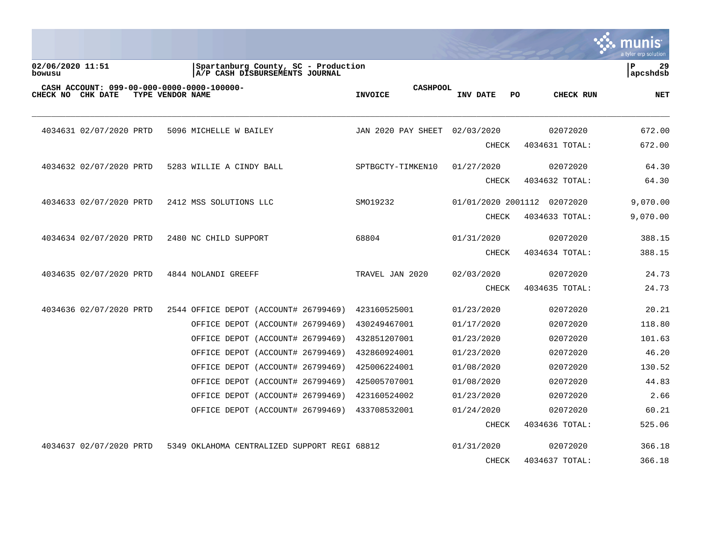|                                                                 |                                                                       |                                   |                    |                | munis<br>a tyler erp solution  |
|-----------------------------------------------------------------|-----------------------------------------------------------------------|-----------------------------------|--------------------|----------------|--------------------------------|
| 02/06/2020 11:51<br>bowusu                                      | Spartanburg County, SC - Production<br>A/P CASH DISBURSEMENTS JOURNAL |                                   |                    |                | $\mathbf{P}$<br>29<br>apcshdsb |
| CASH ACCOUNT: 099-00-000-0000-0000-100000-<br>CHECK NO CHK DATE | TYPE VENDOR NAME                                                      | <b>CASHPOOL</b><br><b>INVOICE</b> | INV DATE<br>PO.    | CHECK RUN      | <b>NET</b>                     |
| 4034631 02/07/2020 PRTD                                         | 5096 MICHELLE W BAILEY                                                | JAN 2020 PAY SHEET                | 02/03/2020         | 02072020       | 672.00                         |
|                                                                 |                                                                       |                                   | CHECK              | 4034631 TOTAL: | 672.00                         |
| 4034632 02/07/2020 PRTD                                         | 5283 WILLIE A CINDY BALL                                              | SPTBGCTY-TIMKEN10                 | 01/27/2020         | 02072020       | 64.30                          |
|                                                                 |                                                                       |                                   | <b>CHECK</b>       | 4034632 TOTAL: | 64.30                          |
| 4034633 02/07/2020 PRTD                                         | 2412 MSS SOLUTIONS LLC                                                | SM019232                          | 01/01/2020 2001112 | 02072020       | 9,070.00                       |
|                                                                 |                                                                       |                                   | <b>CHECK</b>       | 4034633 TOTAL: | 9,070.00                       |
| 4034634 02/07/2020 PRTD                                         | 2480 NC CHILD SUPPORT                                                 | 68804                             | 01/31/2020         | 02072020       | 388.15                         |
|                                                                 |                                                                       |                                   | <b>CHECK</b>       | 4034634 TOTAL: | 388.15                         |
| 4034635 02/07/2020 PRTD                                         | 4844 NOLANDI GREEFF                                                   | TRAVEL JAN 2020                   | 02/03/2020         | 02072020       | 24.73                          |
|                                                                 |                                                                       |                                   | <b>CHECK</b>       | 4034635 TOTAL: | 24.73                          |
| 4034636 02/07/2020 PRTD                                         | 2544 OFFICE DEPOT (ACCOUNT# 26799469)                                 | 423160525001                      | 01/23/2020         | 02072020       | 20.21                          |
|                                                                 | OFFICE DEPOT (ACCOUNT# 26799469)                                      | 430249467001                      | 01/17/2020         | 02072020       | 118.80                         |
|                                                                 | OFFICE DEPOT (ACCOUNT# 26799469)                                      | 432851207001                      | 01/23/2020         | 02072020       | 101.63                         |
|                                                                 | OFFICE DEPOT (ACCOUNT# 26799469)                                      | 432860924001                      | 01/23/2020         | 02072020       | 46.20                          |
|                                                                 | OFFICE DEPOT (ACCOUNT# 26799469)                                      | 425006224001                      | 01/08/2020         | 02072020       | 130.52                         |
|                                                                 | OFFICE DEPOT (ACCOUNT# 26799469)                                      | 425005707001                      | 01/08/2020         | 02072020       | 44.83                          |
|                                                                 | OFFICE DEPOT (ACCOUNT# 26799469)                                      | 423160524002                      | 01/23/2020         | 02072020       | 2.66                           |
|                                                                 | OFFICE DEPOT (ACCOUNT# 26799469)                                      | 433708532001                      | 01/24/2020         | 02072020       | 60.21                          |
|                                                                 |                                                                       |                                   | <b>CHECK</b>       | 4034636 TOTAL: | 525.06                         |
| 4034637 02/07/2020 PRTD                                         | 5349 OKLAHOMA CENTRALIZED SUPPORT REGI 68812                          |                                   | 01/31/2020         | 02072020       | 366.18                         |
|                                                                 |                                                                       |                                   | <b>CHECK</b>       | 4034637 TOTAL: | 366.18                         |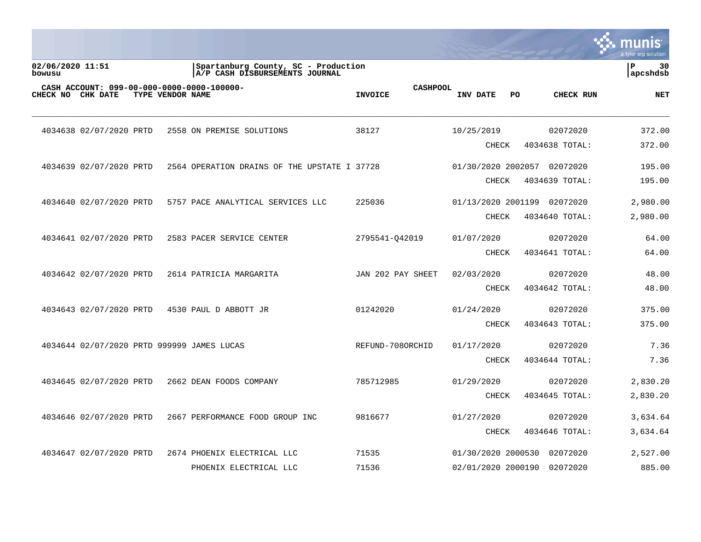|                            |                                                                 |                  |                                                                       |                                   |                             |    |                            | a tyler erp solution  |
|----------------------------|-----------------------------------------------------------------|------------------|-----------------------------------------------------------------------|-----------------------------------|-----------------------------|----|----------------------------|-----------------------|
| 02/06/2020 11:51<br>bowusu |                                                                 |                  | Spartanburg County, SC - Production<br>A/P CASH DISBURSEMENTS JOURNAL |                                   |                             |    |                            | l P<br>30<br>apcshdsb |
|                            | CASH ACCOUNT: 099-00-000-0000-0000-100000-<br>CHECK NO CHK DATE | TYPE VENDOR NAME |                                                                       | <b>CASHPOOL</b><br><b>INVOICE</b> | INV DATE                    | PO | CHECK RUN                  | <b>NET</b>            |
|                            | 4034638 02/07/2020 PRTD                                         |                  | 2558 ON PREMISE SOLUTIONS                                             | 38127                             | 10/25/2019                  |    | 02072020                   | 372.00                |
|                            |                                                                 |                  |                                                                       |                                   | <b>CHECK</b>                |    | 4034638 TOTAL:             | 372.00                |
|                            | 4034639 02/07/2020 PRTD                                         |                  | 2564 OPERATION DRAINS OF THE UPSTATE I 37728                          |                                   | 01/30/2020 2002057 02072020 |    |                            | 195.00                |
|                            |                                                                 |                  |                                                                       |                                   | <b>CHECK</b>                |    | 4034639 TOTAL:             | 195.00                |
|                            | 4034640 02/07/2020 PRTD                                         |                  | 5757 PACE ANALYTICAL SERVICES LLC                                     | 225036                            | 01/13/2020 2001199          |    | 02072020                   | 2,980.00              |
|                            |                                                                 |                  |                                                                       |                                   | <b>CHECK</b>                |    | 4034640 TOTAL:             | 2,980.00              |
|                            | 4034641 02/07/2020 PRTD                                         |                  | 2583 PACER SERVICE CENTER                                             | 2795541-042019                    | 01/07/2020                  |    | 02072020                   | 64.00                 |
|                            |                                                                 |                  |                                                                       |                                   | <b>CHECK</b>                |    | 4034641 TOTAL:             | 64.00                 |
|                            | 4034642 02/07/2020 PRTD                                         |                  | 2614 PATRICIA MARGARITA                                               | JAN 202 PAY SHEET                 | 02/03/2020                  |    | 02072020                   | 48.00                 |
|                            |                                                                 |                  |                                                                       |                                   | <b>CHECK</b>                |    | 4034642 TOTAL:             | 48.00                 |
|                            |                                                                 |                  |                                                                       |                                   |                             |    |                            |                       |
|                            | 4034643 02/07/2020 PRTD                                         |                  | 4530 PAUL D ABBOTT JR                                                 | 01242020                          | 01/24/2020<br><b>CHECK</b>  |    | 02072020<br>4034643 TOTAL: | 375.00<br>375.00      |
|                            |                                                                 |                  |                                                                       |                                   |                             |    |                            |                       |
|                            | 4034644 02/07/2020 PRTD 999999 JAMES LUCAS                      |                  |                                                                       | REFUND-708ORCHID                  | 01/17/2020                  |    | 02072020                   | 7.36                  |
|                            |                                                                 |                  |                                                                       |                                   | <b>CHECK</b>                |    | 4034644 TOTAL:             | 7.36                  |
|                            | 4034645 02/07/2020 PRTD                                         |                  | 2662 DEAN FOODS COMPANY                                               | 785712985                         | 01/29/2020                  |    | 02072020                   | 2,830.20              |
|                            |                                                                 |                  |                                                                       |                                   | <b>CHECK</b>                |    | 4034645 TOTAL:             | 2,830.20              |
|                            | 4034646 02/07/2020 PRTD                                         |                  | 2667 PERFORMANCE FOOD GROUP INC                                       | 9816677                           | 01/27/2020                  |    | 02072020                   | 3,634.64              |
|                            |                                                                 |                  |                                                                       |                                   | <b>CHECK</b>                |    | 4034646 TOTAL:             | 3,634.64              |
|                            | 4034647 02/07/2020 PRTD                                         |                  | 2674 PHOENIX ELECTRICAL LLC                                           | 71535                             | 01/30/2020 2000530          |    | 02072020                   | 2,527.00              |
|                            |                                                                 |                  | PHOENIX ELECTRICAL LLC                                                | 71536                             | 02/01/2020 2000190          |    | 02072020                   | 885.00                |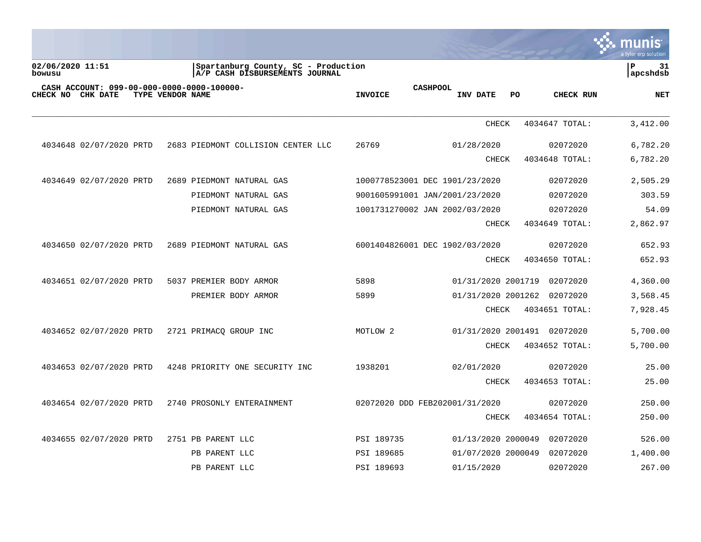|                                                                 |                  |                                                                       |                     |                                    |    |                | a tyler erp solution |
|-----------------------------------------------------------------|------------------|-----------------------------------------------------------------------|---------------------|------------------------------------|----|----------------|----------------------|
| 02/06/2020 11:51<br>bowusu                                      |                  | Spartanburg County, SC - Production<br>A/P CASH DISBURSEMENTS JOURNAL |                     |                                    |    |                | P<br>31<br>apcshdsb  |
| CASH ACCOUNT: 099-00-000-0000-0000-100000-<br>CHECK NO CHK DATE | TYPE VENDOR NAME |                                                                       | <b>INVOICE</b>      | <b>CASHPOOL</b><br><b>INV DATE</b> | PO | CHECK RUN      | <b>NET</b>           |
|                                                                 |                  |                                                                       |                     | <b>CHECK</b>                       |    | 4034647 TOTAL: | 3,412.00             |
| 4034648 02/07/2020 PRTD                                         |                  | 2683 PIEDMONT COLLISION CENTER LLC                                    | 26769               | 01/28/2020                         |    | 02072020       | 6,782.20             |
|                                                                 |                  |                                                                       |                     | <b>CHECK</b>                       |    | 4034648 TOTAL: | 6,782.20             |
| 4034649 02/07/2020 PRTD                                         |                  | 2689 PIEDMONT NATURAL GAS                                             |                     | 1000778523001 DEC 1901/23/2020     |    | 02072020       | 2,505.29             |
|                                                                 |                  | PIEDMONT NATURAL GAS                                                  |                     | 9001605991001 JAN/2001/23/2020     |    | 02072020       | 303.59               |
|                                                                 |                  | PIEDMONT NATURAL GAS                                                  |                     | 1001731270002 JAN 2002/03/2020     |    | 02072020       | 54.09                |
|                                                                 |                  |                                                                       |                     | <b>CHECK</b>                       |    | 4034649 TOTAL: | 2,862.97             |
| 4034650 02/07/2020 PRTD                                         |                  | 2689 PIEDMONT NATURAL GAS                                             |                     | 6001404826001 DEC 1902/03/2020     |    | 02072020       | 652.93               |
|                                                                 |                  |                                                                       |                     | <b>CHECK</b>                       |    | 4034650 TOTAL: | 652.93               |
| 4034651 02/07/2020 PRTD                                         |                  | 5037 PREMIER BODY ARMOR                                               | 5898                | 01/31/2020 2001719                 |    | 02072020       | 4,360.00             |
|                                                                 |                  | PREMIER BODY ARMOR                                                    | 5899                | 01/31/2020 2001262                 |    | 02072020       | 3,568.45             |
|                                                                 |                  |                                                                       |                     | <b>CHECK</b>                       |    | 4034651 TOTAL: | 7,928.45             |
| 4034652 02/07/2020 PRTD                                         |                  | 2721 PRIMACO GROUP INC                                                | MOTLOW <sub>2</sub> | 01/31/2020 2001491                 |    | 02072020       | 5,700.00             |
|                                                                 |                  |                                                                       |                     | <b>CHECK</b>                       |    | 4034652 TOTAL: | 5,700.00             |
| 4034653 02/07/2020 PRTD                                         |                  | 4248 PRIORITY ONE SECURITY INC                                        | 1938201             | 02/01/2020                         |    | 02072020       | 25.00                |
|                                                                 |                  |                                                                       |                     | <b>CHECK</b>                       |    | 4034653 TOTAL: | 25.00                |
| 4034654 02/07/2020 PRTD                                         |                  | 2740 PROSONLY ENTERAINMENT                                            |                     | 02072020 DDD FEB202001/31/2020     |    | 02072020       | 250.00               |
|                                                                 |                  |                                                                       |                     | <b>CHECK</b>                       |    | 4034654 TOTAL: | 250.00               |
| 4034655 02/07/2020 PRTD                                         |                  | 2751 PB PARENT LLC                                                    | PSI 189735          | 01/13/2020 2000049                 |    | 02072020       | 526.00               |
|                                                                 |                  | PB PARENT LLC                                                         | PSI 189685          | 01/07/2020 2000049                 |    | 02072020       | 1,400.00             |
|                                                                 |                  | PB PARENT LLC                                                         | PSI 189693          | 01/15/2020                         |    | 02072020       | 267.00               |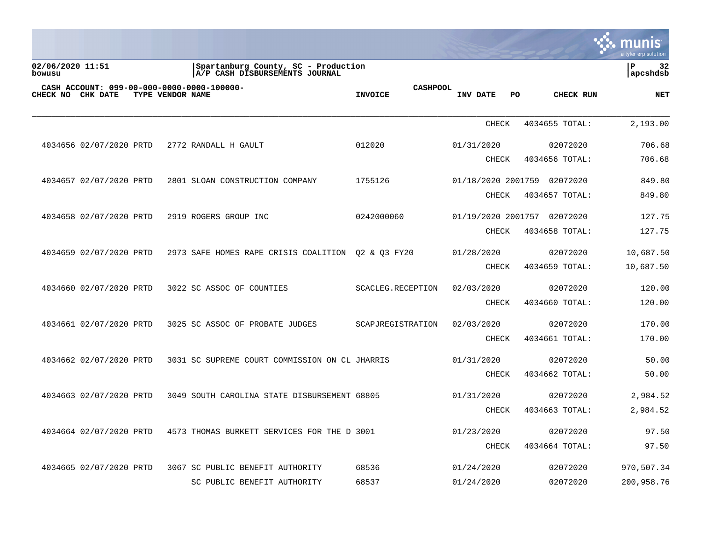|                            |                         |                  |                                                                       |                                   |              |                             | <b>A.</b> munis<br>a tyler erp solution |
|----------------------------|-------------------------|------------------|-----------------------------------------------------------------------|-----------------------------------|--------------|-----------------------------|-----------------------------------------|
| 02/06/2020 11:51<br>bowusu |                         |                  | Spartanburg County, SC - Production<br>A/P CASH DISBURSEMENTS JOURNAL |                                   |              |                             | l P<br>32<br>apcshdsb                   |
| CHECK NO CHK DATE          |                         | TYPE VENDOR NAME | CASH ACCOUNT: 099-00-000-0000-0000-100000-                            | <b>CASHPOOL</b><br><b>INVOICE</b> | INV DATE     | PO.<br>CHECK RUN            | <b>NET</b>                              |
|                            |                         |                  |                                                                       |                                   | <b>CHECK</b> | 4034655 TOTAL:              | 2,193.00                                |
|                            | 4034656 02/07/2020 PRTD |                  | 2772 RANDALL H GAULT                                                  | 012020                            | 01/31/2020   | 02072020                    | 706.68                                  |
|                            |                         |                  |                                                                       |                                   | CHECK        | 4034656 TOTAL:              | 706.68                                  |
|                            | 4034657 02/07/2020 PRTD |                  | 2801 SLOAN CONSTRUCTION COMPANY                                       | 1755126                           |              | 01/18/2020 2001759 02072020 | 849.80                                  |
|                            |                         |                  |                                                                       |                                   | CHECK        | 4034657 TOTAL:              | 849.80                                  |
|                            | 4034658 02/07/2020 PRTD |                  | 2919 ROGERS GROUP INC                                                 | 0242000060                        |              | 01/19/2020 2001757 02072020 | 127.75                                  |
|                            |                         |                  |                                                                       |                                   | CHECK        | 4034658 TOTAL:              | 127.75                                  |
|                            | 4034659 02/07/2020 PRTD |                  | 2973 SAFE HOMES RAPE CRISIS COALITION                                 | 02 & 03 FY20                      | 01/28/2020   | 02072020                    | 10,687.50                               |
|                            |                         |                  |                                                                       |                                   | CHECK        | 4034659 TOTAL:              | 10,687.50                               |
|                            | 4034660 02/07/2020 PRTD |                  | 3022 SC ASSOC OF COUNTIES                                             | SCACLEG.RECEPTION                 | 02/03/2020   | 02072020                    | 120.00                                  |
|                            |                         |                  |                                                                       |                                   | CHECK        | 4034660 TOTAL:              | 120.00                                  |
|                            | 4034661 02/07/2020 PRTD |                  | 3025 SC ASSOC OF PROBATE JUDGES                                       | SCAPJREGISTRATION                 | 02/03/2020   | 02072020                    | 170.00                                  |
|                            |                         |                  |                                                                       |                                   | CHECK        | 4034661 TOTAL:              | 170.00                                  |
|                            | 4034662 02/07/2020 PRTD |                  | 3031 SC SUPREME COURT COMMISSION ON CL JHARRIS                        |                                   | 01/31/2020   | 02072020                    | 50.00                                   |
|                            |                         |                  |                                                                       |                                   | CHECK        | 4034662 TOTAL:              | 50.00                                   |
|                            | 4034663 02/07/2020 PRTD |                  | 3049 SOUTH CAROLINA STATE DISBURSEMENT 68805                          |                                   | 01/31/2020   | 02072020                    | 2,984.52                                |
|                            |                         |                  |                                                                       |                                   | <b>CHECK</b> | 4034663 TOTAL:              | 2,984.52                                |
|                            | 4034664 02/07/2020 PRTD |                  | 4573 THOMAS BURKETT SERVICES FOR THE D 3001                           |                                   | 01/23/2020   | 02072020                    | 97.50                                   |
|                            |                         |                  |                                                                       |                                   | CHECK        | 4034664 TOTAL:              | 97.50                                   |
|                            | 4034665 02/07/2020 PRTD |                  | 3067 SC PUBLIC BENEFIT AUTHORITY                                      | 68536                             | 01/24/2020   | 02072020                    | 970,507.34                              |
|                            |                         |                  | SC PUBLIC BENEFIT AUTHORITY                                           | 68537                             | 01/24/2020   | 02072020                    | 200,958.76                              |
|                            |                         |                  |                                                                       |                                   |              |                             |                                         |

 $\mathcal{L}$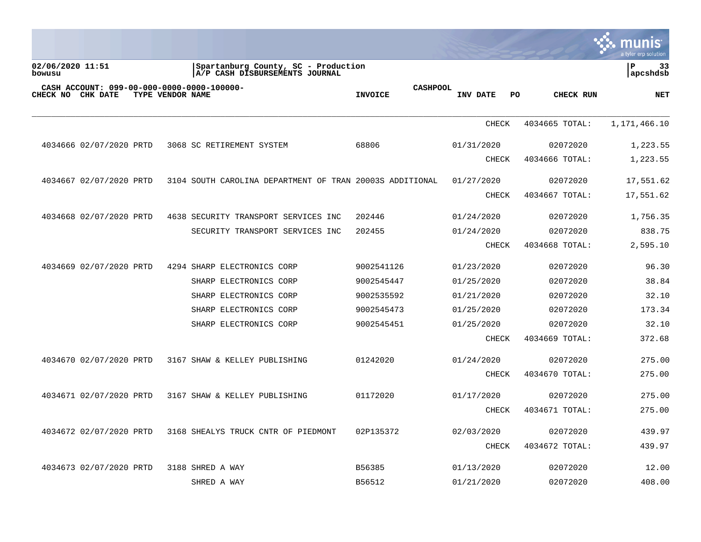|                            |                         |                  |                                                                       |                                   |              |                  | <b>IIS</b><br>MUN<br>a tyler erp solution |
|----------------------------|-------------------------|------------------|-----------------------------------------------------------------------|-----------------------------------|--------------|------------------|-------------------------------------------|
| 02/06/2020 11:51<br>bowusu |                         |                  | Spartanburg County, SC - Production<br>A/P CASH DISBURSEMENTS JOURNAL |                                   |              |                  | ΙP<br>33<br> apcshdsb                     |
| CHECK NO CHK DATE          |                         | TYPE VENDOR NAME | CASH ACCOUNT: 099-00-000-0000-0000-100000-                            | <b>CASHPOOL</b><br><b>INVOICE</b> | INV DATE     | PO.<br>CHECK RUN | <b>NET</b>                                |
|                            |                         |                  |                                                                       |                                   | CHECK        | 4034665 TOTAL:   | 1,171,466.10                              |
|                            | 4034666 02/07/2020 PRTD |                  | 3068 SC RETIREMENT SYSTEM                                             | 68806                             | 01/31/2020   | 02072020         | 1,223.55                                  |
|                            |                         |                  |                                                                       |                                   | CHECK        | 4034666 TOTAL:   | 1,223.55                                  |
|                            | 4034667 02/07/2020 PRTD |                  | 3104 SOUTH CAROLINA DEPARTMENT OF TRAN 20003S ADDITIONAL              |                                   | 01/27/2020   | 02072020         | 17,551.62                                 |
|                            |                         |                  |                                                                       |                                   | <b>CHECK</b> | 4034667 TOTAL:   | 17,551.62                                 |
|                            | 4034668 02/07/2020 PRTD |                  | 4638 SECURITY TRANSPORT SERVICES INC                                  | 202446                            | 01/24/2020   | 02072020         | 1,756.35                                  |
|                            |                         |                  | SECURITY TRANSPORT SERVICES INC                                       | 202455                            | 01/24/2020   | 02072020         | 838.75                                    |
|                            |                         |                  |                                                                       |                                   | CHECK        | 4034668 TOTAL:   | 2,595.10                                  |
|                            | 4034669 02/07/2020 PRTD |                  | 4294 SHARP ELECTRONICS CORP                                           | 9002541126                        | 01/23/2020   | 02072020         | 96.30                                     |
|                            |                         |                  | SHARP ELECTRONICS CORP                                                | 9002545447                        | 01/25/2020   | 02072020         | 38.84                                     |
|                            |                         |                  | SHARP ELECTRONICS CORP                                                | 9002535592                        | 01/21/2020   | 02072020         | 32.10                                     |
|                            |                         |                  | SHARP ELECTRONICS CORP                                                | 9002545473                        | 01/25/2020   | 02072020         | 173.34                                    |
|                            |                         |                  | SHARP ELECTRONICS CORP                                                | 9002545451                        | 01/25/2020   | 02072020         | 32.10                                     |
|                            |                         |                  |                                                                       |                                   | <b>CHECK</b> | 4034669 TOTAL:   | 372.68                                    |
|                            | 4034670 02/07/2020 PRTD |                  | 3167 SHAW & KELLEY PUBLISHING                                         | 01242020                          | 01/24/2020   | 02072020         | 275.00                                    |
|                            |                         |                  |                                                                       |                                   | <b>CHECK</b> | 4034670 TOTAL:   | 275.00                                    |
|                            | 4034671 02/07/2020 PRTD |                  | 3167 SHAW & KELLEY PUBLISHING                                         | 01172020                          | 01/17/2020   | 02072020         | 275.00                                    |
|                            |                         |                  |                                                                       |                                   | <b>CHECK</b> | 4034671 TOTAL:   | 275.00                                    |
|                            | 4034672 02/07/2020 PRTD |                  | 3168 SHEALYS TRUCK CNTR OF PIEDMONT                                   | 02P135372                         | 02/03/2020   | 02072020         | 439.97                                    |
|                            |                         |                  |                                                                       |                                   | <b>CHECK</b> | 4034672 TOTAL:   | 439.97                                    |
|                            | 4034673 02/07/2020 PRTD |                  | 3188 SHRED A WAY                                                      | B56385                            | 01/13/2020   | 02072020         | 12.00                                     |
|                            |                         |                  | SHRED A WAY                                                           | B56512                            | 01/21/2020   | 02072020         | 408.00                                    |

 $\mathcal{L}^{\text{max}}$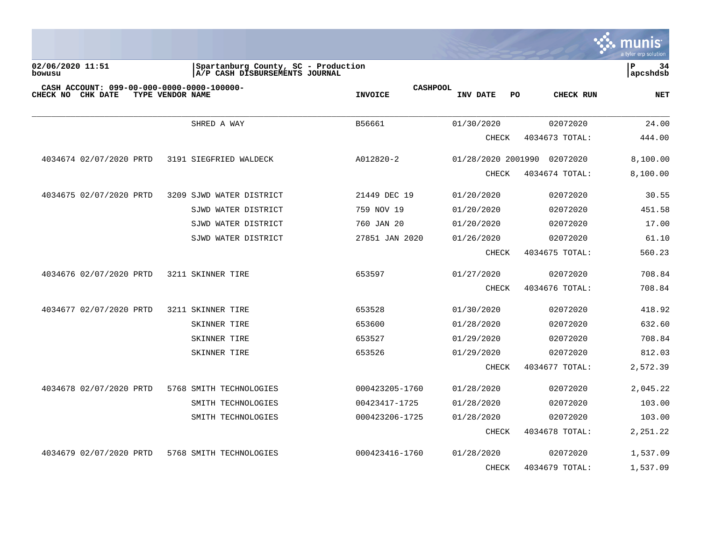

**02/06/2020 11:51 |Spartanburg County, SC - Production |P 34 bowusu |A/P CASH DISBURSEMENTS JOURNAL |apcshdsb**

| CASH ACCOUNT: 099-00-000-0000-0000-100000-<br>CHECK NO<br>CHK DATE | TYPE VENDOR NAME         | <b>CASHPOOL</b><br><b>INVOICE</b> | INV DATE<br>PO     | CHECK RUN      | <b>NET</b> |
|--------------------------------------------------------------------|--------------------------|-----------------------------------|--------------------|----------------|------------|
|                                                                    |                          |                                   |                    |                |            |
|                                                                    | SHRED A WAY              | B56661                            | 01/30/2020         | 02072020       | 24.00      |
|                                                                    |                          |                                   | CHECK              | 4034673 TOTAL: | 444.00     |
| 4034674 02/07/2020 PRTD                                            | 3191 SIEGFRIED WALDECK   | A012820-2                         | 01/28/2020 2001990 | 02072020       | 8,100.00   |
|                                                                    |                          |                                   | <b>CHECK</b>       | 4034674 TOTAL: | 8,100.00   |
| 4034675 02/07/2020 PRTD                                            | 3209 SJWD WATER DISTRICT | 21449 DEC 19                      | 01/20/2020         | 02072020       | 30.55      |
|                                                                    | SJWD WATER DISTRICT      | 759 NOV 19                        | 01/20/2020         | 02072020       | 451.58     |
|                                                                    | SJWD WATER DISTRICT      | 760 JAN 20                        | 01/20/2020         | 02072020       | 17.00      |
|                                                                    | SJWD WATER DISTRICT      | 27851 JAN 2020                    | 01/26/2020         | 02072020       | 61.10      |
|                                                                    |                          |                                   | CHECK              | 4034675 TOTAL: | 560.23     |
| 4034676 02/07/2020 PRTD                                            | 3211 SKINNER TIRE        | 653597                            | 01/27/2020         | 02072020       | 708.84     |
|                                                                    |                          |                                   | <b>CHECK</b>       | 4034676 TOTAL: | 708.84     |
| 4034677 02/07/2020 PRTD                                            | 3211 SKINNER TIRE        | 653528                            | 01/30/2020         | 02072020       | 418.92     |
|                                                                    | SKINNER TIRE             | 653600                            | 01/28/2020         | 02072020       | 632.60     |
|                                                                    | SKINNER TIRE             | 653527                            | 01/29/2020         | 02072020       | 708.84     |
|                                                                    | SKINNER TIRE             | 653526                            | 01/29/2020         | 02072020       | 812.03     |
|                                                                    |                          |                                   | CHECK              | 4034677 TOTAL: | 2,572.39   |
| 4034678 02/07/2020 PRTD                                            | 5768 SMITH TECHNOLOGIES  | 000423205-1760                    | 01/28/2020         | 02072020       | 2,045.22   |
|                                                                    | SMITH TECHNOLOGIES       | 00423417-1725                     | 01/28/2020         | 02072020       | 103.00     |
|                                                                    | SMITH TECHNOLOGIES       | 000423206-1725                    | 01/28/2020         | 02072020       | 103.00     |
|                                                                    |                          |                                   | <b>CHECK</b>       | 4034678 TOTAL: | 2,251.22   |
| 4034679 02/07/2020 PRTD                                            | 5768 SMITH TECHNOLOGIES  | 000423416-1760                    | 01/28/2020         | 02072020       | 1,537.09   |
|                                                                    |                          |                                   | <b>CHECK</b>       | 4034679 TOTAL: | 1,537.09   |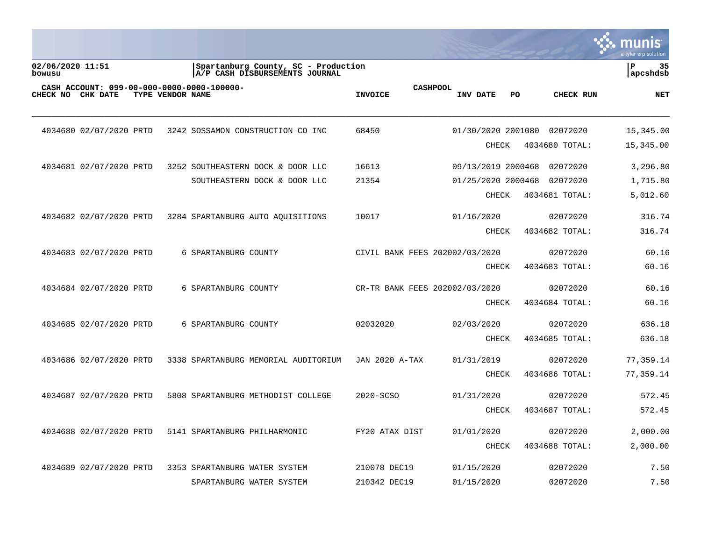|                            |                                            |                  |                      |                                                                       |                                |                 |                    |    |                | a tyler erp solution |
|----------------------------|--------------------------------------------|------------------|----------------------|-----------------------------------------------------------------------|--------------------------------|-----------------|--------------------|----|----------------|----------------------|
| 02/06/2020 11:51<br>bowusu |                                            |                  |                      | Spartanburg County, SC - Production<br>A/P CASH DISBURSEMENTS JOURNAL |                                |                 |                    |    |                | ∣P<br>35<br>apcshdsb |
| CHECK NO CHK DATE          | CASH ACCOUNT: 099-00-000-0000-0000-100000- | TYPE VENDOR NAME |                      |                                                                       | <b>INVOICE</b>                 | <b>CASHPOOL</b> | INV DATE           | PO | CHECK RUN      | <b>NET</b>           |
|                            | 4034680 02/07/2020 PRTD                    |                  |                      | 3242 SOSSAMON CONSTRUCTION CO INC                                     | 68450                          |                 | 01/30/2020 2001080 |    | 02072020       | 15,345.00            |
|                            |                                            |                  |                      |                                                                       |                                |                 | CHECK              |    | 4034680 TOTAL: | 15,345.00            |
|                            | 4034681 02/07/2020 PRTD                    |                  |                      | 3252 SOUTHEASTERN DOCK & DOOR LLC                                     | 16613                          |                 | 09/13/2019 2000468 |    | 02072020       | 3,296.80             |
|                            |                                            |                  |                      | SOUTHEASTERN DOCK & DOOR LLC                                          | 21354                          |                 | 01/25/2020 2000468 |    | 02072020       | 1,715.80             |
|                            |                                            |                  |                      |                                                                       |                                |                 | CHECK              |    | 4034681 TOTAL: | 5,012.60             |
|                            | 4034682 02/07/2020 PRTD                    |                  |                      | 3284 SPARTANBURG AUTO AQUISITIONS                                     | 10017                          |                 | 01/16/2020         |    | 02072020       | 316.74               |
|                            |                                            |                  |                      |                                                                       |                                |                 | <b>CHECK</b>       |    | 4034682 TOTAL: | 316.74               |
|                            | 4034683 02/07/2020 PRTD                    |                  | 6 SPARTANBURG COUNTY |                                                                       | CIVIL BANK FEES 202002/03/2020 |                 |                    |    | 02072020       | 60.16                |
|                            |                                            |                  |                      |                                                                       |                                |                 | <b>CHECK</b>       |    | 4034683 TOTAL: | 60.16                |
|                            | 4034684 02/07/2020 PRTD                    |                  | 6 SPARTANBURG COUNTY |                                                                       | CR-TR BANK FEES 202002/03/2020 |                 |                    |    | 02072020       | 60.16                |
|                            |                                            |                  |                      |                                                                       |                                |                 | <b>CHECK</b>       |    | 4034684 TOTAL: | 60.16                |
|                            | 4034685 02/07/2020 PRTD                    |                  | 6 SPARTANBURG COUNTY |                                                                       | 02032020                       |                 | 02/03/2020         |    | 02072020       | 636.18               |
|                            |                                            |                  |                      |                                                                       |                                |                 | CHECK              |    | 4034685 TOTAL: | 636.18               |
|                            | 4034686 02/07/2020 PRTD                    |                  |                      | 3338 SPARTANBURG MEMORIAL AUDITORIUM                                  | <b>JAN 2020 A-TAX</b>          |                 | 01/31/2019         |    | 02072020       | 77,359.14            |
|                            |                                            |                  |                      |                                                                       |                                |                 | <b>CHECK</b>       |    | 4034686 TOTAL: | 77,359.14            |
|                            | 4034687 02/07/2020 PRTD                    |                  |                      | 5808 SPARTANBURG METHODIST COLLEGE                                    | 2020-SCSO                      |                 | 01/31/2020         |    | 02072020       | 572.45               |
|                            |                                            |                  |                      |                                                                       |                                |                 | <b>CHECK</b>       |    | 4034687 TOTAL: | 572.45               |
|                            | 4034688 02/07/2020 PRTD                    |                  |                      | 5141 SPARTANBURG PHILHARMONIC                                         | FY20 ATAX DIST                 |                 | 01/01/2020         |    | 02072020       | 2,000.00             |
|                            |                                            |                  |                      |                                                                       |                                |                 | <b>CHECK</b>       |    | 4034688 TOTAL: | 2,000.00             |
|                            | 4034689 02/07/2020 PRTD                    |                  |                      | 3353 SPARTANBURG WATER SYSTEM                                         | 210078 DEC19                   |                 | 01/15/2020         |    | 02072020       | 7.50                 |
|                            |                                            |                  |                      | SPARTANBURG WATER SYSTEM                                              | 210342 DEC19                   |                 | 01/15/2020         |    | 02072020       | 7.50                 |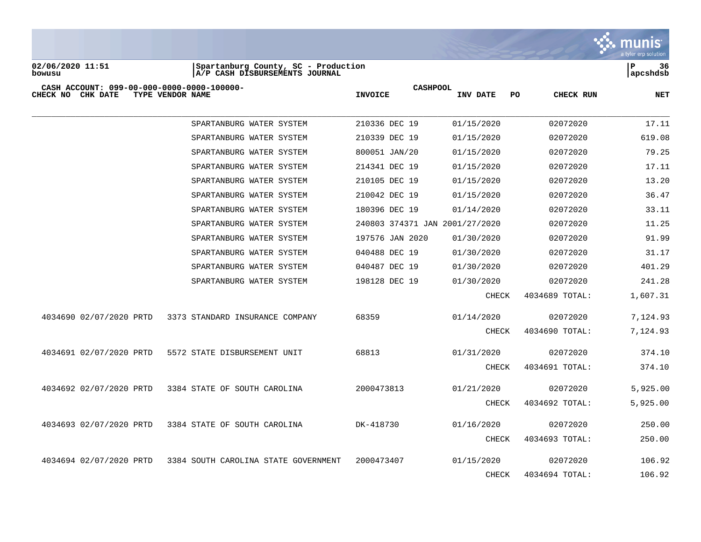

**02/06/2020 11:51 |Spartanburg County, SC - Production |P 36 bowusu |A/P CASH DISBURSEMENTS JOURNAL |apcshdsb**

| CASH ACCOUNT: 099-00-000-0000-0000-100000-<br>CHECK NO<br>CHK DATE | TYPE VENDOR NAME                     | <b>CASHPOOL</b><br><b>INVOICE</b> | INV DATE<br>PO. | CHECK RUN      | <b>NET</b> |
|--------------------------------------------------------------------|--------------------------------------|-----------------------------------|-----------------|----------------|------------|
|                                                                    |                                      |                                   |                 |                |            |
|                                                                    | SPARTANBURG WATER SYSTEM             | 210336 DEC 19                     | 01/15/2020      | 02072020       | 17.11      |
|                                                                    | SPARTANBURG WATER SYSTEM             | 210339 DEC 19                     | 01/15/2020      | 02072020       | 619.08     |
|                                                                    | SPARTANBURG WATER SYSTEM             | 800051 JAN/20                     | 01/15/2020      | 02072020       | 79.25      |
|                                                                    | SPARTANBURG WATER SYSTEM             | 214341 DEC 19                     | 01/15/2020      | 02072020       | 17.11      |
|                                                                    | SPARTANBURG WATER SYSTEM             | 210105 DEC 19                     | 01/15/2020      | 02072020       | 13.20      |
|                                                                    | SPARTANBURG WATER SYSTEM             | 210042 DEC 19                     | 01/15/2020      | 02072020       | 36.47      |
|                                                                    | SPARTANBURG WATER SYSTEM             | 180396 DEC 19                     | 01/14/2020      | 02072020       | 33.11      |
|                                                                    | SPARTANBURG WATER SYSTEM             | 240803 374371 JAN 2001/27/2020    |                 | 02072020       | 11.25      |
|                                                                    | SPARTANBURG WATER SYSTEM             | 197576 JAN 2020                   | 01/30/2020      | 02072020       | 91.99      |
|                                                                    | SPARTANBURG WATER SYSTEM             | 040488 DEC 19                     | 01/30/2020      | 02072020       | 31.17      |
|                                                                    | SPARTANBURG WATER SYSTEM             | 040487 DEC 19                     | 01/30/2020      | 02072020       | 401.29     |
|                                                                    | SPARTANBURG WATER SYSTEM             | 198128 DEC 19                     | 01/30/2020      | 02072020       | 241.28     |
|                                                                    |                                      |                                   | CHECK           | 4034689 TOTAL: | 1,607.31   |
| 4034690 02/07/2020 PRTD                                            | 3373 STANDARD INSURANCE COMPANY      | 68359                             | 01/14/2020      | 02072020       | 7,124.93   |
|                                                                    |                                      |                                   | CHECK           | 4034690 TOTAL: | 7,124.93   |
| 4034691 02/07/2020 PRTD                                            | 5572 STATE DISBURSEMENT UNIT         | 68813                             | 01/31/2020      | 02072020       | 374.10     |
|                                                                    |                                      |                                   | CHECK           | 4034691 TOTAL: | 374.10     |
| 4034692 02/07/2020 PRTD                                            | 3384 STATE OF SOUTH CAROLINA         | 2000473813                        | 01/21/2020      | 02072020       | 5,925.00   |
|                                                                    |                                      |                                   | CHECK           | 4034692 TOTAL: | 5,925.00   |
| 4034693 02/07/2020 PRTD                                            | 3384 STATE OF SOUTH CAROLINA         | DK-418730                         | 01/16/2020      | 02072020       | 250.00     |
|                                                                    |                                      |                                   | CHECK           | 4034693 TOTAL: | 250.00     |
| 4034694 02/07/2020 PRTD                                            | 3384 SOUTH CAROLINA STATE GOVERNMENT | 2000473407                        | 01/15/2020      | 02072020       | 106.92     |
|                                                                    |                                      |                                   | <b>CHECK</b>    | 4034694 TOTAL: | 106.92     |
|                                                                    |                                      |                                   |                 |                |            |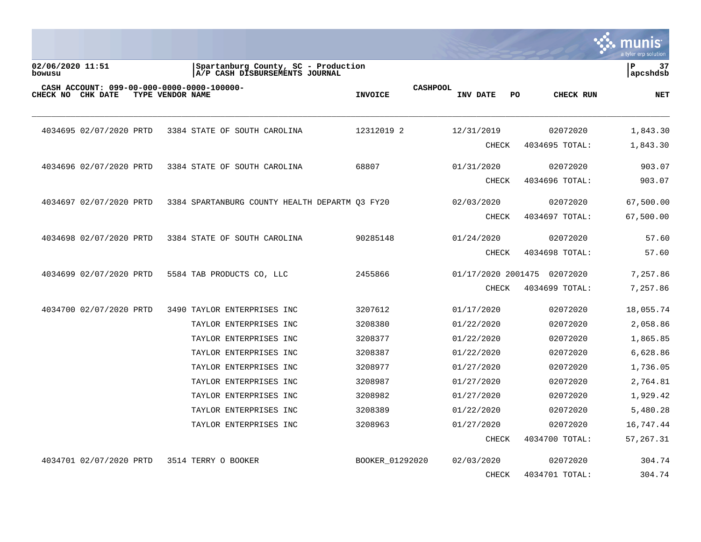|                            |                         |                  |                                                                       |                 |                 |                    |    |                | a tyler erp solutior |
|----------------------------|-------------------------|------------------|-----------------------------------------------------------------------|-----------------|-----------------|--------------------|----|----------------|----------------------|
| 02/06/2020 11:51<br>bowusu |                         |                  | Spartanburg County, SC - Production<br>A/P CASH DISBURSEMENTS JOURNAL |                 |                 |                    |    |                | P<br>37<br>apcshdsb  |
| CHECK NO                   | <b>CHK DATE</b>         | TYPE VENDOR NAME | CASH ACCOUNT: 099-00-000-0000-0000-100000-                            | <b>INVOICE</b>  | <b>CASHPOOL</b> | INV DATE           | PO | CHECK RUN      | <b>NET</b>           |
|                            | 4034695 02/07/2020 PRTD |                  | 3384 STATE OF SOUTH CAROLINA                                          | 12312019 2      |                 | 12/31/2019         |    | 02072020       | 1,843.30             |
|                            |                         |                  |                                                                       |                 |                 | <b>CHECK</b>       |    | 4034695 TOTAL: | 1,843.30             |
|                            | 4034696 02/07/2020 PRTD |                  | 3384 STATE OF SOUTH CAROLINA                                          | 68807           |                 | 01/31/2020         |    | 02072020       | 903.07               |
|                            |                         |                  |                                                                       |                 |                 | <b>CHECK</b>       |    | 4034696 TOTAL: | 903.07               |
|                            | 4034697 02/07/2020 PRTD |                  | 3384 SPARTANBURG COUNTY HEALTH DEPARTM 03 FY20                        |                 |                 | 02/03/2020         |    | 02072020       | 67,500.00            |
|                            |                         |                  |                                                                       |                 |                 | <b>CHECK</b>       |    | 4034697 TOTAL: | 67,500.00            |
|                            | 4034698 02/07/2020 PRTD |                  | 3384 STATE OF SOUTH CAROLINA                                          | 90285148        |                 | 01/24/2020         |    | 02072020       | 57.60                |
|                            |                         |                  |                                                                       |                 |                 | <b>CHECK</b>       |    | 4034698 TOTAL: | 57.60                |
|                            | 4034699 02/07/2020 PRTD |                  | 5584 TAB PRODUCTS CO, LLC                                             | 2455866         |                 | 01/17/2020 2001475 |    | 02072020       | 7,257.86             |
|                            |                         |                  |                                                                       |                 |                 | <b>CHECK</b>       |    | 4034699 TOTAL: | 7,257.86             |
|                            | 4034700 02/07/2020 PRTD |                  | 3490 TAYLOR ENTERPRISES INC                                           | 3207612         |                 | 01/17/2020         |    | 02072020       | 18,055.74            |
|                            |                         |                  | TAYLOR ENTERPRISES INC                                                | 3208380         |                 | 01/22/2020         |    | 02072020       | 2,058.86             |
|                            |                         |                  | TAYLOR ENTERPRISES INC                                                | 3208377         |                 | 01/22/2020         |    | 02072020       | 1,865.85             |
|                            |                         |                  | TAYLOR ENTERPRISES INC                                                | 3208387         |                 | 01/22/2020         |    | 02072020       | 6,628.86             |
|                            |                         |                  | TAYLOR ENTERPRISES INC                                                | 3208977         |                 | 01/27/2020         |    | 02072020       | 1,736.05             |
|                            |                         |                  | TAYLOR ENTERPRISES INC                                                | 3208987         |                 | 01/27/2020         |    | 02072020       | 2,764.81             |
|                            |                         |                  | TAYLOR ENTERPRISES INC                                                | 3208982         |                 | 01/27/2020         |    | 02072020       | 1,929.42             |
|                            |                         |                  | TAYLOR ENTERPRISES INC                                                | 3208389         |                 | 01/22/2020         |    | 02072020       | 5,480.28             |
|                            |                         |                  | TAYLOR ENTERPRISES INC                                                | 3208963         |                 | 01/27/2020         |    | 02072020       | 16,747.44            |
|                            |                         |                  |                                                                       |                 |                 | <b>CHECK</b>       |    | 4034700 TOTAL: | 57,267.31            |
|                            | 4034701 02/07/2020 PRTD |                  | 3514 TERRY O BOOKER                                                   | BOOKER 01292020 |                 | 02/03/2020         |    | 02072020       | 304.74               |
|                            |                         |                  |                                                                       |                 |                 | <b>CHECK</b>       |    | 4034701 TOTAL: | 304.74               |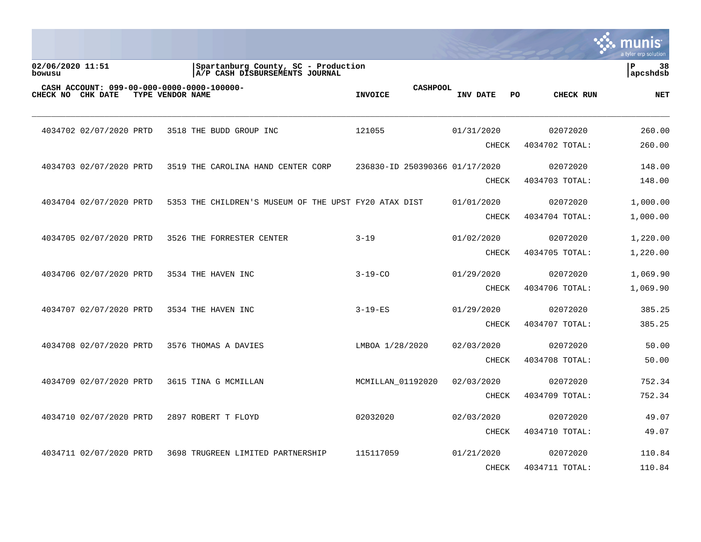|                                                                    |                  |                                                                       |                |                                |              |    |                | munis<br>a tyler erp solution |
|--------------------------------------------------------------------|------------------|-----------------------------------------------------------------------|----------------|--------------------------------|--------------|----|----------------|-------------------------------|
| 02/06/2020 11:51<br>bowusu                                         |                  | Spartanburg County, SC - Production<br>A/P CASH DISBURSEMENTS JOURNAL |                |                                |              |    |                | P<br>38<br>  apcshdsb         |
| CASH ACCOUNT: 099-00-000-0000-0000-100000-<br>CHECK NO<br>CHK DATE | TYPE VENDOR NAME |                                                                       | <b>INVOICE</b> | <b>CASHPOOL</b>                | INV DATE     | PO | CHECK RUN      | <b>NET</b>                    |
| 4034702 02/07/2020 PRTD                                            |                  | 3518 THE BUDD GROUP INC                                               | 121055         |                                | 01/31/2020   |    | 02072020       | 260.00                        |
|                                                                    |                  |                                                                       |                |                                | <b>CHECK</b> |    | 4034702 TOTAL: | 260.00                        |
| 4034703 02/07/2020 PRTD                                            |                  | 3519 THE CAROLINA HAND CENTER CORP                                    |                | 236830-ID 250390366 01/17/2020 |              |    | 02072020       | 148.00                        |
|                                                                    |                  |                                                                       |                |                                | <b>CHECK</b> |    | 4034703 TOTAL: | 148.00                        |
| 4034704 02/07/2020 PRTD                                            |                  | 5353 THE CHILDREN'S MUSEUM OF THE UPST FY20 ATAX DIST                 |                |                                | 01/01/2020   |    | 02072020       | 1,000.00                      |
|                                                                    |                  |                                                                       |                |                                | <b>CHECK</b> |    | 4034704 TOTAL: | 1,000.00                      |
| 4034705 02/07/2020 PRTD                                            |                  | 3526 THE FORRESTER CENTER                                             | $3 - 19$       |                                | 01/02/2020   |    | 02072020       | 1,220.00                      |
|                                                                    |                  |                                                                       |                |                                | <b>CHECK</b> |    | 4034705 TOTAL: | 1,220.00                      |
| 4034706 02/07/2020 PRTD                                            |                  | 3534 THE HAVEN INC                                                    | $3 - 19 - CO$  |                                | 01/29/2020   |    | 02072020       | 1,069.90                      |
|                                                                    |                  |                                                                       |                |                                | <b>CHECK</b> |    | 4034706 TOTAL: | 1,069.90                      |
| 4034707 02/07/2020 PRTD                                            |                  | 3534 THE HAVEN INC                                                    | $3 - 19 - ES$  |                                | 01/29/2020   |    | 02072020       | 385.25                        |
|                                                                    |                  |                                                                       |                |                                | <b>CHECK</b> |    | 4034707 TOTAL: | 385.25                        |
| 4034708 02/07/2020 PRTD                                            |                  | 3576 THOMAS A DAVIES                                                  |                | LMBOA 1/28/2020                | 02/03/2020   |    | 02072020       | 50.00                         |
|                                                                    |                  |                                                                       |                |                                | <b>CHECK</b> |    | 4034708 TOTAL: | 50.00                         |
| 4034709 02/07/2020 PRTD                                            |                  | 3615 TINA G MCMILLAN                                                  |                | MCMILLAN 01192020              | 02/03/2020   |    | 02072020       | 752.34                        |
|                                                                    |                  |                                                                       |                |                                | <b>CHECK</b> |    | 4034709 TOTAL: | 752.34                        |
| 4034710 02/07/2020 PRTD                                            |                  | 2897 ROBERT T FLOYD                                                   | 02032020       |                                | 02/03/2020   |    | 02072020       | 49.07                         |
|                                                                    |                  |                                                                       |                |                                | <b>CHECK</b> |    | 4034710 TOTAL: | 49.07                         |
| 4034711 02/07/2020 PRTD                                            |                  | 3698 TRUGREEN LIMITED PARTNERSHIP                                     | 115117059      |                                | 01/21/2020   |    | 02072020       | 110.84                        |
|                                                                    |                  |                                                                       |                |                                | <b>CHECK</b> |    | 4034711 TOTAL: | 110.84                        |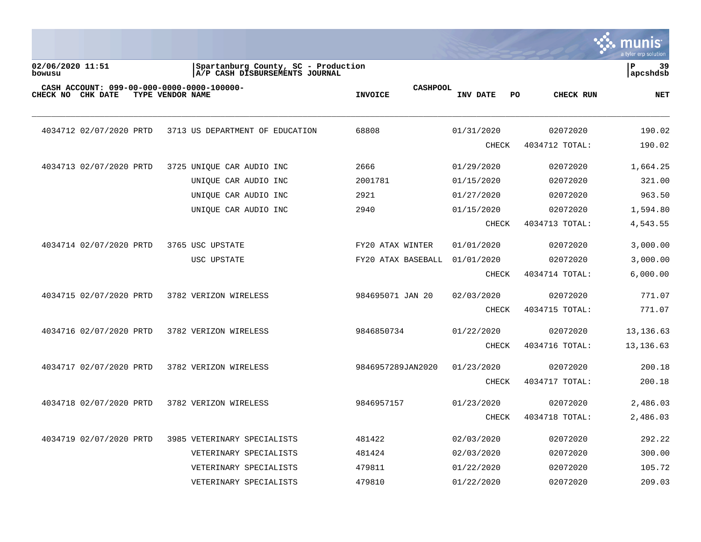

02/06/2020 11:51 **|Spartanburg County, SC** - Production **| P** 39<br>| Dowusu | A/P CASH DISBURSEMENTS JOURNAL  $\lambda$ <sup>/P</sup> CASH DISBURSEMENTS JOURNAL **CASH ACCOUNT: 099-00-000-0000-0000-100000- CASHPOOL CHECK NO CHK DATE TYPE VENDOR NAME INVOICE INV DATE PO CHECK RUN NET** \_\_\_\_\_\_\_\_\_\_\_\_\_\_\_\_\_\_\_\_\_\_\_\_\_\_\_\_\_\_\_\_\_\_\_\_\_\_\_\_\_\_\_\_\_\_\_\_\_\_\_\_\_\_\_\_\_\_\_\_\_\_\_\_\_\_\_\_\_\_\_\_\_\_\_\_\_\_\_\_\_\_\_\_\_\_\_\_\_\_\_\_\_\_\_\_\_\_\_\_\_\_\_\_\_\_\_\_\_\_\_\_\_\_\_\_\_\_\_\_\_\_\_\_\_\_\_\_\_\_\_\_ 4034712 02/07/2020 PRTD 3713 US DEPARTMENT OF EDUCATION 68808 01/31/2020 02072020 190.02 CHECK 4034712 TOTAL: 190.02 4034713 02/07/2020 PRTD 3725 UNIQUE CAR AUDIO INC 2666 01/29/2020 02072020 1,664.25 UNIQUE CAR AUDIO INC 2001781 01/15/2020 02072020 321.00 UNIQUE CAR AUDIO INC  $2921$  01/27/2020 02072020 963.50 UNIQUE CAR AUDIO INC  $2940$  01/15/2020 02072020 1,594.80 CHECK 4034713 TOTAL: 4,543.55 4034714 02/07/2020 PRTD 3765 USC UPSTATE FY20 ATAX WINTER 01/01/2020 02072020 3,000.00 USC UPSTATE FY20 ATAX BASEBALL 01/01/2020 02072020 3,000.00 CHECK 4034714 TOTAL: 6,000.00 4034715 02/07/2020 PRTD 3782 VERIZON WIRELESS 984695071 JAN 20 02/03/2020 02072020 771.07 CHECK 4034715 TOTAL: 771.07 4034716 02/07/2020 PRTD 3782 VERIZON WIRELESS 9846850734 01/22/2020 02072020 13,136.63 CHECK 4034716 TOTAL: 13,136.63 4034717 02/07/2020 PRTD 3782 VERIZON WIRELESS 9846957289JAN2020 01/23/2020 02072020 200.18 CHECK 4034717 TOTAL: 200.18 4034718 02/07/2020 PRTD 3782 VERIZON WIRELESS 9846957157 01/23/2020 02072020 2,486.03 CHECK 4034718 TOTAL: 2,486.03 4034719 02/07/2020 PRTD 3985 VETERINARY SPECIALISTS 481422 02/03/2020 02072020 292.22 VETERINARY SPECIALISTS 481424 02/03/2020 02072020 300.00 VETERINARY SPECIALISTS 479811 01/22/2020 02072020 105.72 VETERINARY SPECIALISTS 479810 01/22/2020 02072020 209.03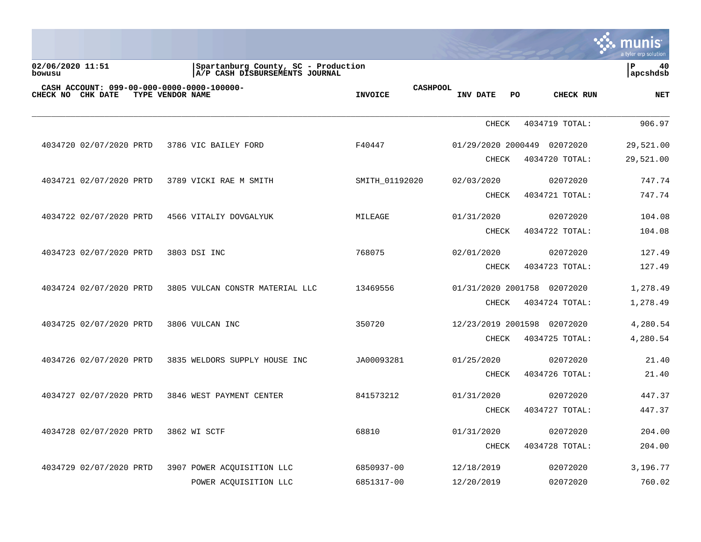|                            |                         |                  |                                                                       |                                   |                    |                  | munis<br>a tyler erp solution |
|----------------------------|-------------------------|------------------|-----------------------------------------------------------------------|-----------------------------------|--------------------|------------------|-------------------------------|
| 02/06/2020 11:51<br>bowusu |                         |                  | Spartanburg County, SC - Production<br>A/P CASH DISBURSEMENTS JOURNAL |                                   |                    |                  | ΙP<br>40<br> apcshdsb         |
| <b>CHECK NO CHK DATE</b>   |                         | TYPE VENDOR NAME | CASH ACCOUNT: 099-00-000-0000-0000-100000-                            | <b>CASHPOOL</b><br><b>INVOICE</b> | INV DATE           | CHECK RUN<br>PO. | <b>NET</b>                    |
|                            |                         |                  |                                                                       |                                   | <b>CHECK</b>       | 4034719 TOTAL:   | 906.97                        |
|                            | 4034720 02/07/2020 PRTD |                  | 3786 VIC BAILEY FORD                                                  | F40447                            | 01/29/2020 2000449 | 02072020         | 29,521.00                     |
|                            |                         |                  |                                                                       |                                   | CHECK              | 4034720 TOTAL:   | 29,521.00                     |
|                            | 4034721 02/07/2020 PRTD |                  | 3789 VICKI RAE M SMITH                                                | SMITH 01192020                    | 02/03/2020         | 02072020         | 747.74                        |
|                            |                         |                  |                                                                       |                                   | CHECK              | 4034721 TOTAL:   | 747.74                        |
|                            | 4034722 02/07/2020 PRTD |                  | 4566 VITALIY DOVGALYUK                                                | MILEAGE                           | 01/31/2020         | 02072020         | 104.08                        |
|                            |                         |                  |                                                                       |                                   | <b>CHECK</b>       | 4034722 TOTAL:   | 104.08                        |
|                            | 4034723 02/07/2020 PRTD |                  | 3803 DSI INC                                                          | 768075                            | 02/01/2020         | 02072020         | 127.49                        |
|                            |                         |                  |                                                                       |                                   | CHECK              | 4034723 TOTAL:   | 127.49                        |
|                            | 4034724 02/07/2020 PRTD |                  | 3805 VULCAN CONSTR MATERIAL LLC                                       | 13469556                          | 01/31/2020 2001758 | 02072020         | 1,278.49                      |
|                            |                         |                  |                                                                       |                                   | CHECK              | 4034724 TOTAL:   | 1,278.49                      |
|                            | 4034725 02/07/2020 PRTD |                  | 3806 VULCAN INC                                                       | 350720                            | 12/23/2019 2001598 | 02072020         | 4,280.54                      |
|                            |                         |                  |                                                                       |                                   | CHECK              | 4034725 TOTAL:   | 4,280.54                      |
|                            | 4034726 02/07/2020 PRTD |                  | 3835 WELDORS SUPPLY HOUSE INC                                         | JA00093281                        | 01/25/2020         | 02072020         | 21.40                         |
|                            |                         |                  |                                                                       |                                   | CHECK              | 4034726 TOTAL:   | 21.40                         |
|                            | 4034727 02/07/2020 PRTD |                  | 3846 WEST PAYMENT CENTER                                              | 841573212                         | 01/31/2020         | 02072020         | 447.37                        |

CHECK 4034727 TOTAL: 447.37

CHECK 4034728 TOTAL: 204.00

4034728 02/07/2020 PRTD 3862 WI SCTF 68810 01/31/2020 02072020 204.00

 4034729 02/07/2020 PRTD 3907 POWER ACQUISITION LLC 6850937-00 12/18/2019 02072020 3,196.77 POWER ACQUISITION LLC 6851317-00 12/20/2019 02072020 760.02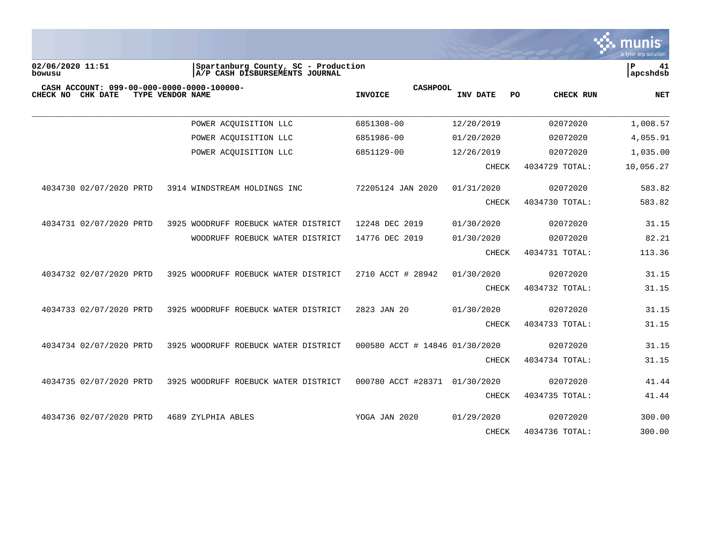

| 02/06/2020 11:51<br>bowusu                                         | Spartanburg County, SC - Production<br>A/P CASH DISBURSEMENTS JOURNAL |                                   |                 |                | ${\bf P}$<br>41<br>apcshdsb |
|--------------------------------------------------------------------|-----------------------------------------------------------------------|-----------------------------------|-----------------|----------------|-----------------------------|
| CASH ACCOUNT: 099-00-000-0000-0000-100000-<br>CHECK NO<br>CHK DATE | TYPE VENDOR NAME                                                      | <b>CASHPOOL</b><br><b>INVOICE</b> | INV DATE<br>PO. | CHECK RUN      | <b>NET</b>                  |
|                                                                    | POWER ACQUISITION LLC                                                 | 6851308-00                        | 12/20/2019      | 02072020       | 1,008.57                    |
|                                                                    | POWER ACQUISITION LLC                                                 | 6851986-00                        | 01/20/2020      | 02072020       | 4,055.91                    |
|                                                                    | POWER ACQUISITION LLC                                                 | 6851129-00                        | 12/26/2019      | 02072020       | 1,035.00                    |
|                                                                    |                                                                       |                                   | <b>CHECK</b>    | 4034729 TOTAL: | 10,056.27                   |
| 4034730 02/07/2020 PRTD                                            | 3914 WINDSTREAM HOLDINGS INC                                          | 72205124 JAN 2020                 | 01/31/2020      | 02072020       | 583.82                      |
|                                                                    |                                                                       |                                   | CHECK           | 4034730 TOTAL: | 583.82                      |
| 4034731 02/07/2020 PRTD                                            | 3925 WOODRUFF ROEBUCK WATER DISTRICT                                  | 12248 DEC 2019                    | 01/30/2020      | 02072020       | 31.15                       |
|                                                                    | WOODRUFF ROEBUCK WATER DISTRICT                                       | 14776 DEC 2019                    | 01/30/2020      | 02072020       | 82.21                       |
|                                                                    |                                                                       |                                   | CHECK           | 4034731 TOTAL: | 113.36                      |
| 4034732 02/07/2020 PRTD                                            | 3925 WOODRUFF ROEBUCK WATER DISTRICT                                  | 2710 ACCT # 28942                 | 01/30/2020      | 02072020       | 31.15                       |
|                                                                    |                                                                       |                                   | <b>CHECK</b>    | 4034732 TOTAL: | 31.15                       |
| 4034733 02/07/2020 PRTD                                            | 3925 WOODRUFF ROEBUCK WATER DISTRICT                                  | 2823 JAN 20                       | 01/30/2020      | 02072020       | 31.15                       |
|                                                                    |                                                                       |                                   | <b>CHECK</b>    | 4034733 TOTAL: | 31.15                       |
| 4034734 02/07/2020 PRTD                                            | 3925 WOODRUFF ROEBUCK WATER DISTRICT                                  | 000580 ACCT # 14846 01/30/2020    |                 | 02072020       | 31.15                       |
|                                                                    |                                                                       |                                   | <b>CHECK</b>    | 4034734 TOTAL: | 31.15                       |
| 4034735 02/07/2020 PRTD                                            | 3925 WOODRUFF ROEBUCK WATER DISTRICT                                  | 000780 ACCT #28371 01/30/2020     |                 | 02072020       | 41.44                       |
|                                                                    |                                                                       |                                   | CHECK           | 4034735 TOTAL: | 41.44                       |
| 4034736 02/07/2020 PRTD                                            | 4689 ZYLPHIA ABLES                                                    | YOGA JAN 2020                     | 01/29/2020      | 02072020       | 300.00                      |
|                                                                    |                                                                       |                                   | CHECK           | 4034736 TOTAL: | 300.00                      |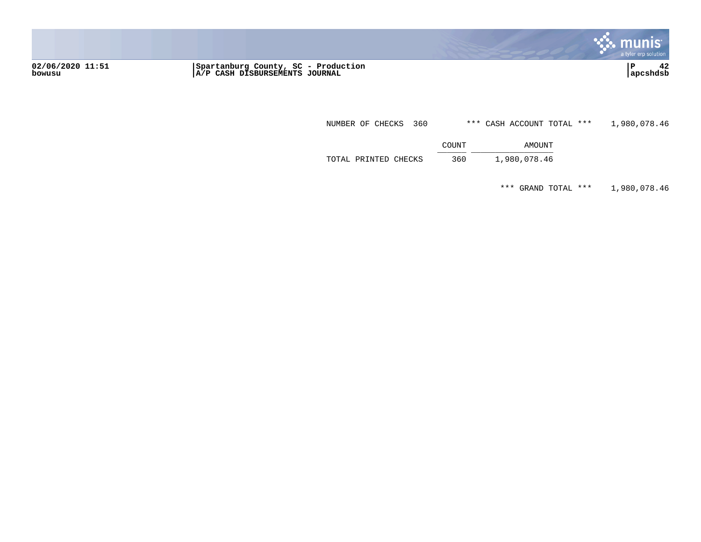

**02/06/2020 11:51 |Spartanburg County, SC - Production |P 42 bowusu |A/P CASH DISBURSEMENTS JOURNAL |apcshdsb**

NUMBER OF CHECKS 360 \*\*\* CASH ACCOUNT TOTAL \*\*\* 1,980,078.46

COUNT AMOUNT  $\frac{100001}{2}$ 

TOTAL PRINTED CHECKS 360 1,980,078.46

\*\*\* GRAND TOTAL \*\*\* 1,980,078.46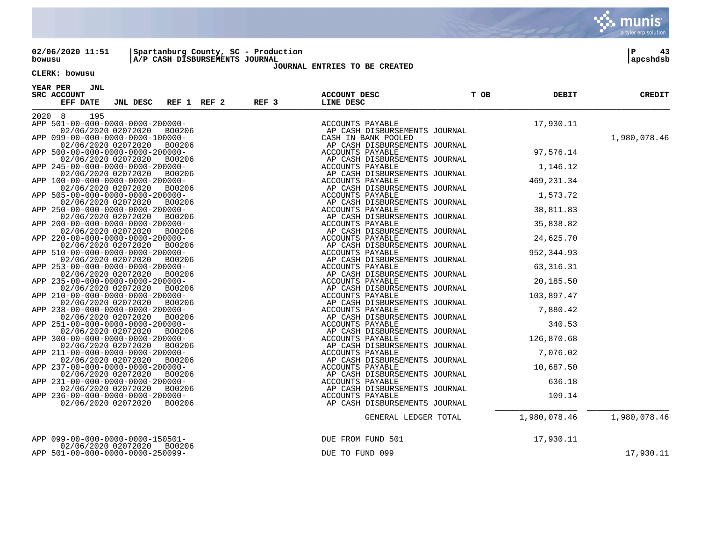

02/06/2020 11:51 |Spartanburg County, SC - Production | P 43<br>| bowusu | A/P CASH DISBURSEMENTS JOURNAL **A/P CASH DISBURSEMENTS JOURNAL** 

### **JOURNAL ENTRIES TO BE CREATED**

### **CLERK: bowusu**

**YEAR PER JNL SRC ACCOUNT ACCOUNT DESC T OB DEBIT CREDIT EFF DATE JNL DESC REF 1 REF 2 REF 3 LINE DESC** \_\_\_\_\_\_\_\_\_\_\_\_\_\_\_\_\_\_\_\_\_\_\_\_\_\_\_\_\_\_\_\_\_\_\_\_\_\_\_\_\_\_\_\_\_\_\_\_\_\_\_\_\_\_\_\_\_\_\_\_\_\_\_\_\_\_\_\_\_\_\_\_\_\_\_\_\_\_\_\_\_\_\_\_\_\_\_\_\_\_\_\_\_\_\_\_\_\_\_\_\_\_\_\_\_\_\_\_\_\_\_\_\_\_\_\_\_\_\_\_\_\_\_\_\_\_\_\_\_\_\_\_ 2020 8 195 APP 501-00-000-0000-0000-200000- ACCOUNTS PAYABLE 17,930.11 AP CASH DISBURSEMENTS JOURNAL<br>CASH IN BANK POOLED APP 099-00-000-0000-0000-100000- CASH IN BANK POOLED 1,980,078.46 AP CASH DISBURSEMENTS JOURNAL<br>ACCOUNTS PAYABLE APP 500-00-000-0000-0000-200000- ACCOUNTS PAYABLE 97,576.14 AP CASH DISBURSEMENTS JOURNAL<br>ACCOUNTS PAYABLE APP 245-00-000-0000-0000-200000- ACCOUNTS PAYABLE 1,146.12 AP CASH DISBURSEMENTS JOURNAL<br>ACCOUNTS PAYABLE APP 100-00-000-0000-0000-200000- ACCOUNTS PAYABLE 469,231.34 AP CASH DISBURSEMENTS JOURNAL<br>ACCOUNTS PAYABLE APP 505-00-0000-0000-0000-200000-<br>02/06/2020 02072020 BO0206 AP CASH DISBURSEMENTS JOURNAL 1,573.72 AP CASH DISBURSEMENTS JOURNAL<br>ACCOUNTS PAYABLE APP 250-00-000-0000-0000-200000- ACCOUNTS PAYABLE 38,811.83 AP CASH DISBURSEMENTS JOURNAL<br>ACCOUNTS PAYABLE APP 200-00-000-0000-0000-200000- ACCOUNTS PAYABLE 35,838.82 AP CASH DISBURSEMENTS JOURNAL<br>ACCOUNTS PAYABLE APP 220-00-000-0000-0000-200000- ACCOUNTS PAYABLE 24,625.70 AP CASH DISBURSEMENTS JOURNAL<br>ACCOUNTS PAYABLE APP 510-00-000-0000-0000-200000-<br>02/06/2020 02072020 B00206 AP CASH DISBURSEMENTS JOURNAL 952,344.93 AP CASH DISBURSEMENTS JOURNAL<br>ACCOUNTS PAYABLE APP 253-00-000-0000-0000-200000- ACCOUNTS PAYABLE 63,316.31 AP CASH DISBURSEMENTS JOURNAL<br>ACCOUNTS PAYABLE APP 235-00-000-0000-0000-200000- ACCOUNTS PAYABLE 20,185.50 AP CASH DISBURSEMENTS JOURNAL<br>ACCOUNTS PAYABLE APP 210-00-0000-0000-0000-200000-<br>02/06/2020 02072020 B00206 AP CASH DISBURSEMENTS JOURNAL 103,897.47 AP CASH DISBURSEMENTS JOURNAL<br>ACCOUNTS PAYABLE APP 238-00-000-0000-0000-200000- ACCOUNTS PAYABLE 7,880.42 AP CASH DISBURSEMENTS JOURNAL<br>ACCOUNTS PAYABLE APP 251-00-000-0000-0000-200000- ACCOUNTS PAYABLE 340.53 AP CASH DISBURSEMENTS JOURNAL<br>ACCOUNTS PAYABLE APP 300-00-0000-0000-0000-200000-<br>02/06/2020 02072020 B00206 AP CASH DISBURSEMENTS JOURNAL 126,870.68 AP CASH DISBURSEMENTS JOURNAL<br>ACCOUNTS PAYABLE APP 211-00-000-0000-0000-200000-<br>02/06/2020 02072020 BO0206 AP CASH DISBURSEMENTS JOURNAL 7,076.02 AP CASH DISBURSEMENTS JOURNAL<br>ACCOUNTS PAYABLE APP 237-00-0000-0000-0000-200000-<br>02/06/2020 02072020 BO0206 AP CASH DISBURSEMENTS JOURNAL 10,687.50 AP CASH DISBURSEMENTS JOURNAL<br>ACCOUNTS PAYABLE APP 231-00-000-0000-0000-200000- ACCOUNTS PAYABLE 636.18 AP CASH DISBURSEMENTS JOURNAL<br>ACCOUNTS PAYABLE APP 236-00-0000-0000-0000-200000-<br>02/06/2020 02072020 BO0206 AP CASH DISBURSEMENTS JOURNAL 02/06/2020 02072020 BO0206 AP CASH DISBURSEMENTS JOURNAL \_\_\_\_\_\_\_\_\_\_\_\_\_\_\_\_\_ \_\_\_\_\_\_\_\_\_\_\_\_\_\_\_\_\_ GENERAL LEDGER TOTAL 1,980,078.46 1,980,078.46 APP 099-00-000-0000-0000-150501- DUE FROM FUND 501 17,930.11 02/06/2020 02072020 BO0206 APP 501-00-000-0000-0000-250099- DUE TO FUND 099 17,930.11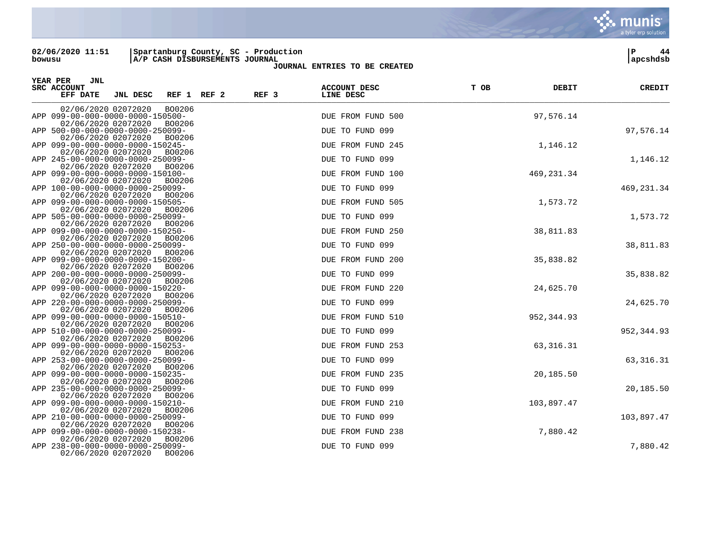**02/06/2020 11:51 |Spartanburg County, SC - Production |P 44 bowusu |A/P CASH DISBURSEMENTS JOURNAL |apcshdsb**

**JOURNAL ENTRIES TO BE CREATED**

| YEAR PER<br>JNL<br>SRC ACCOUNT<br>EFF DATE<br>REF <sub>3</sub><br>JNL DESC<br>REF 1 REF 2 | <b>ACCOUNT DESC</b><br>LINE DESC | T OB | DEBIT       | <b>CREDIT</b> |
|-------------------------------------------------------------------------------------------|----------------------------------|------|-------------|---------------|
| 02/06/2020 02072020<br>BO0206                                                             |                                  |      |             |               |
| APP 099-00-000-0000-0000-150500-<br>02/06/2020 02072020<br>BO0206                         | DUE FROM FUND 500                |      | 97,576.14   |               |
| APP 500-00-000-0000-0000-250099-                                                          | DUE TO FUND 099                  |      |             | 97,576.14     |
| 02/06/2020 02072020<br>BO0206                                                             |                                  |      |             |               |
| APP 099-00-000-0000-0000-150245-<br>02/06/2020 02072020<br>BO0206                         | DUE FROM FUND 245                |      | 1,146.12    |               |
| APP 245-00-000-0000-0000-250099-                                                          | DUE TO FUND 099                  |      |             | 1,146.12      |
| 02/06/2020 02072020<br>BO0206<br>APP 099-00-000-0000-0000-150100-                         | DUE FROM FUND 100                |      | 469, 231.34 |               |
| 02/06/2020 02072020<br>BO0206                                                             |                                  |      |             |               |
| APP 100-00-000-0000-0000-250099-                                                          | DUE TO FUND 099                  |      |             | 469, 231.34   |
| 02/06/2020 02072020<br>BO0206<br>APP 099-00-000-0000-0000-150505-                         | DUE FROM FUND 505                |      | 1,573.72    |               |
| 02/06/2020 02072020<br>BO0206                                                             |                                  |      |             |               |
| APP 505-00-000-0000-0000-250099-                                                          | DUE TO FUND 099                  |      |             | 1,573.72      |
| 02/06/2020 02072020<br>BO0206<br>APP 099-00-000-0000-0000-150250-                         | DUE FROM FUND 250                |      | 38,811.83   |               |
| 02/06/2020 02072020<br>BO0206                                                             |                                  |      |             |               |
| APP 250-00-000-0000-0000-250099-                                                          | DUE TO FUND 099                  |      |             | 38,811.83     |
| 02/06/2020 02072020<br>BO0206<br>APP 099-00-000-0000-0000-150200-                         | DUE FROM FUND 200                |      | 35,838.82   |               |
| 02/06/2020 02072020<br>BO0206                                                             |                                  |      |             |               |
| APP 200-00-000-0000-0000-250099-                                                          | DUE TO FUND 099                  |      |             | 35,838.82     |
| 02/06/2020 02072020<br>BO0206<br>APP 099-00-000-0000-0000-150220-                         | DUE FROM FUND 220                |      | 24,625.70   |               |
| 02/06/2020 02072020<br>BO0206                                                             |                                  |      |             |               |
| APP 220-00-000-0000-0000-250099-                                                          | DUE TO FUND 099                  |      |             | 24,625.70     |
| 02/06/2020 02072020<br>BO0206<br>APP 099-00-000-0000-0000-150510-                         | DUE FROM FUND 510                |      | 952, 344.93 |               |
| 02/06/2020 02072020<br>BO0206                                                             |                                  |      |             |               |
| APP 510-00-000-0000-0000-250099-<br>02/06/2020 02072020<br>BO0206                         | DUE TO FUND 099                  |      |             | 952, 344.93   |
| APP 099-00-000-0000-0000-150253-                                                          | DUE FROM FUND 253                |      | 63, 316. 31 |               |
| 02/06/2020 02072020<br>BO0206                                                             |                                  |      |             |               |
| APP 253-00-000-0000-0000-250099-<br>02/06/2020 02072020<br>BO0206                         | DUE TO FUND 099                  |      |             | 63, 316. 31   |
| APP 099-00-000-0000-0000-150235-                                                          | DUE FROM FUND 235                |      | 20,185.50   |               |
| 02/06/2020 02072020<br>BO0206                                                             |                                  |      |             |               |
| APP 235-00-000-0000-0000-250099-<br>02/06/2020 02072020<br>BO0206                         | DUE TO FUND 099                  |      |             | 20,185.50     |
| APP 099-00-000-0000-0000-150210-                                                          | DUE FROM FUND 210                |      | 103,897.47  |               |
| 02/06/2020 02072020<br>BO0206                                                             |                                  |      |             |               |
| APP 210-00-000-0000-0000-250099-<br>02/06/2020 02072020<br>BO0206                         | DUE TO FUND 099                  |      |             | 103,897.47    |
| APP 099-00-000-0000-0000-150238-                                                          | DUE FROM FUND 238                |      | 7,880.42    |               |
| 02/06/2020 02072020<br>BO0206                                                             |                                  |      |             |               |
| APP 238-00-000-0000-0000-250099-<br>02/06/2020 02072020<br>BO0206                         | DUE TO FUND 099                  |      |             | 7,880.42      |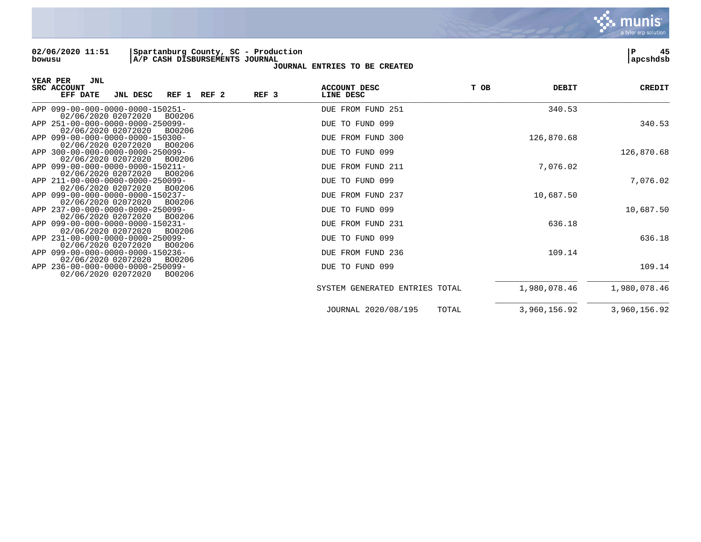**02/06/2020 11:51 |Spartanburg County, SC - Production |P 45 bowusu |A/P CASH DISBURSEMENTS JOURNAL |apcshdsb**

| JNL<br>YEAR PER<br>SRC ACCOUNT<br>REF <sub>3</sub><br>EFF DATE<br>JNL DESC<br>REF 1 REF 2 | <b>ACCOUNT DESC</b><br>LINE DESC | T OB<br><b>DEBIT</b> | CREDIT       |
|-------------------------------------------------------------------------------------------|----------------------------------|----------------------|--------------|
| APP 099-00-000-0000-0000-150251-<br>02/06/2020 02072020<br>BO0206                         | DUE FROM FUND 251                | 340.53               |              |
| APP 251-00-000-0000-0000-250099-<br>02/06/2020 02072020<br>BO0206                         | DUE TO FUND 099                  |                      | 340.53       |
| APP 099-00-000-0000-0000-150300-<br>02/06/2020 02072020<br>BO0206                         | DUE FROM FUND 300                | 126,870.68           |              |
| APP 300-00-000-0000-0000-250099-<br>02/06/2020 02072020<br>BO0206                         | DUE TO FUND 099                  |                      | 126,870.68   |
| APP 099-00-000-0000-0000-150211-<br>02/06/2020 02072020<br>BO0206                         | DUE FROM FUND 211                | 7,076.02             |              |
| APP 211-00-000-0000-0000-250099-<br>02/06/2020 02072020<br>B00206                         | DUE TO FUND 099                  |                      | 7,076.02     |
| APP 099-00-000-0000-0000-150237-<br>02/06/2020 02072020<br>BO0206                         | DUE FROM FUND 237                | 10,687.50            |              |
| APP 237-00-000-0000-0000-250099-<br>02/06/2020 02072020<br>BO0206                         | DUE TO FUND 099                  |                      | 10,687.50    |
| APP 099-00-000-0000-0000-150231-<br>02/06/2020 02072020<br>BO0206                         | DUE FROM FUND 231                | 636.18               |              |
| APP 231-00-000-0000-0000-250099-<br>02/06/2020 02072020<br>BO0206                         | DUE TO FUND 099                  |                      | 636.18       |
| APP 099-00-000-0000-0000-150236-<br>02/06/2020 02072020<br>BO0206                         | DUE FROM FUND 236                | 109.14               |              |
| APP 236-00-000-0000-0000-250099-<br>02/06/2020 02072020<br>BO0206                         | DUE TO FUND 099                  |                      | 109.14       |
|                                                                                           | SYSTEM GENERATED ENTRIES TOTAL   | 1,980,078.46         | 1,980,078.46 |
|                                                                                           | JOURNAL 2020/08/195<br>TOTAL     | 3,960,156.92         | 3,960,156.92 |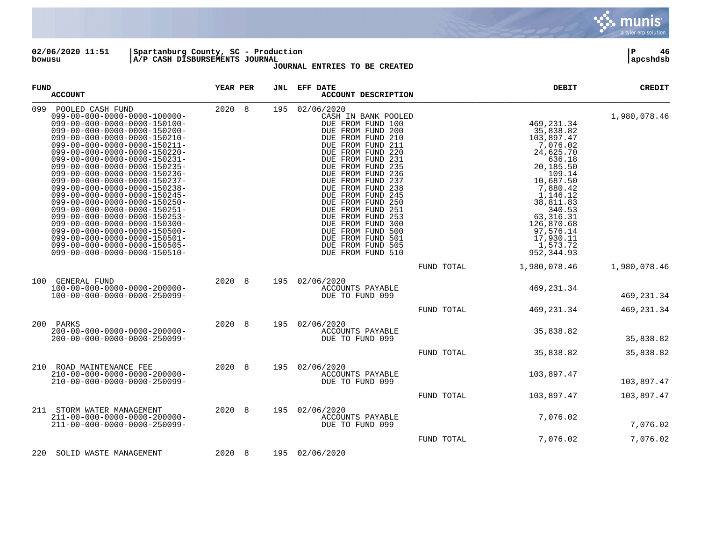

**02/06/2020 11:51 |Spartanburg County, SC - Production |P 46 bowusu |A/P CASH DISBURSEMENTS JOURNAL |apcshdsb**

| <b>FUND</b> | <b>ACCOUNT</b>                                                                                                                                                                                                                                                                                                                                                                                                                                                                                                                                                                                                                                                                                                          | YEAR PER |    | JNL | EFF DATE<br>ACCOUNT DESCRIPTION                                                                                                                                                                                                                                                                                                                                                                                                                  |            | DEBIT                                                                                                                                                                                                                                          | <b>CREDIT</b> |
|-------------|-------------------------------------------------------------------------------------------------------------------------------------------------------------------------------------------------------------------------------------------------------------------------------------------------------------------------------------------------------------------------------------------------------------------------------------------------------------------------------------------------------------------------------------------------------------------------------------------------------------------------------------------------------------------------------------------------------------------------|----------|----|-----|--------------------------------------------------------------------------------------------------------------------------------------------------------------------------------------------------------------------------------------------------------------------------------------------------------------------------------------------------------------------------------------------------------------------------------------------------|------------|------------------------------------------------------------------------------------------------------------------------------------------------------------------------------------------------------------------------------------------------|---------------|
| 099         | POOLED CASH FUND<br>$099 - 00 - 000 - 0000 - 0000 - 100000 -$<br>099-00-000-0000-0000-150100-<br>$099 - 00 - 000 - 0000 - 0000 - 150200 -$<br>099-00-000-0000-0000-150210-<br>099-00-000-0000-0000-150211-<br>099-00-000-0000-0000-150220-<br>099-00-000-0000-0000-150231-<br>099-00-000-0000-0000-150235-<br>099-00-000-0000-0000-150236-<br>099-00-000-0000-0000-150237-<br>099-00-000-0000-0000-150238-<br>099-00-000-0000-0000-150245-<br>099-00-000-0000-0000-150250-<br>099-00-000-0000-0000-150251-<br>099-00-000-0000-0000-150253-<br>099-00-000-0000-0000-150300-<br>$099 - 00 - 000 - 0000 - 0000 - 150500 -$<br>099-00-000-0000-0000-150501-<br>099-00-000-0000-0000-150505-<br>099-00-000-0000-0000-150510- | 2020     | 8  | 195 | 02/06/2020<br>CASH IN BANK POOLED<br>DUE FROM FUND 100<br>DUE FROM FUND 200<br>DUE FROM FUND 210<br>DUE FROM FUND 211<br>DUE FROM FUND 220<br>DUE FROM FUND 231<br>DUE FROM FUND 235<br>DUE FROM FUND 236<br>DUE FROM FUND 237<br>DUE FROM FUND 238<br>DUE FROM FUND 245<br>DUE FROM FUND 250<br>DUE FROM FUND 251<br>DUE FROM FUND 253<br>DUE FROM FUND 300<br>DUE FROM FUND 500<br>DUE FROM FUND 501<br>DUE FROM FUND 505<br>DUE FROM FUND 510 |            | 469, 231.34<br>35,838.82<br>103,897.47<br>7,076.02<br>24,625.70<br>636.18<br>20,185.50<br>109.14<br>10,687.50<br>7,880.42<br>1,146.12<br>38,811.83<br>340.53<br>63, 316. 31<br>126,870.68<br>97,576.14<br>17,930.11<br>1,573.72<br>952, 344.93 | 1,980,078.46  |
|             |                                                                                                                                                                                                                                                                                                                                                                                                                                                                                                                                                                                                                                                                                                                         |          |    |     |                                                                                                                                                                                                                                                                                                                                                                                                                                                  | FUND TOTAL | 1,980,078.46                                                                                                                                                                                                                                   | 1,980,078.46  |
| 100         | GENERAL FUND<br>$100 - 00 - 000 - 0000 - 0000 - 200000 -$<br>100-00-000-0000-0000-250099-                                                                                                                                                                                                                                                                                                                                                                                                                                                                                                                                                                                                                               | 2020     | -8 | 195 | 02/06/2020<br>ACCOUNTS PAYABLE<br>DUE TO FUND 099                                                                                                                                                                                                                                                                                                                                                                                                |            | 469, 231.34                                                                                                                                                                                                                                    | 469, 231.34   |
|             |                                                                                                                                                                                                                                                                                                                                                                                                                                                                                                                                                                                                                                                                                                                         |          |    |     |                                                                                                                                                                                                                                                                                                                                                                                                                                                  | FUND TOTAL | 469, 231.34                                                                                                                                                                                                                                    | 469, 231.34   |
| 200         | PARKS<br>$200 - 00 - 000 - 0000 - 0000 - 200000 -$<br>200-00-000-0000-0000-250099-                                                                                                                                                                                                                                                                                                                                                                                                                                                                                                                                                                                                                                      | 2020     | 8  | 195 | 02/06/2020<br>ACCOUNTS PAYABLE<br>DUE TO FUND 099                                                                                                                                                                                                                                                                                                                                                                                                |            | 35,838.82                                                                                                                                                                                                                                      | 35,838.82     |
|             |                                                                                                                                                                                                                                                                                                                                                                                                                                                                                                                                                                                                                                                                                                                         |          |    |     |                                                                                                                                                                                                                                                                                                                                                                                                                                                  | FUND TOTAL | 35,838.82                                                                                                                                                                                                                                      | 35,838.82     |
|             | 210 ROAD MAINTENANCE FEE<br>$210 - 00 - 000 - 0000 - 0000 - 200000 -$<br>$210 - 00 - 000 - 0000 - 0000 - 250099 -$                                                                                                                                                                                                                                                                                                                                                                                                                                                                                                                                                                                                      | 2020 8   |    | 195 | 02/06/2020<br>ACCOUNTS PAYABLE<br>DUE TO FUND 099                                                                                                                                                                                                                                                                                                                                                                                                |            | 103,897.47                                                                                                                                                                                                                                     | 103,897.47    |
|             |                                                                                                                                                                                                                                                                                                                                                                                                                                                                                                                                                                                                                                                                                                                         |          |    |     |                                                                                                                                                                                                                                                                                                                                                                                                                                                  | FUND TOTAL | 103,897.47                                                                                                                                                                                                                                     | 103,897.47    |
|             | 211 STORM WATER MANAGEMENT<br>211-00-000-0000-0000-200000-<br>$211 - 00 - 000 - 0000 - 0000 - 250099 -$                                                                                                                                                                                                                                                                                                                                                                                                                                                                                                                                                                                                                 | 2020     | 8  | 195 | 02/06/2020<br>ACCOUNTS PAYABLE<br>DUE TO FUND 099                                                                                                                                                                                                                                                                                                                                                                                                |            | 7,076.02                                                                                                                                                                                                                                       | 7,076.02      |
|             |                                                                                                                                                                                                                                                                                                                                                                                                                                                                                                                                                                                                                                                                                                                         |          |    |     |                                                                                                                                                                                                                                                                                                                                                                                                                                                  | FUND TOTAL | 7,076.02                                                                                                                                                                                                                                       | 7,076.02      |
| 220         | SOLID WASTE MANAGEMENT                                                                                                                                                                                                                                                                                                                                                                                                                                                                                                                                                                                                                                                                                                  | 2020     | 8  | 195 | 02/06/2020                                                                                                                                                                                                                                                                                                                                                                                                                                       |            |                                                                                                                                                                                                                                                |               |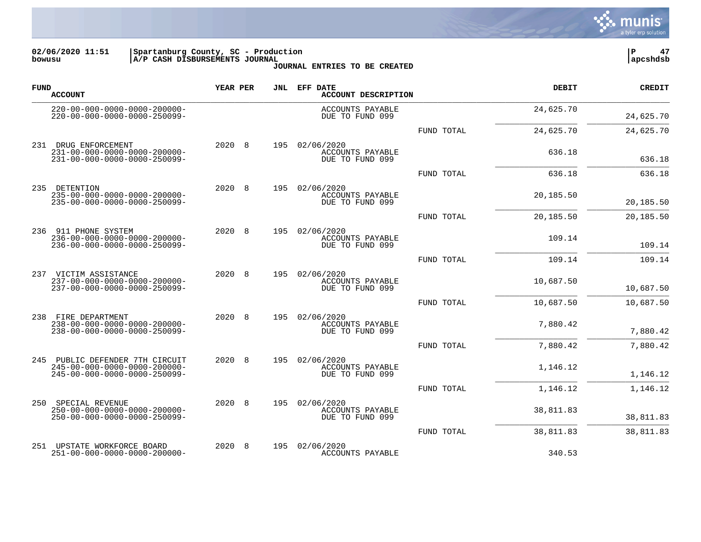

**02/06/2020 11:51 |Spartanburg County, SC - Production |P 47 bowusu |A/P CASH DISBURSEMENTS JOURNAL |apcshdsb**

| <b>FUND</b> | <b>ACCOUNT</b>                                                                                     | YEAR PER   | JNL | EFF DATE<br><b>ACCOUNT DESCRIPTION</b>            |            | <b>DEBIT</b> | <b>CREDIT</b> |
|-------------|----------------------------------------------------------------------------------------------------|------------|-----|---------------------------------------------------|------------|--------------|---------------|
|             | $220 - 00 - 000 - 0000 - 0000 - 200000 -$<br>220-00-000-0000-0000-250099-                          |            |     | ACCOUNTS PAYABLE<br>DUE TO FUND 099               |            | 24,625.70    | 24,625.70     |
|             |                                                                                                    |            |     |                                                   | FUND TOTAL | 24,625.70    | 24,625.70     |
| 231         | DRUG ENFORCEMENT<br>$231 - 00 - 000 - 0000 - 0000 - 200000 -$<br>231-00-000-0000-0000-250099-      | 2020<br>8  | 195 | 02/06/2020<br>ACCOUNTS PAYABLE<br>DUE TO FUND 099 |            | 636.18       | 636.18        |
|             |                                                                                                    |            |     |                                                   | FUND TOTAL | 636.18       | 636.18        |
| 235         | DETENTION<br>$235 - 00 - 000 - 0000 - 0000 - 200000 -$<br>235-00-000-0000-0000-250099-             | 2020<br>8  | 195 | 02/06/2020<br>ACCOUNTS PAYABLE<br>DUE TO FUND 099 |            | 20,185.50    | 20,185.50     |
|             |                                                                                                    |            |     |                                                   | FUND TOTAL | 20,185.50    | 20,185.50     |
|             | 236 911 PHONE SYSTEM<br>$236 - 00 - 000 - 0000 - 0000 - 200000 -$<br>236-00-000-0000-0000-250099-  | 2020 8     | 195 | 02/06/2020<br>ACCOUNTS PAYABLE<br>DUE TO FUND 099 |            | 109.14       | 109.14        |
|             |                                                                                                    |            |     |                                                   | FUND TOTAL | 109.14       | 109.14        |
|             | 237 VICTIM ASSISTANCE<br>$237 - 00 - 000 - 0000 - 0000 - 200000 -$<br>237-00-000-0000-0000-250099- | 2020 8     | 195 | 02/06/2020<br>ACCOUNTS PAYABLE<br>DUE TO FUND 099 |            | 10,687.50    | 10,687.50     |
|             |                                                                                                    |            |     |                                                   | FUND TOTAL | 10,687.50    | 10,687.50     |
|             | 238 FIRE DEPARTMENT<br>$238 - 00 - 000 - 0000 - 0000 - 200000 -$<br>238-00-000-0000-0000-250099-   | 2020<br>-8 | 195 | 02/06/2020<br>ACCOUNTS PAYABLE<br>DUE TO FUND 099 |            | 7,880.42     | 7,880.42      |
|             |                                                                                                    |            |     |                                                   | FUND TOTAL | 7,880.42     | 7,880.42      |
| 245         | PUBLIC DEFENDER 7TH CIRCUIT<br>245-00-000-0000-0000-200000-<br>245-00-000-0000-0000-250099-        | 2020 8     | 195 | 02/06/2020<br>ACCOUNTS PAYABLE<br>DUE TO FUND 099 |            | 1,146.12     | 1,146.12      |
|             |                                                                                                    |            |     |                                                   | FUND TOTAL | 1,146.12     | 1,146.12      |
| 250         | SPECIAL REVENUE<br>$250 - 00 - 000 - 0000 - 0000 - 200000 -$<br>250-00-000-0000-0000-250099-       | 2020<br>8  | 195 | 02/06/2020<br>ACCOUNTS PAYABLE<br>DUE TO FUND 099 |            | 38,811.83    | 38,811.83     |
|             |                                                                                                    |            |     |                                                   | FUND TOTAL | 38,811.83    | 38,811.83     |
| 251         | UPSTATE WORKFORCE BOARD<br>251-00-000-0000-0000-200000-                                            | 2020<br>8  | 195 | 02/06/2020<br>ACCOUNTS PAYABLE                    |            | 340.53       |               |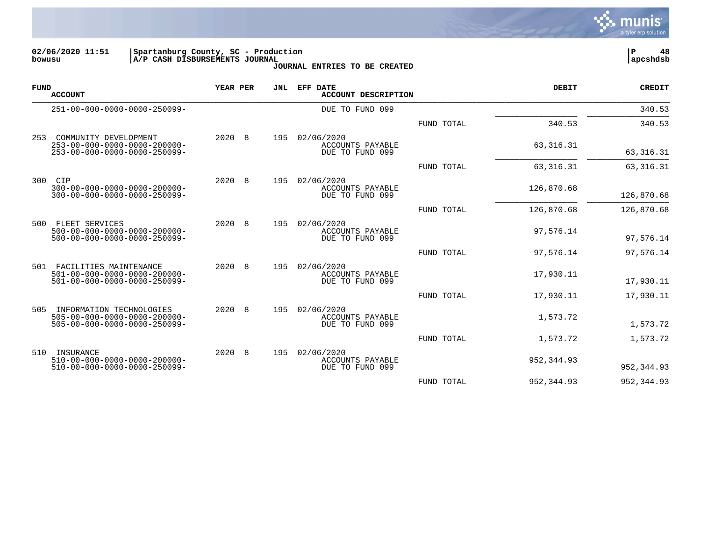

**02/06/2020 11:51 |Spartanburg County, SC - Production |P 48 bowusu |A/P CASH DISBURSEMENTS JOURNAL |apcshdsb**

| <b>FUND</b> | <b>ACCOUNT</b>                                                                                                     | YEAR PER   | JNL | EFF DATE<br>ACCOUNT DESCRIPTION                          |            | <b>DEBIT</b> | <b>CREDIT</b> |
|-------------|--------------------------------------------------------------------------------------------------------------------|------------|-----|----------------------------------------------------------|------------|--------------|---------------|
|             | 251-00-000-0000-0000-250099-                                                                                       |            |     | DUE TO FUND 099                                          |            |              | 340.53        |
|             |                                                                                                                    |            |     |                                                          | FUND TOTAL | 340.53       | 340.53        |
| 253         | COMMUNITY DEVELOPMENT<br>$253 - 00 - 000 - 0000 - 0000 - 200000 -$<br>$253 - 00 - 000 - 0000 - 0000 - 250099 -$    | 2020 8     | 195 | 02/06/2020<br>ACCOUNTS PAYABLE<br>DUE TO FUND 099        |            | 63, 316. 31  | 63, 316. 31   |
|             |                                                                                                                    |            |     |                                                          | FUND TOTAL | 63, 316. 31  | 63, 316. 31   |
| 300         | CIP<br>$300 - 00 - 000 - 0000 - 0000 - 200000 -$<br>$300 - 00 - 000 - 0000 - 0000 - 250099 -$                      | 2020<br>-8 | 195 | 02/06/2020<br>ACCOUNTS PAYABLE<br>DUE TO FUND 099        |            | 126,870.68   | 126,870.68    |
|             |                                                                                                                    |            |     |                                                          | FUND TOTAL | 126,870.68   | 126,870.68    |
| 500         | FLEET SERVICES<br>$500 - 00 - 000 - 0000 - 0000 - 200000 -$<br>500-00-000-0000-0000-250099-                        | 2020 8     | 195 | 02/06/2020<br>ACCOUNTS PAYABLE<br>DUE TO FUND 099        |            | 97,576.14    | 97,576.14     |
|             |                                                                                                                    |            |     |                                                          | FUND TOTAL | 97,576.14    | 97,576.14     |
| 501         | FACILITIES MAINTENANCE<br>501-00-000-0000-0000-200000-<br>$501 - 00 - 000 - 0000 - 0000 - 250099 -$                | 2020 8     | 195 | 02/06/2020<br><b>ACCOUNTS PAYABLE</b><br>DUE TO FUND 099 |            | 17,930.11    | 17,930.11     |
|             |                                                                                                                    |            |     |                                                          | FUND TOTAL | 17,930.11    | 17,930.11     |
| 505         | INFORMATION TECHNOLOGIES<br>$505 - 00 - 000 - 0000 - 0000 - 200000 -$<br>$505 - 00 - 000 - 0000 - 0000 - 250099 -$ | 2020<br>-8 | 195 | 02/06/2020<br>ACCOUNTS PAYABLE<br>DUE TO FUND 099        |            | 1,573.72     | 1,573.72      |
|             |                                                                                                                    |            |     |                                                          | FUND TOTAL | 1,573.72     | 1,573.72      |
| 510         | INSURANCE<br>$510 - 00 - 000 - 0000 - 0000 - 200000 -$<br>$510 - 00 - 000 - 0000 - 0000 - 250099 -$                | 2020 8     | 195 | 02/06/2020<br>ACCOUNTS PAYABLE<br>DUE TO FUND 099        |            | 952, 344.93  | 952, 344.93   |
|             |                                                                                                                    |            |     |                                                          | FUND TOTAL | 952, 344.93  | 952, 344.93   |